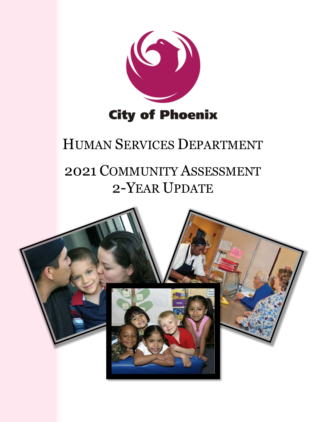

# HUMAN SERVICES DEPARTMENT

# 2021 COMMUNITY ASSESSMENT 2-YEAR UPDATE

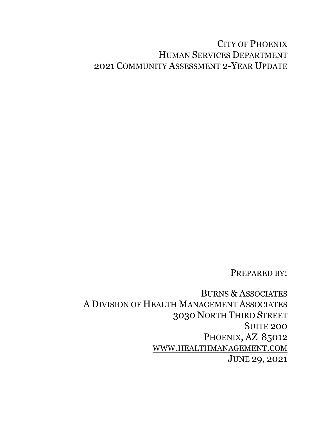# CITY OF PHOENIX HUMAN SERVICES DEPARTMENT 2021 COMMUNITY ASSESSMENT 2-YEAR UPDATE

PREPARED BY:

BURNS & ASSOCIATES A DIVISION OF HEALTH MANAGEMENT ASSOCIATES 3030 NORTH THIRD STREET SUITE 200 PHOENIX, AZ 85012 [WWW.HEALTHMANAGEMENT.COM](https://www.healthmanagement.com/about/burns-associates/) JUNE 29, 2021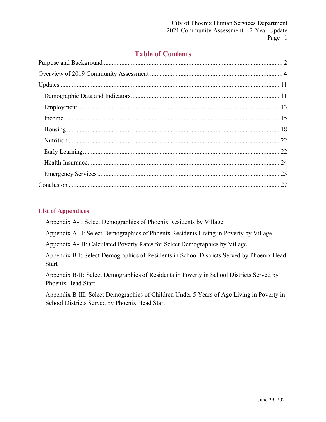# **Table of Contents**

## **List of Appendices**

Appendix A-I: Select Demographics of Phoenix Residents by Village

Appendix A-II: Select Demographics of Phoenix Residents Living in Poverty by Village

Appendix A-III: Calculated Poverty Rates for Select Demographics by Village

Appendix B-I: Select Demographics of Residents in School Districts Served by Phoenix Head Start

Appendix B-II: Select Demographics of Residents in Poverty in School Districts Served by Phoenix Head Start

Appendix B-III: Select Demographics of Children Under 5 Years of Age Living in Poverty in School Districts Served by Phoenix Head Start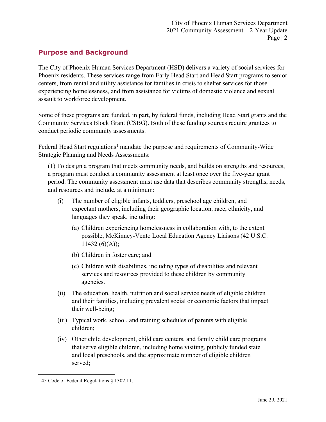## <span id="page-3-0"></span>**Purpose and Background**

The City of Phoenix Human Services Department (HSD) delivers a variety of social services for Phoenix residents. These services range from Early Head Start and Head Start programs to senior centers, from rental and utility assistance for families in crisis to shelter services for those experiencing homelessness, and from assistance for victims of domestic violence and sexual assault to workforce development.

Some of these programs are funded, in part, by federal funds, including Head Start grants and the Community Services Block Grant (CSBG). Both of these funding sources require grantees to conduct periodic community assessments.

Federal Head Start regulations<sup>[1](#page-3-1)</sup> mandate the purpose and requirements of Community-Wide Strategic Planning and Needs Assessments:

(1) To design a program that meets community needs, and builds on strengths and resources, a program must conduct a community assessment at least once over the five-year grant period. The community assessment must use data that describes community strengths, needs, and resources and include, at a minimum:

- (i) The number of eligible infants, toddlers, preschool age children, and expectant mothers, including their geographic location, race, ethnicity, and languages they speak, including:
	- (a) Children experiencing homelessness in collaboration with, to the extent possible, McKinney-Vento Local Education Agency Liaisons (42 U.S.C.  $11432 (6)(A))$ ;
	- (b) Children in foster care; and
	- (c) Children with disabilities, including types of disabilities and relevant services and resources provided to these children by community agencies.
- (ii) The education, health, nutrition and social service needs of eligible children and their families, including prevalent social or economic factors that impact their well-being;
- (iii) Typical work, school, and training schedules of parents with eligible children;
- (iv) Other child development, child care centers, and family child care programs that serve eligible children, including home visiting, publicly funded state and local preschools, and the approximate number of eligible children served;

<span id="page-3-1"></span><sup>&</sup>lt;sup>1</sup> 45 Code of Federal Regulations § 1302.11.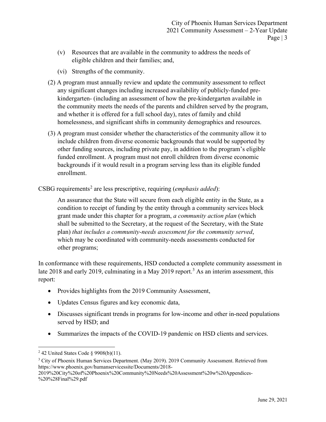- (v) Resources that are available in the community to address the needs of eligible children and their families; and,
- (vi) Strengths of the community.
- (2) A program must annually review and update the community assessment to reflect any significant changes including increased availability of publicly-funded prekindergarten- (including an assessment of how the pre-kindergarten available in the community meets the needs of the parents and children served by the program, and whether it is offered for a full school day), rates of family and child homelessness, and significant shifts in community demographics and resources.
- (3) A program must consider whether the characteristics of the community allow it to include children from diverse economic backgrounds that would be supported by other funding sources, including private pay, in addition to the program's eligible funded enrollment. A program must not enroll children from diverse economic backgrounds if it would result in a program serving less than its eligible funded enrollment.
- CSBG requirements<sup>[2](#page-4-0)</sup> are less prescriptive, requiring (*emphasis added*):

An assurance that the State will secure from each eligible entity in the State, as a condition to receipt of funding by the entity through a community services block grant made under this chapter for a program, *a community action plan* (which shall be submitted to the Secretary, at the request of the Secretary, with the State plan) *that includes a community-needs assessment for the community served*, which may be coordinated with community-needs assessments conducted for other programs;

In conformance with these requirements, HSD conducted a complete community assessment in late 2018 and early 2019, culminating in a May 2019 report.<sup>[3](#page-4-1)</sup> As an interim assessment, this report:

- Provides highlights from the 2019 Community Assessment,
- Updates Census figures and key economic data,
- Discusses significant trends in programs for low-income and other in-need populations served by HSD; and
- Summarizes the impacts of the COVID-19 pandemic on HSD clients and services.

<span id="page-4-0"></span> $2$  42 United States Code § 9908(b)(11).

<span id="page-4-1"></span><sup>&</sup>lt;sup>3</sup> City of Phoenix Human Services Department. (May 2019). 2019 Community Assessment. Retrieved from https://www.phoenix.gov/humanservicessite/Documents/2018-

<sup>2019%20</sup>City%20of%20Phoenix%20Community%20Needs%20Assessment%20w%20Appendices- %20%28Final%29.pdf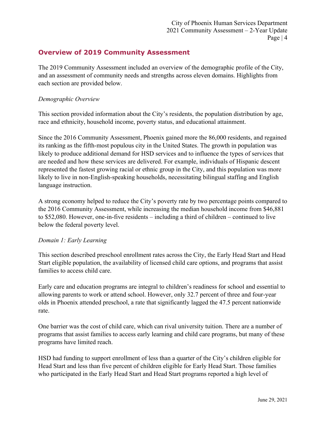# <span id="page-5-0"></span>**Overview of 2019 Community Assessment**

The 2019 Community Assessment included an overview of the demographic profile of the City, and an assessment of community needs and strengths across eleven domains. Highlights from each section are provided below.

### *Demographic Overview*

This section provided information about the City's residents, the population distribution by age, race and ethnicity, household income, poverty status, and educational attainment.

Since the 2016 Community Assessment, Phoenix gained more the 86,000 residents, and regained its ranking as the fifth-most populous city in the United States. The growth in population was likely to produce additional demand for HSD services and to influence the types of services that are needed and how these services are delivered. For example, individuals of Hispanic descent represented the fastest growing racial or ethnic group in the City, and this population was more likely to live in non-English-speaking households, necessitating bilingual staffing and English language instruction.

A strong economy helped to reduce the City's poverty rate by two percentage points compared to the 2016 Community Assessment, while increasing the median household income from \$46,881 to \$52,080. However, one-in-five residents – including a third of children – continued to live below the federal poverty level.

#### *Domain 1: Early Learning*

This section described preschool enrollment rates across the City, the Early Head Start and Head Start eligible population, the availability of licensed child care options, and programs that assist families to access child care.

Early care and education programs are integral to children's readiness for school and essential to allowing parents to work or attend school. However, only 32.7 percent of three and four-year olds in Phoenix attended preschool, a rate that significantly lagged the 47.5 percent nationwide rate.

One barrier was the cost of child care, which can rival university tuition. There are a number of programs that assist families to access early learning and child care programs, but many of these programs have limited reach.

HSD had funding to support enrollment of less than a quarter of the City's children eligible for Head Start and less than five percent of children eligible for Early Head Start. Those families who participated in the Early Head Start and Head Start programs reported a high level of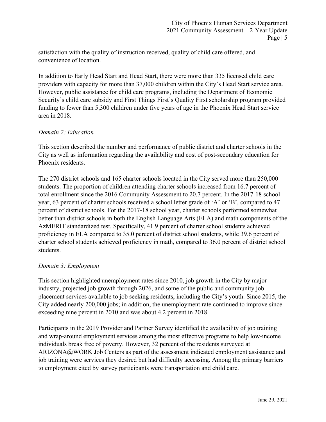satisfaction with the quality of instruction received, quality of child care offered, and convenience of location.

In addition to Early Head Start and Head Start, there were more than 335 licensed child care providers with capacity for more than 37,000 children within the City's Head Start service area. However, public assistance for child care programs, including the Department of Economic Security's child care subsidy and First Things First's Quality First scholarship program provided funding to fewer than 5,300 children under five years of age in the Phoenix Head Start service area in 2018.

## *Domain 2: Education*

This section described the number and performance of public district and charter schools in the City as well as information regarding the availability and cost of post-secondary education for Phoenix residents.

The 270 district schools and 165 charter schools located in the City served more than 250,000 students. The proportion of children attending charter schools increased from 16.7 percent of total enrollment since the 2016 Community Assessment to 20.7 percent. In the 2017-18 school year, 63 percent of charter schools received a school letter grade of 'A' or 'B', compared to 47 percent of district schools. For the 2017-18 school year, charter schools performed somewhat better than district schools in both the English Language Arts (ELA) and math components of the AzMERIT standardized test. Specifically, 41.9 percent of charter school students achieved proficiency in ELA compared to 35.0 percent of district school students, while 39.6 percent of charter school students achieved proficiency in math, compared to 36.0 percent of district school students.

## *Domain 3: Employment*

This section highlighted unemployment rates since 2010, job growth in the City by major industry, projected job growth through 2026, and some of the public and community job placement services available to job seeking residents, including the City's youth. Since 2015, the City added nearly 200,000 jobs; in addition, the unemployment rate continued to improve since exceeding nine percent in 2010 and was about 4.2 percent in 2018.

Participants in the 2019 Provider and Partner Survey identified the availability of job training and wrap-around employment services among the most effective programs to help low-income individuals break free of poverty. However, 32 percent of the residents surveyed at ARIZONA@WORK Job Centers as part of the assessment indicated employment assistance and job training were services they desired but had difficulty accessing. Among the primary barriers to employment cited by survey participants were transportation and child care.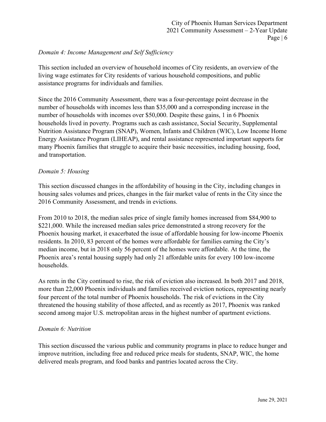#### *Domain 4: Income Management and Self Sufficiency*

This section included an overview of household incomes of City residents, an overview of the living wage estimates for City residents of various household compositions, and public assistance programs for individuals and families.

Since the 2016 Community Assessment, there was a four-percentage point decrease in the number of households with incomes less than \$35,000 and a corresponding increase in the number of households with incomes over \$50,000. Despite these gains, 1 in 6 Phoenix households lived in poverty. Programs such as cash assistance, Social Security, Supplemental Nutrition Assistance Program (SNAP), Women, Infants and Children (WIC), Low Income Home Energy Assistance Program (LIHEAP), and rental assistance represented important supports for many Phoenix families that struggle to acquire their basic necessities, including housing, food, and transportation.

#### *Domain 5: Housing*

This section discussed changes in the affordability of housing in the City, including changes in housing sales volumes and prices, changes in the fair market value of rents in the City since the 2016 Community Assessment, and trends in evictions.

From 2010 to 2018, the median sales price of single family homes increased from \$84,900 to \$221,000. While the increased median sales price demonstrated a strong recovery for the Phoenix housing market, it exacerbated the issue of affordable housing for low-income Phoenix residents. In 2010, 83 percent of the homes were affordable for families earning the City's median income, but in 2018 only 56 percent of the homes were affordable. At the time, the Phoenix area's rental housing supply had only 21 affordable units for every 100 low-income households.

As rents in the City continued to rise, the risk of eviction also increased. In both 2017 and 2018, more than 22,000 Phoenix individuals and families received eviction notices, representing nearly four percent of the total number of Phoenix households. The risk of evictions in the City threatened the housing stability of those affected, and as recently as 2017, Phoenix was ranked second among major U.S. metropolitan areas in the highest number of apartment evictions.

#### *Domain 6: Nutrition*

This section discussed the various public and community programs in place to reduce hunger and improve nutrition, including free and reduced price meals for students, SNAP, WIC, the home delivered meals program, and food banks and pantries located across the City.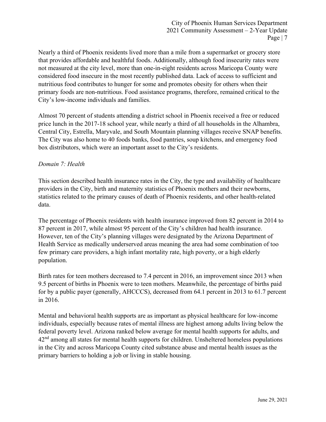Nearly a third of Phoenix residents lived more than a mile from a supermarket or grocery store that provides affordable and healthful foods. Additionally, although food insecurity rates were not measured at the city level, more than one-in-eight residents across Maricopa County were considered food insecure in the most recently published data. Lack of access to sufficient and nutritious food contributes to hunger for some and promotes obesity for others when their primary foods are non-nutritious. Food assistance programs, therefore, remained critical to the City's low-income individuals and families.

Almost 70 percent of students attending a district school in Phoenix received a free or reduced price lunch in the 2017-18 school year, while nearly a third of all households in the Alhambra, Central City, Estrella, Maryvale, and South Mountain planning villages receive SNAP benefits. The City was also home to 40 foods banks, food pantries, soup kitchens, and emergency food box distributors, which were an important asset to the City's residents.

#### *Domain 7: Health*

This section described health insurance rates in the City, the type and availability of healthcare providers in the City, birth and maternity statistics of Phoenix mothers and their newborns, statistics related to the primary causes of death of Phoenix residents, and other health-related data.

The percentage of Phoenix residents with health insurance improved from 82 percent in 2014 to 87 percent in 2017, while almost 95 percent of the City's children had health insurance. However, ten of the City's planning villages were designated by the Arizona Department of Health Service as medically underserved areas meaning the area had some combination of too few primary care providers, a high infant mortality rate, high poverty, or a high elderly population.

Birth rates for teen mothers decreased to 7.4 percent in 2016, an improvement since 2013 when 9.5 percent of births in Phoenix were to teen mothers. Meanwhile, the percentage of births paid for by a public payer (generally, AHCCCS), decreased from 64.1 percent in 2013 to 61.7 percent in 2016.

Mental and behavioral health supports are as important as physical healthcare for low-income individuals, especially because rates of mental illness are highest among adults living below the federal poverty level. Arizona ranked below average for mental health supports for adults, and  $42<sup>nd</sup>$  among all states for mental health supports for children. Unsheltered homeless populations in the City and across Maricopa County cited substance abuse and mental health issues as the primary barriers to holding a job or living in stable housing.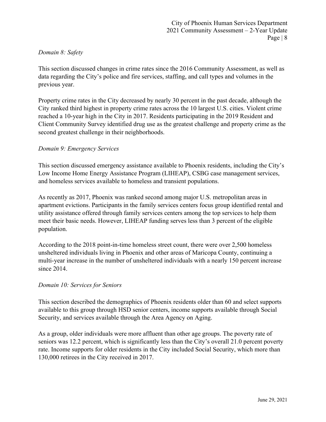#### *Domain 8: Safety*

This section discussed changes in crime rates since the 2016 Community Assessment, as well as data regarding the City's police and fire services, staffing, and call types and volumes in the previous year.

Property crime rates in the City decreased by nearly 30 percent in the past decade, although the City ranked third highest in property crime rates across the 10 largest U.S. cities. Violent crime reached a 10-year high in the City in 2017. Residents participating in the 2019 Resident and Client Community Survey identified drug use as the greatest challenge and property crime as the second greatest challenge in their neighborhoods.

#### *Domain 9: Emergency Services*

This section discussed emergency assistance available to Phoenix residents, including the City's Low Income Home Energy Assistance Program (LIHEAP), CSBG case management services, and homeless services available to homeless and transient populations.

As recently as 2017, Phoenix was ranked second among major U.S. metropolitan areas in apartment evictions. Participants in the family services centers focus group identified rental and utility assistance offered through family services centers among the top services to help them meet their basic needs. However, LIHEAP funding serves less than 3 percent of the eligible population.

According to the 2018 point-in-time homeless street count, there were over 2,500 homeless unsheltered individuals living in Phoenix and other areas of Maricopa County, continuing a multi-year increase in the number of unsheltered individuals with a nearly 150 percent increase since 2014.

#### *Domain 10: Services for Seniors*

This section described the demographics of Phoenix residents older than 60 and select supports available to this group through HSD senior centers, income supports available through Social Security, and services available through the Area Agency on Aging.

As a group, older individuals were more affluent than other age groups. The poverty rate of seniors was 12.2 percent, which is significantly less than the City's overall 21.0 percent poverty rate. Income supports for older residents in the City included Social Security, which more than 130,000 retirees in the City received in 2017.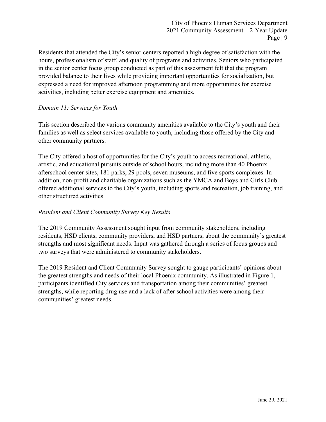Residents that attended the City's senior centers reported a high degree of satisfaction with the hours, professionalism of staff, and quality of programs and activities. Seniors who participated in the senior center focus group conducted as part of this assessment felt that the program provided balance to their lives while providing important opportunities for socialization, but expressed a need for improved afternoon programming and more opportunities for exercise activities, including better exercise equipment and amenities.

## *Domain 11: Services for Youth*

This section described the various community amenities available to the City's youth and their families as well as select services available to youth, including those offered by the City and other community partners.

The City offered a host of opportunities for the City's youth to access recreational, athletic, artistic, and educational pursuits outside of school hours, including more than 40 Phoenix afterschool center sites, 181 parks, 29 pools, seven museums, and five sports complexes. In addition, non-profit and charitable organizations such as the YMCA and Boys and Girls Club offered additional services to the City's youth, including sports and recreation, job training, and other structured activities

#### *Resident and Client Community Survey Key Results*

The 2019 Community Assessment sought input from community stakeholders, including residents, HSD clients, community providers, and HSD partners, about the community's greatest strengths and most significant needs. Input was gathered through a series of focus groups and two surveys that were administered to community stakeholders.

The 2019 Resident and Client Community Survey sought to gauge participants' opinions about the greatest strengths and needs of their local Phoenix community. As illustrated in Figure 1, participants identified City services and transportation among their communities' greatest strengths, while reporting drug use and a lack of after school activities were among their communities' greatest needs.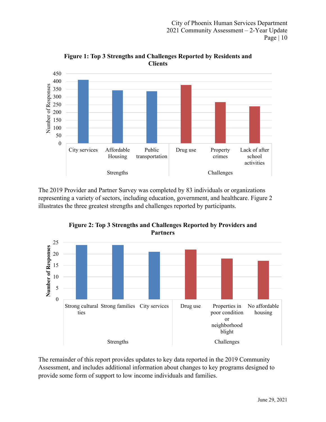

**Figure 1: Top 3 Strengths and Challenges Reported by Residents and Clients**

The 2019 Provider and Partner Survey was completed by 83 individuals or organizations representing a variety of sectors, including education, government, and healthcare. Figure 2 illustrates the three greatest strengths and challenges reported by participants.



**Figure 2: Top 3 Strengths and Challenges Reported by Providers and Partners**

The remainder of this report provides updates to key data reported in the 2019 Community Assessment, and includes additional information about changes to key programs designed to provide some form of support to low income individuals and families.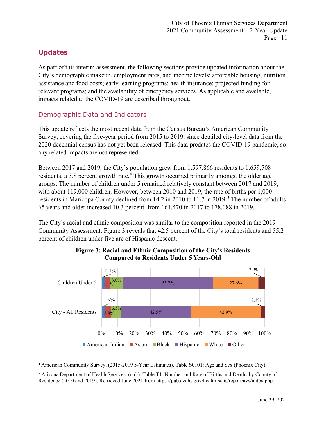# <span id="page-12-0"></span>**Updates**

As part of this interim assessment, the following sections provide updated information about the City's demographic makeup, employment rates, and income levels; affordable housing; nutrition assistance and food costs; early learning programs; health insurance; projected funding for relevant programs; and the availability of emergency services. As applicable and available, impacts related to the COVID-19 are described throughout.

# <span id="page-12-1"></span>Demographic Data and Indicators

This update reflects the most recent data from the Census Bureau's American Community Survey, covering the five-year period from 2015 to 2019, since detailed city-level data from the 2020 decennial census has not yet been released. This data predates the COVID-19 pandemic, so any related impacts are not represented.

Between 2017 and 2019, the City's population grew from 1,597,866 residents to 1,659,508 residents, a 3.8 percent growth rate.<sup>[4](#page-12-2)</sup> This growth occurred primarily amongst the older age groups. The number of children under 5 remained relatively constant between 2017 and 2019, with about 119,000 children. However, between 2010 and 2019, the rate of births per 1,000 residents in Maricopa County declined from  $14.2$  in 2010 to  $11.7$  in 2019.<sup>[5](#page-12-3)</sup> The number of adults 65 years and older increased 10.3 percent. from 161,470 in 2017 to 178,088 in 2019.

The City's racial and ethnic composition was similar to the composition reported in the 2019 Community Assessment. Figure 3 reveals that 42.5 percent of the City's total residents and 55.2 percent of children under five are of Hispanic descent.



## **Figure 3: Racial and Ethnic Composition of the City's Residents Compared to Residents Under 5 Years-Old**

<span id="page-12-2"></span><sup>4</sup> American Community Survey. (2015-2019 5-Year Estimates). Table S0101: Age and Sex (Phoenix City).

<span id="page-12-3"></span><sup>5</sup> Arizona Department of Health Services. (n.d.). Table T1: Number and Rate of Births and Deaths by County of Residence (2010 and 2019). Retrieved June 2021 from [https://pub.azdhs.gov/health-stats/report/avs/index.php.](https://pub.azdhs.gov/health-stats/report/avs/index.php)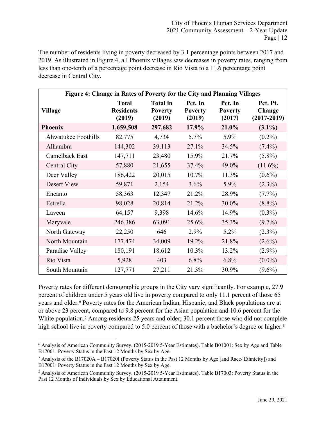The number of residents living in poverty decreased by 3.1 percentage points between 2017 and 2019. As illustrated in Figure 4, all Phoenix villages saw decreases in poverty rates, ranging from less than one-tenth of a percentage point decrease in Rio Vista to a 11.6 percentage point decrease in Central City.

| Figure 4: Change in Rates of Poverty for the City and Planning Villages |                                            |                                             |                                     |                                     |                                       |  |  |  |  |  |  |  |  |  |
|-------------------------------------------------------------------------|--------------------------------------------|---------------------------------------------|-------------------------------------|-------------------------------------|---------------------------------------|--|--|--|--|--|--|--|--|--|
| Village                                                                 | <b>Total</b><br><b>Residents</b><br>(2019) | <b>Total</b> in<br><b>Poverty</b><br>(2019) | Pct. In<br><b>Poverty</b><br>(2019) | Pct. In<br><b>Poverty</b><br>(2017) | Pct. Pt.<br>Change<br>$(2017 - 2019)$ |  |  |  |  |  |  |  |  |  |
| <b>Phoenix</b>                                                          | 1,659,508                                  | 297,682                                     | 17.9%                               | 21.0%                               | $(3.1\%)$                             |  |  |  |  |  |  |  |  |  |
| Ahwatukee Foothills                                                     | 82,775                                     | 4,734                                       | 5.7%                                | 5.9%                                | $(0.2\%)$                             |  |  |  |  |  |  |  |  |  |
| Alhambra                                                                | 144,302                                    | 39,113                                      | 27.1%                               | 34.5%                               | $(7.4\%)$                             |  |  |  |  |  |  |  |  |  |
| Camelback East                                                          | 147,711                                    | 23,480                                      | 15.9%                               | 21.7%                               | $(5.8\%)$                             |  |  |  |  |  |  |  |  |  |
| Central City                                                            | 57,880                                     | 21,655                                      | 37.4%                               | 49.0%                               | $(11.6\%)$                            |  |  |  |  |  |  |  |  |  |
| Deer Valley                                                             | 186,422                                    | 20,015                                      | 10.7%                               | 11.3%                               | $(0.6\%)$                             |  |  |  |  |  |  |  |  |  |
| Desert View                                                             | 59,871                                     | 2,154                                       | 3.6%                                | 5.9%                                | $(2.3\%)$                             |  |  |  |  |  |  |  |  |  |
| Encanto                                                                 | 58,363                                     | 12,347                                      | 21.2%                               | 28.9%                               | $(7.7\%)$                             |  |  |  |  |  |  |  |  |  |
| Estrella                                                                | 98,028                                     | 20,814                                      | 21.2%                               | 30.0%                               | $(8.8\%)$                             |  |  |  |  |  |  |  |  |  |
| Laveen                                                                  | 64,157                                     | 9,398                                       | 14.6%                               | 14.9%                               | $(0.3\%)$                             |  |  |  |  |  |  |  |  |  |
| Maryvale                                                                | 246,386                                    | 63,091                                      | 25.6%                               | 35.3%                               | $(9.7\%)$                             |  |  |  |  |  |  |  |  |  |
| North Gateway                                                           | 22,250                                     | 646                                         | 2.9%                                | 5.2%                                | $(2.3\%)$                             |  |  |  |  |  |  |  |  |  |
| North Mountain                                                          | 177,474                                    | 34,009                                      | 19.2%                               | 21.8%                               | $(2.6\%)$                             |  |  |  |  |  |  |  |  |  |
| Paradise Valley                                                         | 180,191                                    | 18,612                                      | 10.3%                               | 13.2%                               | $(2.9\%)$                             |  |  |  |  |  |  |  |  |  |
| Rio Vista                                                               | 5,928                                      | 403                                         | $6.8\%$                             | 6.8%                                | $(0.0\%)$                             |  |  |  |  |  |  |  |  |  |
| South Mountain                                                          | 127,771                                    | 27,211                                      | 21.3%                               | 30.9%                               | $(9.6\%)$                             |  |  |  |  |  |  |  |  |  |

Poverty rates for different demographic groups in the City vary significantly. For example, 27.9 percent of children under 5 years old live in poverty compared to only 11.1 percent of those 65 years and older.[6](#page-13-0) Poverty rates for the American Indian, Hispanic, and Black populations are at or above 23 percent, compared to 9.8 percent for the Asian population and 10.6 percent for the White population.<sup>[7](#page-13-1)</sup> Among residents 25 years and older, 30.1 percent those who did not complete high school live in poverty compared to 5.0 percent of those with a bachelor's degree or higher.<sup>[8](#page-13-2)</sup>

<span id="page-13-0"></span><sup>6</sup> Analysis of American Community Survey. (2015-2019 5-Year Estimates). Table B01001: Sex by Age and Table B17001: Poverty Status in the Past 12 Months by Sex by Age.

<span id="page-13-1"></span><sup>&</sup>lt;sup>7</sup> Analysis of the B17020A – B17020I (Poverty Status in the Past 12 Months by Age [and Race/ Ethnicity]) and B17001: Poverty Status in the Past 12 Months by Sex by Age.

<span id="page-13-2"></span><sup>8</sup> Analysis of American Community Survey. (2015-2019 5-Year Estimates). Table B17003: Poverty Status in the Past 12 Months of Individuals by Sex by Educational Attainment.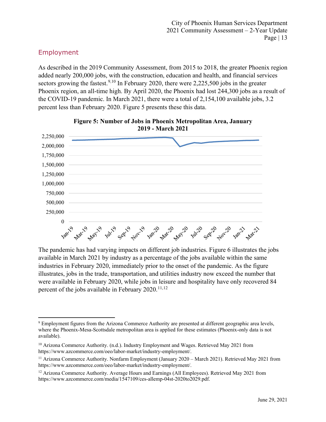## <span id="page-14-0"></span>Employment

As described in the 2019 Community Assessment, from 2015 to 2018, the greater Phoenix region added nearly 200,000 jobs, with the construction, education and health, and financial services sectors growing the fastest.<sup>[9](#page-14-1),[10](#page-14-2)</sup> In February 2020, there were 2,225,500 jobs in the greater Phoenix region, an all-time high. By April 2020, the Phoenix had lost 244,300 jobs as a result of the COVID-19 pandemic. In March 2021, there were a total of 2,154,100 available jobs, 3.2 percent less than February 2020. Figure 5 presents these this data.



**Figure 5: Number of Jobs in Phoenix Metropolitan Area, January 2019 - March 2021**

The pandemic has had varying impacts on different job industries. Figure 6 illustrates the jobs available in March 2021 by industry as a percentage of the jobs available within the same industries in February 2020, immediately prior to the onset of the pandemic. As the figure illustrates, jobs in the trade, transportation, and utilities industry now exceed the number that were available in February 2020, while jobs in leisure and hospitality have only recovered 84 percent of the jobs available in February  $2020$ .<sup>[11,](#page-14-3)[12](#page-14-4)</sup>

<span id="page-14-1"></span><sup>9</sup> Employment figures from the Arizona Commerce Authority are presented at different geographic area levels, where the Phoenix-Mesa-Scottsdale metropolitan area is applied for these estimates (Phoenix-only data is not available).

<span id="page-14-2"></span><sup>&</sup>lt;sup>10</sup> Arizona Commerce Authority. (n.d.). Industry Employment and Wages. Retrieved May 2021 from https://www.azcommerce.com/oeo/labor-market/industry-employment/.

<span id="page-14-3"></span><sup>&</sup>lt;sup>11</sup> Arizona Commerce Authority. Nonfarm Employment (January 2020 – March 2021). Retrieved May 2021 from [https://www.azcommerce.com/oeo/labor-market/industry-employment/.](https://www.azcommerce.com/oeo/labor-market/industry-employment/)

<span id="page-14-4"></span><sup>&</sup>lt;sup>12</sup> Arizona Commerce Authority. Average Hours and Earnings (All Employees). Retrieved May 2021 from https://www.azcommerce.com/media/1547109/ces-allemp-04st-2020to2029.pdf.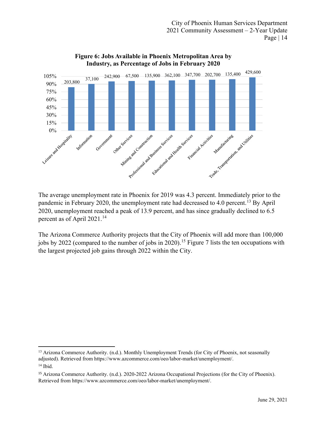

**Figure 6: Jobs Available in Phoenix Metropolitan Area by Industry, as Percentage of Jobs in February 2020**

The average unemployment rate in Phoenix for 2019 was 4.3 percent. Immediately prior to the pandemic in February 2020, the unemployment rate had decreased to 4.0 percent.<sup>[13](#page-15-0)</sup> By April 2020, unemployment reached a peak of 13.9 percent, and has since gradually declined to 6.5 percent as of April 2021.<sup>[14](#page-15-1)</sup>

The Arizona Commerce Authority projects that the City of Phoenix will add more than 100,000 jobs by 2022 (compared to the number of jobs in 2020). [15](#page-15-2) Figure 7 lists the ten occupations with the largest projected job gains through 2022 within the City.

<span id="page-15-0"></span><sup>&</sup>lt;sup>13</sup> Arizona Commerce Authority. (n.d.). Monthly Unemployment Trends (for City of Phoenix, not seasonally adjusted). Retrieved from [https://www.azcommerce.com/oeo/labor-market/unemployment/.](https://www.azcommerce.com/oeo/labor-market/unemployment/)  <sup>14</sup> Ibid.

<span id="page-15-2"></span><span id="page-15-1"></span><sup>15</sup> Arizona Commerce Authority. (n.d.). 2020-2022 Arizona Occupational Projections (for the City of Phoenix). Retrieved from https://www.azcommerce.com/oeo/labor-market/unemployment/.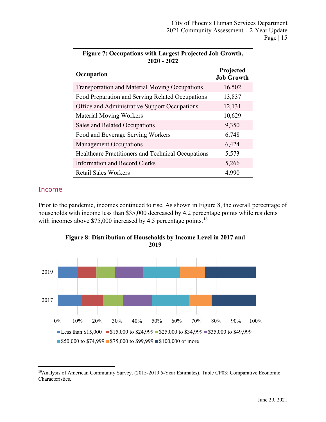| <b>Figure 7: Occupations with Largest Projected Job Growth,</b><br>$2020 - 2022$ |                                |
|----------------------------------------------------------------------------------|--------------------------------|
| Occupation                                                                       | Projected<br><b>Job Growth</b> |
| <b>Transportation and Material Moving Occupations</b>                            | 16,502                         |
| Food Preparation and Serving Related Occupations                                 | 13,837                         |
| Office and Administrative Support Occupations                                    | 12,131                         |
| <b>Material Moving Workers</b>                                                   | 10,629                         |
| Sales and Related Occupations                                                    | 9,350                          |
| Food and Beverage Serving Workers                                                | 6,748                          |
| <b>Management Occupations</b>                                                    | 6,424                          |
| Healthcare Practitioners and Technical Occupations                               | 5,573                          |
| Information and Record Clerks                                                    | 5,266                          |
| <b>Retail Sales Workers</b>                                                      | 4,990                          |

## <span id="page-16-0"></span>Income

Prior to the pandemic, incomes continued to rise. As shown in Figure 8, the overall percentage of households with income less than \$35,000 decreased by 4.2 percentage points while residents with incomes above \$75,000 increased by 4.5 percentage points.<sup>[16](#page-16-1)</sup>



**Figure 8: Distribution of Households by Income Level in 2017 and 2019**

<span id="page-16-1"></span><sup>16</sup>Analysis of American Community Survey. (2015-2019 5-Year Estimates). Table CP03: Comparative Economic Characteristics.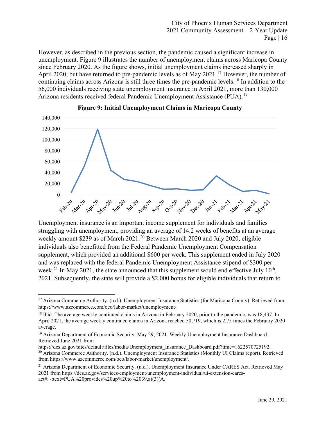However, as described in the previous section, the pandemic caused a significant increase in unemployment. Figure 9 illustrates the number of unemployment claims across Maricopa County since February 2020. As the figure shows, initial unemployment claims increased sharply in April 2020, but have returned to pre-pandemic levels as of May 2021.<sup>[17](#page-17-0)</sup> However, the number of continuing claims across Arizona is still three times the pre-pandemic levels.[18](#page-17-1) In addition to the 56,000 individuals receiving state unemployment insurance in April 2021, more than 130,000 Arizona residents received federal Pandemic Unemployment Assistance (PUA).<sup>[19](#page-17-2)</sup>



#### **Figure 9: Initial Unemployment Claims in Maricopa County**

Unemployment insurance is an important income supplement for individuals and families struggling with unemployment, providing an average of 14.2 weeks of benefits at an average weekly amount \$239 as of March [20](#page-17-3)21.<sup>20</sup> Between March 2020 and July 2020, eligible individuals also benefitted from the Federal Pandemic Unemployment Compensation supplement, which provided an additional \$600 per week. This supplement ended in July 2020 and was replaced with the federal Pandemic Unemployment Assistance stipend of \$300 per week.<sup>[21](#page-17-4)</sup> In May 2021, the state announced that this supplement would end effective July  $10^{th}$ , 2021. Subsequently, the state will provide a \$2,000 bonus for eligible individuals that return to

<span id="page-17-0"></span><sup>17</sup> Arizona Commerce Authority. (n.d.). Unemployment Insurance Statistics (for Maricopa County). Retrieved from https://www.azcommerce.com/oeo/labor-market/unemployment/.

<span id="page-17-1"></span><sup>&</sup>lt;sup>18</sup> Ibid. The average weekly continued claims in Arizona in February 2020, prior to the pandemic, was 18,437. In April 2021, the average weekly continued claims in Arizona reached 50,719, which is 2.75 times the February 2020 average.

<span id="page-17-2"></span><sup>&</sup>lt;sup>19</sup> Arizona Department of Economic Security. May 29, 2021. Weekly Unemployment Insurance Dashboard. Retrieved June 2021 from<br>https://des.az.gov/sites/default/files/media/Unemployment Insurance Dashboard.pdf?time=1622570725192.

<span id="page-17-3"></span><sup>&</sup>lt;sup>20</sup> Arizona Commerce Authority. (n.d.). Unemployment Insurance Statistics (Monthly UI Claims report). Retrieved from https://www.azcommerce.com/oeo/labor-market/unemployment/.

<span id="page-17-4"></span><sup>&</sup>lt;sup>21</sup> Arizona Department of Economic Security. (n.d.). Unemployment Insurance Under CARES Act. Retrieved May 2021 from https://des.az.gov/services/employment/unemployment-individual/ui-extension-caresact#:~:text=PUA%20provides%20up%20to%2039,a)(3)(A.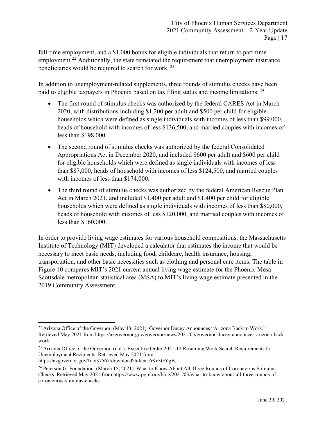full-time employment, and a \$1,000 bonus for eligible individuals that return to part-time employment.<sup>[22](#page-18-0)</sup> Additionally, the state reinstated the requirement that unemployment insurance beneficiaries would be required to search for work. [23](#page-18-1)

In addition to unemployment-related supplements, three rounds of stimulus checks have been paid to eligible taxpayers in Phoenix based on tax filing status and income limitations: [24](#page-18-2)

- The first round of stimulus checks was authorized by the federal CARES Act in March 2020, with distributions including \$1,200 per adult and \$500 per child for eligible households which were defined as single individuals with incomes of less than \$99,000, heads of household with incomes of less \$136,500, and married couples with incomes of less than \$198,000.
- The second round of stimulus checks was authorized by the federal Consolidated Appropriations Act in December 2020, and included \$600 per adult and \$600 per child for eligible households which were defined as single individuals with incomes of less than \$87,000, heads of household with incomes of less \$124,500, and married couples with incomes of less than \$174,000.
- The third round of stimulus checks was authorized by the federal American Rescue Plan Act in March 2021, and included \$1,400 per adult and \$1,400 per child for eligible households which were defined as single individuals with incomes of less than \$80,000, heads of household with incomes of less \$120,000, and married couples with incomes of less than \$160,000.

In order to provide living wage estimates for various household compositions, the Massachusetts Institute of Technology (MIT) developed a calculator that estimates the income that would be necessary to meet basic needs, including food, childcare, health insurance, housing, transportation, and other basic necessities such as clothing and personal care items. The table in Figure 10 compares MIT's 2021 current annual living wage estimate for the Phoenix-Mesa-Scottsdale metropolitan statistical area (MSA) to MIT's living wage estimate presented in the 2019 Community Assessment.

<span id="page-18-0"></span><sup>&</sup>lt;sup>22</sup> Arizona Office of the Governor. (May 13, 2021). Governor Ducey Announces "Arizona Back to Work." Retrieved May 2021 from https://azgovernor.gov/governor/news/2021/05/governor-ducey-announces-arizona-backwork.

<span id="page-18-1"></span><sup>&</sup>lt;sup>23</sup> Arizona Office of the Governor. (n.d.). Executive Order 2021-12 Resuming Work Search Requirements for Unemployment Recipients. Retrieved May 2021 from

https://azgovernor.gov/file/37567/download?token=6Kc3GYgB.

<span id="page-18-2"></span><sup>&</sup>lt;sup>24</sup> Peterson G. Foundation. (March 15, 2021). What to Know About All Three Rounds of Coronavirus Stimulus Checks. Retrieved May 2021 from https://www.pgpf.org/blog/2021/03/what-to-know-about-all-three-rounds-ofcoronavirus-stimulus-checks.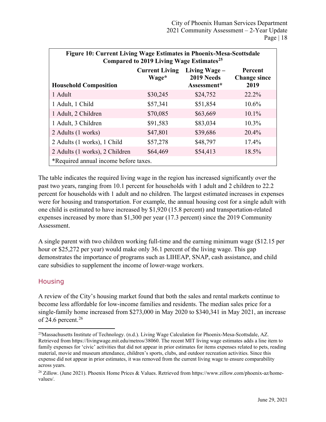| Figure 10: Current Living Wage Estimates in Phoenix-Mesa-Scottsdale | Compared to 2019 Living Wage Estimates <sup>25</sup>                                                                                                     |          |          |  |  |  |  |  |  |  |  |  |  |  |
|---------------------------------------------------------------------|----------------------------------------------------------------------------------------------------------------------------------------------------------|----------|----------|--|--|--|--|--|--|--|--|--|--|--|
|                                                                     | <b>Current Living</b><br>Living Wage $-$<br>Percent<br>2019 Needs<br>Wage*<br><b>Change since</b><br>Assessment*<br>2019<br><b>Household Composition</b> |          |          |  |  |  |  |  |  |  |  |  |  |  |
| 1 Adult                                                             | \$30,245                                                                                                                                                 | \$24,752 | $22.2\%$ |  |  |  |  |  |  |  |  |  |  |  |
| 1 Adult, 1 Child                                                    | \$57,341                                                                                                                                                 | \$51,854 | 10.6%    |  |  |  |  |  |  |  |  |  |  |  |
| 1 Adult, 2 Children                                                 | \$70,085                                                                                                                                                 | \$63,669 | $10.1\%$ |  |  |  |  |  |  |  |  |  |  |  |
| 1 Adult, 3 Children                                                 | \$91,583                                                                                                                                                 | \$83,034 | 10.3%    |  |  |  |  |  |  |  |  |  |  |  |
| 2 Adults (1 works)                                                  | \$47,801                                                                                                                                                 | \$39,686 | 20.4%    |  |  |  |  |  |  |  |  |  |  |  |
| 2 Adults (1 works), 1 Child                                         | \$57,278                                                                                                                                                 | \$48,797 | 17.4%    |  |  |  |  |  |  |  |  |  |  |  |
| 2 Adults (1 works), 2 Children                                      | \$64,469                                                                                                                                                 | \$54,413 | 18.5%    |  |  |  |  |  |  |  |  |  |  |  |
| *Required annual income before taxes.                               |                                                                                                                                                          |          |          |  |  |  |  |  |  |  |  |  |  |  |

The table indicates the required living wage in the region has increased significantly over the past two years, ranging from 10.1 percent for households with 1 adult and 2 children to 22.2 percent for households with 1 adult and no children. The largest estimated increases in expenses were for housing and transportation. For example, the annual housing cost for a single adult with one child is estimated to have increased by \$1,920 (15.8 percent) and transportation-related expenses increased by more than \$1,300 per year (17.3 percent) since the 2019 Community Assessment.

A single parent with two children working full-time and the earning minimum wage (\$12.15 per hour or \$25,272 per year) would make only 36.1 percent of the living wage. This gap demonstrates the importance of programs such as LIHEAP, SNAP, cash assistance, and child care subsidies to supplement the income of lower-wage workers.

## <span id="page-19-0"></span>**Housing**

A review of the City's housing market found that both the sales and rental markets continue to become less affordable for low-income families and residents. The median sales price for a single-family home increased from \$273,000 in May 2020 to \$340,341 in May 2021, an increase of 24.6 percent. [26](#page-19-2)

<span id="page-19-1"></span><sup>&</sup>lt;sup>25</sup>Massachusetts Institute of Technology. (n.d.). Living Wage Calculation for Phoenix-Mesa-Scottsdale, AZ. Retrieved from https://livingwage.mit.edu/metros/38060. The recent MIT living wage estimates adds a line item to family expenses for 'civic' activities that did not appear in prior estimates for items expenses related to pets, reading material, movie and museum attendance, children's sports, clubs, and outdoor recreation activities. Since this expense did not appear in prior estimates, it was removed from the current living wage to ensure comparability across years.

<span id="page-19-2"></span><sup>26</sup> Zillow. (June 2021). Phoenix Home Prices & Values. Retrieved from https://www.zillow.com/phoenix-az/homevalues/.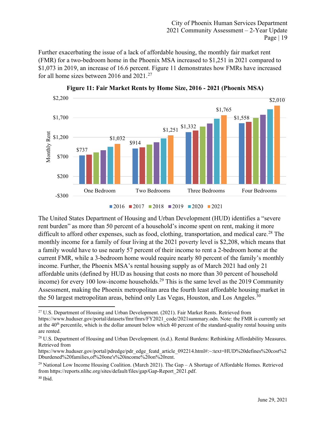Further exacerbating the issue of a lack of affordable housing, the monthly fair market rent (FMR) for a two-bedroom home in the Phoenix MSA increased to \$1,251 in 2021 compared to \$1,073 in 2019, an increase of 16.6 percent. Figure 11 demonstrates how FMRs have increased for all home sizes between 2016 and 2021.<sup>[27](#page-20-0)</sup>



**Figure 11: Fair Market Rents by Home Size, 2016 - 2021 (Phoenix MSA)**



The United States Department of Housing and Urban Development (HUD) identifies a "severe rent burden" as more than 50 percent of a household's income spent on rent, making it more difficult to afford other expenses, such as food, clothing, transportation, and medical care.<sup>[28](#page-20-1)</sup> The monthly income for a family of four living at the 2021 poverty level is \$2,208, which means that a family would have to use nearly 57 percent of their income to rent a 2-bedroom home at the current FMR, while a 3-bedroom home would require nearly 80 percent of the family's monthly income. Further, the Phoenix MSA's rental housing supply as of March 2021 had only 21 affordable units (defined by HUD as housing that costs no more than 30 percent of household income) for every 100 low-income households.<sup>[29](#page-20-2)</sup> This is the same level as the 2019 Community Assessment, making the Phoenix metropolitan area the fourth least affordable housing market in the 50 largest metropolitan areas, behind only Las Vegas, Houston, and Los Angeles.<sup>[30](#page-20-3)</sup>

<span id="page-20-0"></span><sup>&</sup>lt;sup>27</sup> U.S. Department of Housing and Urban Development. (2021). Fair Market Rents. Retrieved from https://www.huduser.gov/portal/datasets/fmr/fmrs/FY2021\_code/2021summary.odn. Note: the FMR is currently set at the 40<sup>th</sup> percentile, which is the dollar amount below which 40 percent of the standard-quality rental housing units are rented.

<span id="page-20-1"></span><sup>&</sup>lt;sup>28</sup> U.S. Department of Housing and Urban Development. (n.d.). Rental Burdens: Rethinking Affordability Measures. Retrieved from

https://www.huduser.gov/portal/pdredge/pdr\_edge\_featd\_article\_092214.html#:~:text=HUD%20defines%20cost%2 Dburdened%20families,of%20one's%20income%20on%20rent.

<span id="page-20-3"></span><span id="page-20-2"></span> $29$  National Low Income Housing Coalition. (March 2021). The Gap – A Shortage of Affordable Homes. Retrieved from https://reports.nlihc.org/sites/default/files/gap/Gap-Report\_2021.pdf.  $30$  Ibid.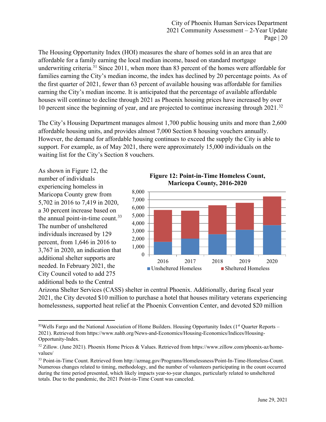The Housing Opportunity Index (HOI) measures the share of homes sold in an area that are affordable for a family earning the local median income, based on standard mortgage underwriting criteria.<sup>[31](#page-21-0)</sup> Since 2011, when more than 83 percent of the homes were affordable for families earning the City's median income, the index has declined by 20 percentage points. As of the first quarter of 2021, fewer than 63 percent of available housing was affordable for families earning the City's median income. It is anticipated that the percentage of available affordable houses will continue to decline through 2021 as Phoenix housing prices have increased by over 10 percent since the beginning of year, and are projected to continue increasing through 2021.<sup>[32](#page-21-1)</sup>

The City's Housing Department manages almost 1,700 public housing units and more than 2,600 affordable housing units, and provides almost 7,000 Section 8 housing vouchers annually. However, the demand for affordable housing continues to exceed the supply the City is able to support. For example, as of May 2021, there were approximately 15,000 individuals on the waiting list for the City's Section 8 vouchers.

As shown in Figure 12, the number of individuals experiencing homeless in Maricopa County grew from 5,702 in 2016 to 7,419 in 2020, a 30 percent increase based on the annual point-in-time count.<sup>[33](#page-21-2)</sup> The number of unsheltered individuals increased by 129 percent, from 1,646 in 2016 to 3,767 in 2020, an indication that additional shelter supports are needed. In February 2021, the City Council voted to add 275 additional beds to the Central

**Figure 12: Point-in-Time Homeless Count, Maricopa County, 2016-2020**



Arizona Shelter Services (CASS) shelter in central Phoenix. Additionally, during fiscal year 2021, the City devoted \$10 million to purchase a hotel that houses military veterans experiencing homelessness, supported heat relief at the Phoenix Convention Center, and devoted \$20 million

<span id="page-21-0"></span><sup>&</sup>lt;sup>31</sup>Wells Fargo and the National Association of Home Builders. Housing Opportunity Index (1<sup>st</sup> Quarter Reports – 2021). Retrieved from https://www.nahb.org/News-and-Economics/Housing-Economics/Indices/Housing-Opportunity-Index.

<span id="page-21-1"></span><sup>32</sup> Zillow. (June 2021). Phoenix Home Prices & Values. Retrieved from https://www.zillow.com/phoenix-az/homevalues/

<span id="page-21-2"></span><sup>33</sup> Point-in-Time Count. Retrieved from http://azmag.gov/Programs/Homelessness/Point-In-Time-Homeless-Count. Numerous changes related to timing, methodology, and the number of volunteers participating in the count occurred during the time period presented, which likely impacts year-to-year changes, particularly related to unsheltered totals. Due to the pandemic, the 2021 Point-in-Time Count was canceled.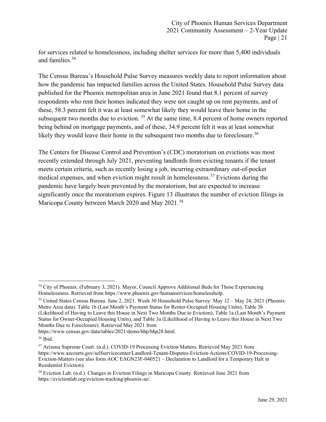for services related to homelessness, including shelter services for more than 5,400 individuals and families.[34](#page-22-0)

The Census Bureau's Household Pulse Survey measures weekly data to report information about how the pandemic has impacted families across the United States. Household Pulse Survey data published for the Phoenix metropolitan area in June 2021 found that 8.1 percent of survey respondents who rent their homes indicated they were not caught up on rent payments, and of these, 58.3 percent felt it was at least somewhat likely they would leave their home in the subsequent two months due to eviction.<sup>[35](#page-22-1)</sup> At the same time, 8.4 percent of home owners reported being behind on mortgage payments, and of these, 34.9 percent felt it was at least somewhat likely they would leave their home in the subsequent two months due to foreclosure.<sup>[36](#page-22-2)</sup>

The Centers for Disease Control and Prevention's (CDC) moratorium on evictions was most recently extended through July 2021, preventing landlords from evicting tenants if the tenant meets certain criteria, such as recently losing a job, incurring extraordinary out-of-pocket medical expenses, and when eviction might result in homelessness.<sup>[37](#page-22-3)</sup> Evictions during the pandemic have largely been prevented by the moratorium, but are expected to increase significantly once the moratorium expires. Figure 13 illustrates the number of eviction filings in Maricopa County between March 2020 and May 2021.<sup>[38](#page-22-4)</sup>

https://www.census.gov/data/tables/2021/demo/hhp/hhp28.html.

<span id="page-22-0"></span><sup>&</sup>lt;sup>34</sup> City of Phoenix. (February 3, 2021). Mayor, Council Approve Additional Beds for Those Experiencing Homelessness. Retrieved from https://www.phoenix.gov/humanservices/homelesshelp.

<span id="page-22-1"></span><sup>35</sup> United States Census Bureau. June 2, 2021. Week 30 Household Pulse Survey: May 12 – May 24, 2021 (Phoenix Metro Area data). Table 1b (Last Month's Payment Status for Renter-Occupied Housing Units), Table 3b (Likelihood of Having to Leave this House in Next Two Months Due to Eviction), Table 1a (Last Month's Payment Status for Owner-Occupied Housing Units), and Table 3a (Likelihood of Having to Leave this House in Next Two Months Due to Foreclosure). Retrieved May 2021 from

<span id="page-22-2"></span><sup>36</sup> Ibid.

<span id="page-22-3"></span><sup>37</sup> Arizona Supreme Court. (n.d.). COVID-19 Processing Eviction Matters. Retrieved May 2021 from https://www.azcourts.gov/selfservicecenter/Landlord-Tenant-Disputes-Eviction-Actions/COVID-19-Processing-Eviction-Matters (see also form AOC EAGN23F-040521 – Declaration to Landlord for a Temporary Halt in Residential Eviction).

<span id="page-22-4"></span><sup>38</sup> Eviction Lab. (n.d.). Changes in Eviction Filings in Maricopa County. Retrieved June 2021 from [https://evictionlab.org/eviction-tracking/phoenix-az/.](https://evictionlab.org/eviction-tracking/phoenix-az/)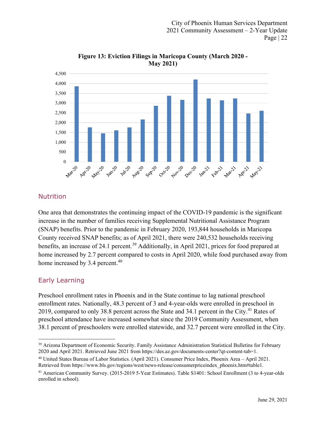

**Figure 13: Eviction Filings in Maricopa County (March 2020 - May 2021)**

## <span id="page-23-0"></span>Nutrition

One area that demonstrates the continuing impact of the COVID-19 pandemic is the significant increase in the number of families receiving Supplemental Nutritional Assistance Program (SNAP) benefits. Prior to the pandemic in February 2020, 193,844 households in Maricopa County received SNAP benefits; as of April 2021, there were 240,532 households receiving benefits, an increase of 24.1 percent.<sup>[39](#page-23-2)</sup> Additionally, in April 2021, prices for food prepared at home increased by 2.7 percent compared to costs in April 2020, while food purchased away from home increased by 3.4 percent.<sup>[40](#page-23-3)</sup>

## <span id="page-23-1"></span>Early Learning

Preschool enrollment rates in Phoenix and in the State continue to lag national preschool enrollment rates. Nationally, 48.3 percent of 3 and 4-year-olds were enrolled in preschool in 2019, compared to only 38.8 percent across the State and 34.1 percent in the City.<sup>[41](#page-23-4)</sup> Rates of preschool attendance have increased somewhat since the 2019 Community Assessment, when 38.1 percent of preschoolers were enrolled statewide, and 32.7 percent were enrolled in the City.

<span id="page-23-2"></span><sup>&</sup>lt;sup>39</sup> Arizona Department of Economic Security. Family Assistance Administration Statistical Bulletins for February 2020 and April 2021. Retrieved June 2021 from https://des.az.gov/documents-center?qt-content-tab=1.

<span id="page-23-3"></span><sup>40</sup> United States Bureau of Labor Statistics. (April 2021). Consumer Price Index, Phoenix Area – April 2021. Retrieved from https://www.bls.gov/regions/west/news-release/consumerpriceindex\_phoenix.htm#table1.

<span id="page-23-4"></span><sup>&</sup>lt;sup>41</sup> American Community Survey. (2015-2019 5-Year Estimates). Table S1401: School Enrollment (3 to 4-year-olds enrolled in school).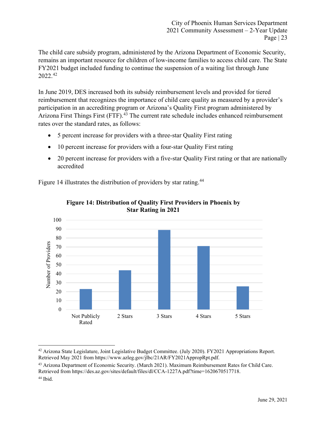The child care subsidy program, administered by the Arizona Department of Economic Security, remains an important resource for children of low-income families to access child care. The State FY2021 budget included funding to continue the suspension of a waiting list through June 2022. [42](#page-24-0)

In June 2019, DES increased both its subsidy reimbursement levels and provided for tiered reimbursement that recognizes the importance of child care quality as measured by a provider's participation in an accrediting program or Arizona's Quality First program administered by Arizona First Things First (FTF).<sup>[43](#page-24-1)</sup> The current rate schedule includes enhanced reimbursement rates over the standard rates, as follows:

- 5 percent increase for providers with a three-star Quality First rating
- 10 percent increase for providers with a four-star Quality First rating
- 20 percent increase for providers with a five-star Quality First rating or that are nationally accredited

Figure 14 illustrates the distribution of providers by star rating.<sup>[44](#page-24-2)</sup>



## **Figure 14: Distribution of Quality First Providers in Phoenix by Star Rating in 2021**

<span id="page-24-2"></span><span id="page-24-1"></span><sup>43</sup> Arizona Department of Economic Security. (March 2021). Maximum Reimbursement Rates for Child Care. Retrieved from https://des.az.gov/sites/default/files/dl/CCA-1227A.pdf?time=1620670517718. <sup>44</sup> Ibid.

<span id="page-24-0"></span> $42$  Arizona State Legislature, Joint Legislative Budget Committee. (July 2020). FY2021 Appropriations Report. Retrieved May 2021 from https://www.azleg.gov/jlbc/21AR/FY2021AppropRpt.pdf.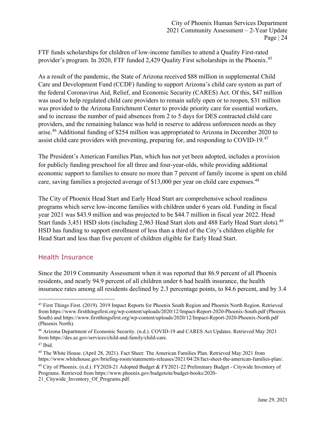FTF funds scholarships for children of low-income families to attend a Quality First-rated provider's program. In 2020, FTF funded 2,429 Quality First scholarships in the Phoenix.<sup>[45](#page-25-1)</sup>

As a result of the pandemic, the State of Arizona received \$88 million in supplemental Child Care and Development Fund (CCDF) funding to support Arizona's child care system as part of the federal Coronavirus Aid, Relief, and Economic Security (CARES) Act. Of this, \$47 million was used to help regulated child care providers to remain safely open or to reopen, \$31 million was provided to the Arizona Enrichment Center to provide priority care for essential workers, and to increase the number of paid absences from 2 to 5 days for DES contracted child care providers, and the remaining balance was held in reserve to address unforeseen needs as they arise. [46](#page-25-2) Additional funding of \$254 million was appropriated to Arizona in December 2020 to assist child care providers with preventing, preparing for, and responding to COVID-19.<sup>[47](#page-25-3)</sup>

The President's American Families Plan, which has not yet been adopted, includes a provision for publicly funding preschool for all three and four-year-olds, while providing additional economic support to families to ensure no more than 7 percent of family income is spent on child care, saving families a projected average of \$13,000 per year on child care expenses.<sup>[48](#page-25-4)</sup>

The City of Phoenix Head Start and Early Head Start are comprehensive school readiness programs which serve low-income families with children under 6 years old. Funding in fiscal year 2021 was \$43.9 million and was projected to be \$44.7 million in fiscal year 2022. Head Start funds 3,451 HSD slots (including 2,963 Head Start slots and 488 Early Head Start slots).<sup>[49](#page-25-5)</sup> HSD has funding to support enrollment of less than a third of the City's children eligible for Head Start and less than five percent of children eligible for Early Head Start.

## <span id="page-25-0"></span>Health Insurance

Since the 2019 Community Assessment when it was reported that 86.9 percent of all Phoenix residents, and nearly 94.9 percent of all children under 6 had health insurance, the health insurance rates among all residents declined by 2.3 percentage points, to 84.6 percent, and by 3.4

<span id="page-25-5"></span><sup>49</sup> City of Phoenix. (n.d.). FY2020-21 Adopted Budget & FY2021-22 Preliminary Budget - Citywide Inventory of Programs. Retrieved from https://www.phoenix.gov/budgetsite/budget-books/2020-

21 Citywide Inventory Of Programs.pdf.

<span id="page-25-1"></span><sup>45</sup> First Things First. (2019). 2019 Impact Reports for Phoenix South Region and Phoenix North Region. Retrieved from https://www.firstthingsfirst.org/wp-content/uploads/2020/12/Impact-Report-2020-Phoenix-South.pdf (Phoenix South) and https://www.firstthingsfirst.org/wp-content/uploads/2020/12/Impact-Report-2020-Phoenix-North.pdf (Phoenix North).

<span id="page-25-2"></span><sup>46</sup> Arizona Department of Economic Security. (n.d.). COVID-19 and CARES Act Updates. Retrieved May 2021 from https://des.az.gov/services/child-and-family/child-care.

<span id="page-25-3"></span> $47$  Ibid.

<span id="page-25-4"></span><sup>48</sup> The White House. (April 28, 2021). Fact Sheet: The American Families Plan. Retrieved May 2021 from https://www.whitehouse.gov/briefing-room/statements-releases/2021/04/28/fact-sheet-the-american-families-plan/.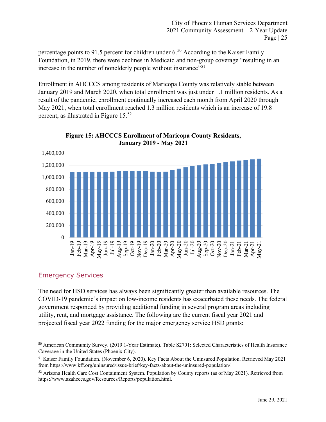percentage points to 91.5 percent for children under  $6<sup>50</sup>$  $6<sup>50</sup>$  $6<sup>50</sup>$  According to the Kaiser Family Foundation, in 2019, there were declines in Medicaid and non-group coverage "resulting in an increase in the number of nonelderly people without insurance"<sup>[51](#page-26-2)</sup>

Enrollment in AHCCCS among residents of Maricopa County was relatively stable between January 2019 and March 2020, when total enrollment was just under 1.1 million residents. As a result of the pandemic, enrollment continually increased each month from April 2020 through May 2021, when total enrollment reached 1.3 million residents which is an increase of 19.8 percent, as illustrated in Figure 15.<sup>[52](#page-26-3)</sup>



**Figure 15: AHCCCS Enrollment of Maricopa County Residents, January 2019 - May 2021**

# <span id="page-26-0"></span>Emergency Services

The need for HSD services has always been significantly greater than available resources. The COVID-19 pandemic's impact on low-income residents has exacerbated these needs. The federal government responded by providing additional funding in several program areas including utility, rent, and mortgage assistance. The following are the current fiscal year 2021 and projected fiscal year 2022 funding for the major emergency service HSD grants:

<span id="page-26-1"></span><sup>50</sup> American Community Survey. (2019 1-Year Estimate). Table S2701: Selected Characteristics of Health Insurance Coverage in the United States (Phoenix City).

<span id="page-26-2"></span><sup>51</sup> Kaiser Family Foundation. (November 6, 2020). Key Facts About the Uninsured Population. Retrieved May 2021 from https://www.kff.org/uninsured/issue-brief/key-facts-about-the-uninsured-population/.

<span id="page-26-3"></span><sup>&</sup>lt;sup>52</sup> Arizona Health Care Cost Containment System. Population by County reports (as of May 2021). Retrieved from https://www.azahcccs.gov/Resources/Reports/population.html.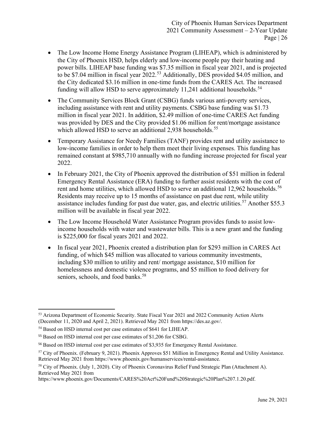- The Low Income Home Energy Assistance Program (LIHEAP), which is administered by the City of Phoenix HSD, helps elderly and low-income people pay their heating and power bills. LIHEAP base funding was \$7.35 million in fiscal year 2021, and is projected to be \$7.04 million in fiscal year 2022.<sup>[53](#page-27-0)</sup> Additionally, DES provided \$4.05 million, and the City dedicated \$3.16 million in one-time funds from the CARES Act. The increased funding will allow HSD to serve approximately 11,241 additional households.<sup>[54](#page-27-1)</sup>
- The Community Services Block Grant (CSBG) funds various anti-poverty services, including assistance with rent and utility payments. CSBG base funding was \$1.73 million in fiscal year 2021. In addition, \$2.49 million of one-time CARES Act funding was provided by DES and the City provided \$1.06 million for rent/mortgage assistance which allowed HSD to serve an additional 2,938 households.<sup>[55](#page-27-2)</sup>
- Temporary Assistance for Needy Families (TANF) provides rent and utility assistance to low-income families in order to help them meet their living expenses. This funding has remained constant at \$985,710 annually with no funding increase projected for fiscal year 2022.
- In February 2021, the City of Phoenix approved the distribution of \$51 million in federal Emergency Rental Assistance (ERA) funding to further assist residents with the cost of rent and home utilities, which allowed HSD to serve an additional 12,962 households.<sup>[56](#page-27-3)</sup> Residents may receive up to 15 months of assistance on past due rent, while utility assistance includes funding for past due water, gas, and electric utilities.<sup>[57](#page-27-4)</sup> Another \$55.3 million will be available in fiscal year 2022.
- The Low Income Household Water Assistance Program provides funds to assist lowincome households with water and wastewater bills. This is a new grant and the funding is \$225,000 for fiscal years 2021 and 2022.
- In fiscal year 2021, Phoenix created a distribution plan for \$293 million in CARES Act funding, of which \$45 million was allocated to various community investments, including \$30 million to utility and rent/ mortgage assistance, \$10 million for homelessness and domestic violence programs, and \$5 million to food delivery for seniors, schools, and food banks.<sup>[58](#page-27-5)</sup>

<span id="page-27-0"></span><sup>&</sup>lt;sup>53</sup> [Arizona](file://fileserv.hlthmgt.com/Working/Projects/72_Phoenix%20Community%20Assessment/2020-21%20Year%202%20Update/03.%20Report/Arizona) Department of Economic Security. State Fiscal Year 2021 and 2022 Community Action Alerts (December 11, 2020 and April 2, 2021). Retrieved May 2021 from [https://des.az.gov/.](https://des.az.gov/)

<span id="page-27-1"></span><sup>54</sup> Based on HSD internal cost per case estimates of \$641 for LIHEAP.

<span id="page-27-2"></span><sup>55</sup> Based on HSD internal cost per case estimates of \$1,206 for CSBG.

<span id="page-27-3"></span><sup>56</sup> Based on HSD internal cost per case estimates of \$3,935 for Emergency Rental Assistance.

<span id="page-27-4"></span><sup>57</sup> City of Phoenix. (February 9, 2021). Phoenix Approves \$51 Million in Emergency Rental and Utility Assistance. Retrieved May 2021 from https://www.phoenix.gov/humanservices/rental-assistance.

<span id="page-27-5"></span><sup>58</sup> City of Phoenix. (July 1, 2020). City of Phoenix Coronavirus Relief Fund Strategic Plan (Attachment A). Retrieved May 2021 from

https://www.phoenix.gov/Documents/CARES%20Act%20Fund%20Strategic%20Plan%207.1.20.pdf.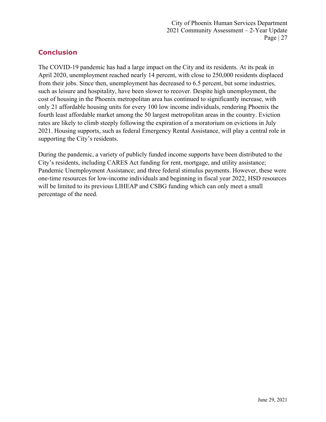# <span id="page-28-0"></span>**Conclusion**

The COVID-19 pandemic has had a large impact on the City and its residents. At its peak in April 2020, unemployment reached nearly 14 percent, with close to 250,000 residents displaced from their jobs. Since then, unemployment has decreased to 6.5 percent, but some industries, such as leisure and hospitality, have been slower to recover. Despite high unemployment, the cost of housing in the Phoenix metropolitan area has continued to significantly increase, with only 21 affordable housing units for every 100 low income individuals, rendering Phoenix the fourth least affordable market among the 50 largest metropolitan areas in the country. Eviction rates are likely to climb steeply following the expiration of a moratorium on evictions in July 2021. Housing supports, such as federal Emergency Rental Assistance, will play a central role in supporting the City's residents.

During the pandemic, a variety of publicly funded income supports have been distributed to the City's residents, including CARES Act funding for rent, mortgage, and utility assistance; Pandemic Unemployment Assistance; and three federal stimulus payments. However, these were one-time resources for low-income individuals and beginning in fiscal year 2022, HSD resources will be limited to its previous LIHEAP and CSBG funding which can only meet a small percentage of the need.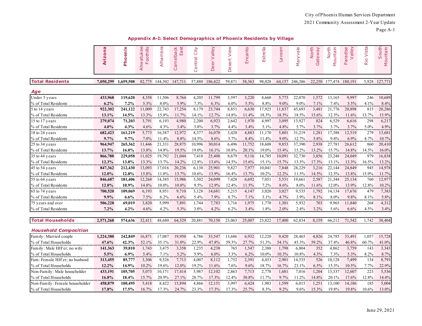|                         | <b>ID</b><br>Arizon | Phoenix   | Ф<br>oothills<br>Ahwatuke<br>$\mathbf{\mathsf{u}}$ | Alhambra | Camelback<br>East | City<br>entral<br>$\cup$ | alley<br>$\geq$<br>eer<br>$\Omega$ | View<br>ť<br>Desei | Encanto | Estrella   | Laveen  | Maryvale | North<br>teway<br>යි | North<br>Mountain | Paradise<br>Valley | Vista<br>Rio | South<br>Mountain |
|-------------------------|---------------------|-----------|----------------------------------------------------|----------|-------------------|--------------------------|------------------------------------|--------------------|---------|------------|---------|----------|----------------------|-------------------|--------------------|--------------|-------------------|
| <b>Total Residents</b>  | 7,050,299           | 1,659,508 | 82,775                                             | 144,302  | 147,71            | 57,880                   | 186,422                            | 59,87              | 58,363  | 98,028     | 64,157  | 246,386  | 22,250               | 177,474           | 180,191            | 5,928        | 127,771           |
| Age                     |                     |           |                                                    |          |                   |                          |                                    |                    |         |            |         |          |                      |                   |                    |              |                   |
| Under 5 years           | 433,968             | 119.620   | 4,358                                              | 11,506   | 8,764             | 4,205                    | 11,799                             | 3,597              | 3.220   | 8,660      | 5,773   | 22,070   | 1.572                | 13.165            | 9,997              | 246          | 10,689            |
| % of Total Residents    | 6.2%                | $7.2\%$   | 5.3%                                               | 8.0%     | 5.9%              | 7.3%                     | 6.3%                               | $6.0\%$            | 5.5%    | 8.8%       | $9.0\%$ | $9.0\%$  | 7.1%                 | 7.4%              | 5.5%               | 4.1%         | 8.4%              |
| 5 to 14 years           | 922,302             | 241,122   | 11,009                                             | 22,743   | 17,254            | 8,179                    | 23,744                             | 8,851              | 6,630   | 17,925     | 11,837  | 45,693   | 3,481                | 21,776            | 20,898             | 815          | 20,286            |
| % of Total Residents    | 13.1%               | 14.5%     | 13.3%                                              | 15.8%    | 11.7%             | 14.1%                    | 12.7%                              | 14.8%              | 11.4%   | 18.3%      | 18.5%   | 18.5%    | 15.6%                | 12.3%             | 11.6%              | 13.7%        | 15.9%             |
| 15 to 17 years          | 279,074             | 71,203    | 3,791                                              | 6,193    | 4,980             | 2,200                    | 6,923                              | 2,642              | 1,970   | 4,997      | 3,095   | 13,927   | 824                  | 6,529             | 6,616              | 298          | 6,217             |
| % of Total Residents    | 4.0%                | 4.3%      | 4.6%                                               | 4.3%     | 3.4%              | 3.8%                     | 3.7%                               | 4.4%               | 3.4%    | 5.1%       | 4.8%    | 5.7%     | 3.7%                 | 3.7%              | 3.7%               | 5.0%         | 4.9%              |
| 18 to 24 years          | 682,423             | 161,219   | 5,773                                              | 16,387   | 12,972            | 8,377                    | 16,070                             | 3,420              | 4,883   | 11,170     | 5,801   | 31,219   | 1,281                | 17,388            | 12,519             | 279          | 13,681            |
| % of Total Residents    | 9.7%                | 9.7%      | 7.0%                                               | 11.4%    | 8.8%              | 14.5%                    | 8.6%                               | 5.7%               | 8.4%    | 11.4%      | $9.0\%$ | 12.7%    | 5.8%                 | 9.8%              | 6.9%               | 4.7%         | 10.7%             |
| 25 to 34 years          | 964,947             | 265,362   | 1,446                                              | 21,331   | 28,875            | 10,996                   | 30,014                             | 6,496              | 11,752  | 18,608     | 9,853   | 37,390   | 2,938                | 27,781            | 26,612             | 860          | 20,410            |
| % of Total Residents    | 13.7%               | 16.0%     | 13.8%                                              | 14.8%    | 19.5%             | 19.0%                    | 16.1%                              | 10.8%              | 20.1%   | 19.0%      | 15.4%   | 15.2%    | 13.2%                | 15.7%             | 14.8%              | 14.5%        | 16.0%             |
| 35 to 44 years          | 866,788             | 229,058   | 11,025                                             | 19,792   | 21.044            | 7,418                    | 25,408                             | 8,679              | 9,116   | 14,785     | 10,09   | 32,730   | 3,856                | 23,248            | 24,049             | 979          | 16,838            |
| % of Total Residents    | 12.3%               | 13.8%     | 13.3%                                              | 13.7%    | 14.2%             | 12.8%                    | 13.6%                              | 14.5%              | 15.6%   | 15.1%      | 15.7%   | 13.3%    | 17.3%                | 13.1%             | 13.3%              | 16.5%        | 13.2%             |
| 45 to 54 years          | 847,362             | 212,430   | 13,093                                             | 17,016   | 20,236            | 6,130                    | 25,901                             | 9,827              | 7,977   | 10,041     | 7,848   | 28,229   | 3,216                | 22,144            | 24,849             | 945          | 14,978            |
| % of Total Residents    | 12.0%               | 12.8%     | 15.8%                                              | 11.8%    | 13.7%             | 10.6%                    | 13.9%                              | 16.4%              | 13.7%   | 10.2%      | 12.2%   | 11.5%    | 14.5%                | 12.5%             | 13.8%              | 15.9%        | 11.7%             |
| 55 to 64 years          | 846,687             | 181,406   | 12,268                                             | 14,385   | 15,986            | 5,502                    | 24,099                             | 7,428              | 6,692   | 7,051      | 5,53    | 19,661   | 2,587                | 21,344            | 25,134             | 760          | 12,977            |
| % of Total Residents    | 12.0%               | 10.9%     | 14.8%                                              | $10.0\%$ | 10.8%             | 9.5%                     | 12.9%                              | 12.4%              | 11.5%   | 7.2%       | 8.6%    | 8.0%     | 11.6%                | 12.0%             | 13.9%              | 12.8%        | 10.2%             |
| 65 to 74 years          | 700,520             | 109,069   | 6,193                                              | 8,951    | 9,710             | 3,128                    | 14,681                             | 5,215              | 4,147   | 3,020      | 3,027   | 9,535    | 1,792                | 14,134            | 17,676             | 479          | 7,383             |
| % of Total Residents    | 9.9%                | 6.6%      | 7.5%                                               | 6.2%     | 6.6%              | 5.4%                     | 7.9%                               | 8.7%               | 7.1%    | 3.1%       | 4.7%    | 3.9%     | 8.1%                 | 8.0%              | 9.8%               | 8.1%         | 5.8%              |
| 75 years and over       | 506,228             | 69,019    | 3,820                                              | 5,999    | 7,891             | 1,744                    | 7,783                              | 3,716              | 1,975   | .<br>1,770 | 1,301   | 5,932    | 703                  | 9,965             | 11,840             | 268          | 4,312             |
| % of Total Residents    | 7.2%                | 4.2%      | 4.6%                                               | 4.2%     | 5.3%              | 3.0%                     | 4.2%                               | 6.2%               | 3.4%    | 1.8%       | 2.0%    | 2.4%     | 3.2%                 | 5.6%              | 6.6%               | 4.5%         | 3.4%              |
| <b>Total Households</b> | 2,571,268           | 574,636   | 32,411                                             | 48,680   | 64,329            | 20,881                   | 70,150                             | 23,063             | 25,007  | 23,822     | 17,400  | 62,834   | 8,159                | 66,212            | 71,542             | 1,742        | 38,404            |

#### **Appendix A-I: Select Demographics of Phoenix Residents by Village**

| Family: Married couple         | 1.224.380 | 242,849 | 16.87    | 7.087   | 19.950  | 4.786   | 33,547  | 3.686 | 6,932   | 12.220   | 9.420   | 28.465   | 4.826    | 24,785  | 33.491 | 1.057    | 15,728   |
|--------------------------------|-----------|---------|----------|---------|---------|---------|---------|-------|---------|----------|---------|----------|----------|---------|--------|----------|----------|
| % of Total Households          | 47.6%     | 42.3%   | 52.1%    |         | 31.0%   | 22.9%   | 47.8%   | 59.3% |         | $51.3\%$ | 54.1%   | 45.3%    | $59.2\%$ | 37.4%   | 46.8%  | 60.7%    | $41.0\%$ |
| Family: Male HH'er; no wife    | 141.363   | 39,810  | 1.743    | 3.475   | 3,358   | .235    | 4.238   | 765   | .547    | 2.388    | 1.798   | 6.804    | 352      | 4.862   | 3,759  | 143      | 3,343    |
| % of Total Households          | 5.5%      | $6.9\%$ | $5.4\%$  | $7.1\%$ | $5.2\%$ | $5.9\%$ | $6.0\%$ | 3.3%  | $6.2\%$ | $10.0\%$ | 10.3%   | $10.8\%$ | 4.3%     | $1.3\%$ | 5.3%   | 8.2%     | $8.7\%$  |
| Fam: Female HH'er; no husband  | 313,455   | 85,777  | 3,306    | 9.526   | 7.713   | 4.007   | 8,112   | .752  | 2,391   | 4.453    | 2.901   | 14.535   | 526      | 10.128  | 7,499  | 134      | 8,793    |
| % of Total Households          | $12.2\%$  | 14.9%   | $10.2\%$ | 19.6%   | $2.0\%$ | 19.2%   | 11.6%   | 7.6%  | $9.6\%$ | 18.7%    | 16.7%   | 23.1%    | $6.5\%$  | 15.3%   | 10.5%  | 7.7%     | 22.9%    |
| Non-Family: Male householder   | 433.191   | 105,705 | 5,073    | 10.17   | 17.414  | 5.987   | 12.102  | 2.863 | 713     |          | 1.681   | 7.016    | .204     | 3.337   | 2.607  | 223      | 5,536    |
| % of Total Households          | 16.8%     | 18.4%   | $15.7\%$ | 20.9%   |         | 28.7%   | 17.3%   | 2.4%  | 30.8%   | 70/      |         | $1.2\%$  | 14.8%    | 20.1%   | 7.6%   | 2.8%     | 14.4%    |
| Non-Family: Female householder | 458,879   | 100.495 | 5.418    | 8.422   | 15.894  | 4.866   | 12.151  | 3.997 | 6.424   | 1.983    | .599    | 6.015    | .25      | 3.100   | 14.186 | 185      | 5,004    |
| % of Total Households          | 17.8%     | 17.5%   | 16.7%    | 7.3%    | 24.7%   | 23.3%   | 17.3%   | 7.3%  | 25.7%   | 8.3%     | $9.2\%$ | 9.6%     | 15.3%    | 19.8%   | 19.8%  | $10.6\%$ | 13.0%    |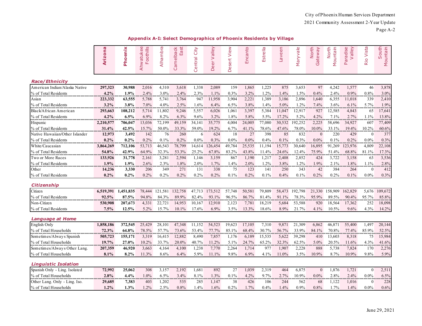**Appendix A-I: Select Demographics of Phoenix Residents by Village**

|                                | Arizona   | Phoenix   | Ahwatukee<br>Foothills | Alhambra | Camelback<br>ಕ<br>$\mathbb{E}$ | City<br>Central | velley<br>$\rm{~}$<br>leer<br>≏ | View<br>Desert | Encanto | Estrella  | Laveen    | Maryvale | North<br>Gateway | Mountain<br>North | Paradise<br>Valley | Rio Vista        | South<br>Mountain |
|--------------------------------|-----------|-----------|------------------------|----------|--------------------------------|-----------------|---------------------------------|----------------|---------|-----------|-----------|----------|------------------|-------------------|--------------------|------------------|-------------------|
| <b>Race/Ethnicity</b>          |           |           |                        |          |                                |                 |                                 |                |         |           |           |          |                  |                   |                    |                  |                   |
| American Indian/Alaska Native  | 297,323   | 30,988    | 2,016                  | 4,310    | 3,618                          | 1,338           | 2,089                           | 159            | 1,865   | 1,225     | 875       | 3,653    | 97               | 4,242             | 1,577              | 46               | 3,878             |
| % of Total Residents           | 4.2%      | 1.9%      | 2.4%                   | 3.0%     | 2.4%                           | 2.3%            | 1.1%                            | 0.3%           | 3.2%    | 1.2%      | 1.4%      | 1.5%     | 0.4%             | 2.4%              | 0.9%               | $0.8\%$          | 3.0%              |
| Asian                          | 223,332   | 63,555    | 5,788                  | 5,741    | 3,764                          | 947             | 11,958                          | 3,904          | 2,221   | 1,389     | 3,186     | 2,896    | 1,640            | 6,355             | 11,018             | 339              | 2,410             |
| % of Total Residents           | 3.2%<br>  | 3.8%      | $7.0\%$                | 4.0%     | 2.5%<br>                       | 1.6%            | 6.4%<br>                        | 6.5%           | 3.8%    | 1.4%<br>. | 5.0%<br>. | 1.2%     | 7.4%             | 3.6%              | 6.1%<br>           | 5.7%             | 1.9%              |
| Black/African American         | 293,663   | 108,212   | 5,714                  | 11,802   | 9,246                          | 5,557           | 6,026                           | 1,061          | 3,397   | 5,384     | 11,047    | 12,917   | 927              | 12,585            | 4,843              | 65               | 17,641            |
| % of Total Residents           | 4.2%      | 6.5%      | 6.9%                   | 8.2%     | 6.3%                           | 9.6%            | 3.2%                            | 1.8%           | 5.8%    | 5.5%      | 17.2%     | 5.2%     | 4.2%             | 7.1%              | 2.7%               | 1.1%             | 13.8%             |
| Hispanic                       | 2,210,577 | 706,047   | 13,036                 | 72,199   | 49,159                         | 34,141          | 35,775                          | 4,004          | 24,005  | 77,080    | 30,532    | 92,252   | 2,225            | 58,696            | 34,927             | 607              | 77,409            |
| % of Total Residents           | 31.4%     | 42.5%     | 15.7%                  | 50.0%    | 33.3%                          | 59.0%           | 19.2%                           | 6.7%           | 41.1%   | 78.6%     | 47.6%     | 78.0%    | 10.0%            | 33.1%             | 19.4%              | 10.2%            | 60.6%             |
| Native Hawaiian/Other Islander | 12,973    | 3,492     | 142                    | 76       | 260                            | 6               | 624                             | 18             | 27      | 398       | 85        | 832      | $\mathbf{0}$     | 220               | 429                | $\mathbf{0}$     | 377               |
| % of Total Residents           | 0.2%      | $0.2\%$   | 0.2%                   | 0.1%     | 0.2%                           | $0.0\%$         | 0.3%                            | $0.0\%$        | $0.0\%$ | 0.4%      | $0.1\%$   | 0.3%     | $0.0\%$          | 0.1%              | 0.2%               | $0.0\%$          | 0.3%              |
| White/Caucasian                | 3,864,269 | 712,106   | 53,713                 | 46,543   | 78,799                         | 14,614          | 126,454                         | 49,784         | 25,535  | 11,194    | 15,773    | 30,640   | 16,895           | 91,269            | 123,976            | 4,809            | 22,108            |
| % of Total Residents           | 54.8%     | 42.9%     | 64.9%                  | 32.3%    | 53.3%                          | 25.2%           | 67.8%                           | 83.2%          | 43.8%   | 11.4%     | 24.6%     | 12.4%    | 75.9%            | 51.4%             | 68.8%              | 81.1%            | 17.3%             |
| Two or More Races              | 133,926   | 31,778    | 2,161                  | 3,281    | 2,594                          | 1,146           | 3,159                           | 867            | 1,190   | 1,217     | 2,408     | 2,852    | 424              | 3,722             | 3,158              | 63               | 3,536             |
| % of Total Residents           | 1.9%      | 1.9%      | 2.6%                   | 2.3%     | 1.8%                           | 2.0%            | 1.7%                            | 1.4%           | 2.0%    | 1.2%      | 3.8%      | 1.2%     | 1.9%             | 2.1%              | 1.8%               | 1.1%             | 2.8%              |
| Other                          | 14,236    | 3,330     | 206                    | 349      | 271                            | 131             | 338                             | 75             | 123     | 141       | 250       | 343      | 42               | 384               | 264                | $\boldsymbol{0}$ | 412               |
| % of Total Residents           | $0.2\%$   | $0.2\%$   | 0.2%                   | 0.2%     | 0.2%                           | 0.2%            | 0.2%                            | 0.1%           | 0.2%    | 0.1%      | 0.4%      | 0.1%     | 0.2%             | 0.2%              | 0.1%               | $0.0\%$          | 0.3%              |
| Citizenship                    |           |           |                        |          |                                |                 |                                 |                |         |           |           |          |                  |                   |                    |                  |                   |
| Citizen                        | 6,519,391 | 1,451,835 | 78,444                 | 121,581  | 132,758                        | 47,713          | 173,512                         | 57,748         | 50,581  | 79,809    | 58,473    | 192,798  | 21,330           | 158,909           | 162,829            | 5,676            | 109,672           |
| % of Total Residents           | 92.5%     | 87.5%     | 94.8%                  | 84.3%    | 89.9%                          | 82.4%           | 93.1%                           | 96.5%          | 86.7%   | 81.4%     | 91.1%     | 78.3%    | 95.9%            | 89.5%             | 90.4%              | 95.7%            | 85.8%             |
| Non-Citizen                    | 530,908   | 207,673   | 4,331                  | 22,721   | 14,953                         | 10,167          | 12,910                          | 2,123          | 7,781   | 18,219    | 5,684     | 53,588   | 920              | 18,564            | 17,362             | 252              | 18,098            |
| % of Total Residents           | 7.5%      | 12.5%     | 5.2%                   | 15.7%    | $10.1\%$                       | 17.6%           | 6.9%                            | 3.5%           | 13.3%   | 18.6%     | 8.9%      | 21.7%    | 4.1%             | 10.5%             | 9.6%               | 4.3%             | 14.2%             |
| Language at Home               |           |           |                        |          |                                |                 |                                 |                |         |           |           |          |                  |                   |                    |                  |                   |
| English Only                   | 1,858,186 | 372,545   | 25,429                 | 28,101   | 47,348                         | 11,152          | 54,523                          | 19,623         | 17,105  | 7,310     | 9,871     | 21,309   | 6,862            | 46,871            | 55,400             | 1,497            | 20,144            |
| % of Total Households          | 72.3%     | 64.8%     | 78.5%                  | 57.7%    | 73.6%                          | 53.4%           | 77.7%                           | 85.1%          | 68.4%   | 30.7%     | 56.7%     | 33.9%    | 84.1%            | 70.8%             | 77.4%              | 85.9%            | 52.5%             |
| Sometimes/Always Spanish       | 505,723   | 155,171   | 3,319                  | 16,415   | 12,882                         | 8,490           | 7,857                           | 1,176          | 6,189   | 15,535    | 5,622     | 39,298   | 410              | 13,603            | 8,318              | 75               | 15,984            |
| % of Total Households          | 19.7%     | 27.0%     | 10.2%                  | 33.7%    | 20.0%                          | 40.7%           | 11.2%                           | 5.1%           | 24.7%   | 65.2%     | 32.3%     | 62.5%    | 5.0%             | 20.5%             | 11.6%              | 4.3%             | 41.6%             |
| Sometimes/Always Other Lang.   | 207,359   | 46,920    | 3,663                  | 4,164    | 4,100                          | 1,238           | 7,770                           | 2,264          | 1,714   | 977       | 1,907     | 2,228    | 888              | 5,738             | 7,824              | 170              | 2,276             |
| % of Total Households          | 8.1%      | 8.2%      | 11.3%                  | 8.6%     | 6.4%                           | 5.9%            | 11.1%                           | 9.8%           | 6.9%    | 4.1%      | 11.0%     | 3.5%     | 10.9%            | 8.7%              | 10.9%              | 9.8%             | 5.9%              |
| <b>Linguistic Isolation</b>    |           |           |                        |          |                                |                 |                                 |                |         |           |           |          |                  |                   |                    |                  |                   |
| Spanish Only - Ling. Isolated  | 72,992    | 25,062    | 308                    | 3,157    | 2,192                          | 1,681           | 892                             | 27             | 1,039   | 2,319     | 464       | 6,875    | $\boldsymbol{0}$ | 1,876             | 1,721              | $\boldsymbol{0}$ | 2,511             |
| % of Total Households          | 2.8%      | 4.4%      | 1.0%                   | 6.5%     | 3.4%                           | 8.1%            | 1.3%                            | 0.1%           | 4.2%    | 9.7%      | 2.7%      | 10.9%    | $0.0\%$          | 2.8%              | 2.4%               | $0.0\%$          | 6.5%              |
| Other Lang. Only - Ling. Iso.  | 29,685    | 7,383     | .<br>403               | 1,202    | 535                            | 285             | .<br>1,147                      | 38             | 426     | 106       | 244       | .<br>562 | 68               | 1,122             | 1,016              | $\boldsymbol{0}$ | .<br>228          |
| % of Total Households          | 1.2%      | 1.3%      | 1.2%                   | 2.5%     | $0.8\%$                        | 1.4%            | 1.6%                            | 0.2%           | 1.7%    | 0.4%      | $1.4\%$   | 0.9%     | 0.8%             | 1.7%              | 1.4%               | $0.0\%$          | 0.6%              |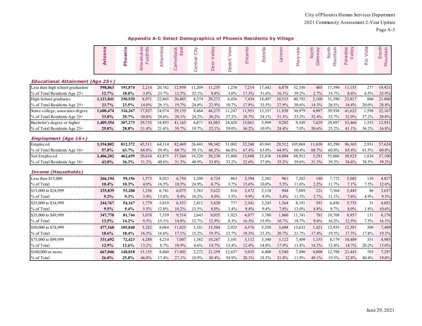| Appendix A-I: Select Demographics of Phoenix Residents by Village |
|-------------------------------------------------------------------|
|-------------------------------------------------------------------|

|                                         | Arizona   | Phoenix   | watukee<br>Foothills<br>Ahwatuke | Alhambra | Camelback<br>East | City<br>Central | Valley<br>Deer | View<br>Desert | nto<br>Encai | Estrella | Laveen    | Maryvale | North<br>Gateway | North<br>Mountain | Paradise<br>Valley | Vista<br>Rio | South<br>Mountain |
|-----------------------------------------|-----------|-----------|----------------------------------|----------|-------------------|-----------------|----------------|----------------|--------------|----------|-----------|----------|------------------|-------------------|--------------------|--------------|-------------------|
| <b>Educational Attainment (Age 25+)</b> |           |           |                                  |          |                   |                 |                |                |              |          |           |          |                  |                   |                    |              |                   |
| Less than high school graduation        | 598,863   | 191,874   | 2,214                            | 20,742   | 12,959            | 11,209          | 11,255         | 1,258          | 7,214        | 17,442   | 6,078     | 52,356   | 405              | 17,390            | 11,155             | 277          | 19,921            |
| % of Total Residents Age 25+            | 12.7%     | 18.0%     | 3.8%                             | 23.7%    | 12.5%             | 32.1%           | 8.8%           | 3.0%           | 17.3%        | 31.6%    | 16.1%     | 39.2%    | 2.7%             | 14.7%             | 8.6%               | 6.5%         | 25.9%             |
| High School graduates                   | 1,123,841 | 250,930   | 8,071                            | 22,865   | 20,485            | 8,374           | 29,273         | 4,436          | 7,434        | 18,497   | 10,515    | 40,792   | 2,160            | 31,390            | 23,917             | 860          | 21,860            |
| % of Total Residents Age 25+            | 23.7%     | 23.5%     | 14.0%                            | 26.1%    | 19.7%             | 24.0%           | 22.9%          | 10.7%          | 17.8%        | 33.5%    | 27.9%     | 30.6%    | 14.3%            | 26.5%             | 18.4%              | 20.0%        | 28.4%             |
| Some college, associates degree         | 1,600,474 | 316,267   | 17,827                           | 24,974   | 29,135            | 8,464           | 46,275         | 11,247         | 11,951       | 13,337   | 11,858    | 30,979   | 4,897            | 39,938            | 41,622             | 1,598        | 22,167            |
| % of Total Residents Age 25+            | 33.8%     | 29.7%     | 30.8%                            | 28.6%    | 28.1%             | 24.2%           | 36.2%          | 27.2%          | 28.7%        | 24.1%    | 31.5%     | 23.2%    | 32.4%            | 33.7%             | 32.0%              | 37.2%        | 28.8%             |
| Bachelor's degree or higher             | 1,409,354 | 307,273   | 29,733                           | 18,893   | 41,163            | 6,871           | 41,083         | 24,420         | 15,061       | 5,999    | 9,202     | 9,349    | 7,629            | 29,897            | 53,466             | 1,555        | 12,951            |
| % of Total Residents Age 25+            | 29.8%     | 28.8%     | 51.4%                            | 21.6%    | 39.7%             | 19.7%           | 32.1%          | 59.0%          | 36.2%        | 10.9%    | 24.4%     | 7.0%     | 50.6%            | 25.2%             | 41.1%              | 36.2%        | 16.8%             |
| <b>Employment (Age 16+)</b>             |           |           |                                  |          |                   |                 |                |                |              |          |           |          |                  |                   |                    |              |                   |
| Employed                                | 3,194,802 | 812,372   | 45,511                           | 64,114   | 82,469            | 26,443          | 98,342         | 31,082         | 32,248       | 43,941   | 29,512    | 105,068  | 11,630           | 85,290            | 96,165             | 2,931        | 57,624            |
| % of Total Residents Age 16+            | 57.0%     | 63.7%     | 68.8%                            | 59.4%    | 68.7%             | 59.1%           | 66.2%          | 66.8%          | 67.4%        | 63.0%    | 64.8%     | 60.4%    | 68.7%            | 60.8%             | 65.4%              | 61.5%        | 60.8%             |
| Not Employed                            | 2,406,202 | 462,659   | 20,634                           | 43,875   | 37,564            | 18,320          | 50,230         | 15,460         | 15,608       | 25,836   | 16,004    | 68,912   | 5,291            | 55,066            | 50,925             | 1,836        | 37,100            |
| % of Total Residents Age 16+            | 43.0%     | 36.3%     | 31.2%                            | 40.6%    | 31.3%             | 40.9%           | 33.8%          | 33.2%          | 32.6%        | 37.0%    | 35.2%     | 39.6%    | 31.3%            | 39.2%             | 34.6%              | 38.5%        | 39.2%             |
| <b>Income (Households)</b>              |           |           |                                  |          |                   |                 |                |                |              |          |           |          |                  |                   |                    |              |                   |
| Less than \$15,000                      | 266,194   | 59,156    | 1,573                            | 8,023    | 6,754             | 5,208           | 4,724          | 863            | 3,394        | 2,382    | 961       | 7,282    | 180              | 7,772             | 5,082              | 130          | 4,827             |
| % of Total                              | 10.4%     | 10.3%     | 4.9%                             | 16.5%    | 10.5%             | 24.9%           | 6.7%           | 3.7%           | 13.6%        | 10.0%    | 5.5%      | 11.6%    | 2.2%             | 11.7%             | 7.1%               | 7.5%         | 12.6%             |
| \$15,000 to \$24,999                    | 235,839   | 53,288    | 1,256                            | 6,741    | 6,075             | 3,383           | 5,622          | 816            | 2,472        | 2,118    | 944       | 7,089    | 221              | 7,364             | 5,445              | 86           | 3,657             |
| % of Total                              | 9.2%      | 9.3%      | 3.9%                             | 13.8%    | 9.4%              | 16.2%           | 8.0%           | 3.5%           | 9.9%         | 8.9%     | 5.4%      | 11.3%    | 2.7%             | 11.1%             | 7.6%               | 4.9%         | 9.5%              |
| \$25,000 to \$34,999                    | 244,767   | 54,167    | 1,779                            | 5,819    | 6,553             | 2,812           | 5,620          | 777            | 2,341        | 2,245    | 1,364     | 8,191    | 391              | 6,456             | 5,735              | 31           | 4,052             |
| % of Total<br>                          | 9.5%<br>  | 9.4%<br>. | 5.5%<br>                         | 12.0%    | $10.2\%$          | 13.5%<br>       | 8.0%           | 3.4%<br>       | 9.4%<br>.    | 9.4%<br> | 7.8%<br>. | 13.0%    | 4.8%<br>.        | 9.7%<br>          | 8.0%<br>.          | 1.8%<br>     | 10.6%             |
| \$35,000 to \$49,999                    | 347,770   | 81,744    | 3,078                            | 7,339    | 9,514             | 2,643           | 9,035          | 1,923          | 4,077        | 3,780    | 1,860     | 11,741   | 781              | 10,708            | 8,957              | 131          | 6,176             |
| % of Total                              | 13.5%     | 14.2%     | 9.5%                             | 15.1%    | 14.8%             | 12.7%           | 12.9%          | 8.3%           | 16.3%        | 15.9%    | 10.7%     | 18.7%    | 9.6%             | 16.2%             | 12.5%              | 7.5%         | 16.1%             |
| \$50,000 to \$74,999                    | 477,160   | 105,840   | 5,282                            | 8,084    | 11,025            | 3,181           | 13,504         | 2,925          | 4,576        | 5,558    | 3,608     | 13,632   | 1,421            | 12,935            | 12,391             | 309          | 7,409             |
| % of Total                              | 18.6%     | 18.4%     | 16.3%                            | 16.6%    | 17.1%             | 15.2%           | 19.3%          | 12.7%          | 18.3%        | 23.3%    | 20.7%     | 21.7%    | 17.4%            | 19.5%             | 17.3%              | 17.8%        | 19.3%             |
| \$75,000 to \$99,999                    | 331,692   | 72,423    | 4,288                            | 4,214    | 7,007             | 1,382           | 10,287         | 3,101          | 3,112        | 3,340    | 3,122     | 7,409    | 1,155            | 8,179             | 10,489             | 351          | 4,985             |
| % of Total                              | 12.9%     | 12.6%     | 13.2%                            | 8.7%     | 10.9%             | 6.6%<br>        | 14.7%          | 13.4%          | 12.4%        | 14.0%    | 17.9%     | 11.8%    | 14.2%            | 12.4%             | 14.7%              | 20.2%        | 13.0%             |
| \$100,000 or more                       | 667,846   | 148,018   | 15,155                           | 8,460    | 17,402            | 2,272           | 21,359         | 12,657         | 5,035        | 4,400    | 5,540     | 7,490    | 4,008            | 12,798            | 23,443             | 703          | 7,297             |
| % of Total                              | 26.0%     | 25.8%     | 46.8%                            | 17.4%    | 27.1%             | 10.9%           | 30.4%          | 54.9%          | 20.1%        | 18.5%    | 31.8%     | 11.9%    | 49.1%            | 19.3%             | 32.8%              | 40.4%        | 19.0%             |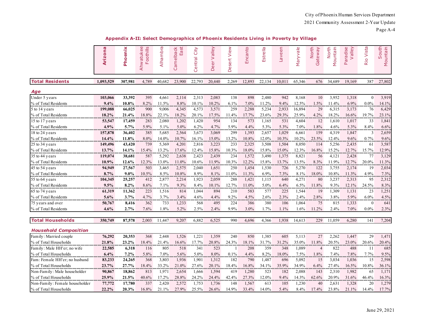|--|--|

| Appendix A-II: Select Demographics of Phoenix Residents Living in Poverty by Village |  |  |
|--------------------------------------------------------------------------------------|--|--|
|                                                                                      |  |  |

|                                | <b>Arizona</b> | Phoenix  | Ahwatukee<br><b>Foothills</b><br>ட | Alhambra | Camelback<br>$\overline{a}$<br>⊕ً | City<br>entral<br>$\circ$ | Deer Valley | View<br>Desert | Encanto | Estrella | Laveen | Maryvale | <b>North</b><br>Gateway | North<br>Mountain | Valley<br>Paradise | <b>Vista</b><br>Rio | South<br>Mountain |
|--------------------------------|----------------|----------|------------------------------------|----------|-----------------------------------|---------------------------|-------------|----------------|---------|----------|--------|----------|-------------------------|-------------------|--------------------|---------------------|-------------------|
| <b>Total Residents</b>         | 1,093,529      | 307,981  | 4,789                              | 40,682   | 23,900                            | 22,793                    | 20,440      | 2,269          | 12,893  | 22,134   | 10,011 | 65,346   | 676                     | 34,689            | 19,169             | 387                 | 27,802            |
| Age                            |                |          |                                    |          |                                   |                           |             |                |         |          |        |          |                         |                   |                    |                     |                   |
| Under 5 years                  | 103,066        | 33,392   | 395                                | 4,661    | 2,114                             | 2,313                     | 2,083       | 138            | 898     | 2,480    | 942    | 8,168    | 10                      | 3,952             | 1,318              | $\mathbf{0}$        | 3,919             |
| % of Total Residents           | 9.4%           | $10.8\%$ | 8.2%                               | 11.5%    | 8.8%                              | 10.1%                     | 10.2%       | 6.1%           | $7.0\%$ | 11.2%    | 9.4%   | 12.5%    | 1.5%                    | 11.4%             | 6.9%               | 0.0%                | 14.1%             |
| 5 to 14 years                  | 199,088        | 66,025   | 900                                | 9,006    | 4,345                             | 4,573                     | 3,571       | 259            | 2,288   | 5,234    | 2,933  | 16,894   | 29                      | 6,315             | 3,173              | 76                  | 6,429             |
| % of Total Residents           | 18.2%          | 21.4%    | 18.8%                              | 22.1%    | 18.2%                             | 20.1%                     | 17.5%       | 11.4%          | 17.7%   | 23.6%    | 29.3%  | 25.9%    | 4.2%                    | 18.2%             | 16.6%              | 19.7%               | 23.1%             |
| 15 to 17 years                 | 53,547         | 17,459   | 283                                | 2,080    | 1,202                             | 1,420                     | 954         | 134            | 573     | 1,165    | 531    | 4,604    | 12                      | 1,610             | 1,017              | 33                  | 1,841             |
| % of Total Residents           | 4.9%           | 5.7%     | 5.9%                               | 5.1%     | 5.0%                              | 6.2%                      | 4.7%        | 5.9%           | 4.4%    | 5.3%     | 5.3%   | 7.0%     | 1.8%                    | 4.6%              | 5.3%               | 8.4%                | 6.6%              |
| 18 to 24 years                 | 157,878        | 36,402   | 385                                | 5,685    | 2,564                             | 3,673                     | 3,069       | 299            | 1,393   | 2,657    | 1,029  | 6,661    | 159                     | 4,319             | 1,847              | 3                   | 2,659             |
| % of Total Residents           | 14.4%          | 11.8%    | $8.0\%$                            | 14.0%    | 10.7%                             | 16.1%                     | $15.0\%$    | 13.2%          | 10.8%   | 12.0%    | 10.3%  | 10.2%    | 23.5%                   | 12.4%             | 9.6%               | 0.7%                | 9.6%              |
| 25 to 34 years                 | 149,496        | 43,420   | 739                                | 5,369    | 4,201                             | 2,816                     | 3,223       | 233            | 2,325   | 3,508    | 1,504  | 8,050    | 114                     | 5,256             | 2,435              | 61                  | 3,587             |
| % of Total Residents           | 13.7%          | 14.1%    | 15.4%                              | 13.2%    | 17.6%                             | 12.4%                     | 15.8%       | 10.3%          | 18.0%   | 15.8%    | 15.0%  | 12.3%    | 16.8%                   | 15.2%             | 12.7%              | 15.7%               | 12.9%             |
| 35 to 44 years                 | 119,074        | 38,681   | 587                                | 5,292    | 2,638                             | 2,423                     | 2,439       | 234            | 1,572   | 3,490    | 1,375  | 8,821    | 56                      | 4,121             | 2,428              | 77                  | 3,129             |
| % of Total Residents           | 10.9%          | 12.6%    | 12.3%                              | 13.0%    | 11.0%                             | 10.6%                     | 11.9%       | 10.3%          | 12.2%   | 15.8%    | 13.7%  | 13.5%    | 8.3%                    | 11.9%             | 12.7%              | 20.0%               | 11.3%             |
| 45 to 54 years                 | 94,949         | 27,567   | 503                                | 3,465    | 2,575                             | 2,040                     | 1,651       | 250            | 1,454   | 1,530    | 726    | 5,270    | 122                     | 3,755             | 2,174              | 19                  | 2,034             |
| % of Total Residents           | 8.7%           | $9.0\%$  | 10.5%                              | 8.5%     | 10.8%                             | 8.9%                      | 8.1%<br>    | 11.0%          | 11.3%   | 6.9%     | 7.3%   | 8.1%     | 18.0%                   | $10.8\%$          | 11.3%              | 4.9%                | 7.3%              |
| 55 to 64 years                 | 104,345        | 25,257   | 412                                | 2,877    | 2,214                             | 1,923                     | 2,059       | 288            | 1,421   | 1,115    | 640    | 4,271    | 80                      | 3,237             | 2,313              | 95                  | 2,312             |
| % of Total Residents           | 9.5%           | $8.2\%$  | $8.6\%$                            | 7.1%     | 9.3%                              | 8.4%                      | 10.1%       | 12.7%          | 11.0%   | 5.0%     | 6.4%   | 6.5%     | 11.8%                   | 9.3%              | 12.1%              | 24.5%               | 8.3%              |
| 65 to 74 years                 | 61,319         | 11,362   | 223                                | 1,516    | 814                               | 1,044                     | 894         | 210            | 583     | 577      | 225    | 1,544    | 19                      | 1,309             | 1,131              | 23                  | 1,251             |
| % of Total Residents           | 5.6%           | 3.7%     | 4.7%                               | 3.7%     | 3.4%                              | 4.6%                      | 4.4%        | 9.2%           | 4.5%    | 2.6%     | 2.3%   | 2.4%     | 2.8%                    | 3.8%              | 5.9%               | 6.0%                | 4.5%              |
| 75 years and over              | 50,767         | 8,416    | 362                                | 733      | 1,233                             | 568                       | 495         | 224            | 386     | 380      | 106    | 1,064    | 75                      | 815               | 1,333              | $\mathbf{0}$        | 641               |
| % of Total Residents           | 4.6%           | 2.7%     | 7.6%                               | 1.8%     | 5.2%                              | 2.5%                      | 2.4%        | 9.9%           | 3.0%    | 1.7%     | 1.1%   | 1.6%     | 11.2%                   | 2.4%              | 7.0%               | 0.0%                | 2.3%              |
|                                |                |          |                                    |          |                                   |                           |             |                |         |          |        |          |                         |                   |                    |                     |                   |
| <b>Total Households</b>        | 350,749        | 87,578   | 2,003                              | 11,447   | 9,207                             | 6,882                     | 6,525       | 990            | 4,696   | 4,366    | 1,938  | 14,613   | 229                     | 11,059            | 6,280              | 141                 | 7,204             |
| <b>Household Composition</b>   |                |          |                                    |          |                                   |                           |             |                |         |          |        |          |                         |                   |                    |                     |                   |
| Family: Married couple         | 76,292         | 20,353   | 368                                | 2,448    | 1,526                             | 1,221                     | 1,359       | 240            | 850     | 1,385    | 605    | 5,113    | 27                      | 2,262             | 1,447              | 29                  | 1,471             |
| % of Total Households          | 21.8%          | $23.2\%$ | 18.4%                              | 21.4%    | 16.6%                             | 17.7%                     | 20.8%       | 24.3%          | 18.1%   | 31.7%    | 31.2%  | 35.0%    | 11.8%                   | 20.5%             | 23.0%              | 20.6%               | 20.4%             |
| Family: Male HH'er; no wife    | 22,585         | 6,318    | 116                                | 805      | 518                               | 341                       | 523         |                | 208     | 359      | 348    | 1,089    | 4                       | 822               | 488                | 11                  | 685               |
| % of Total Households          | 6.4%           | 7.2%     | 5.8%                               | 7.0%     | 5.6%                              | 5.0%                      | 8.0%        | 0.1%           | 4.4%    | 8.2%     | 18.0%  | 7.5%     | 1.8%                    | 7.4%              | 7.8%               | 7.7%                | 9.5%              |
| Fam: Female HH'er; no husband  | 83,233         | 24,265   | 368                                | 3,803    | 1,936                             | 1,901                     | 1,312       | 182            | 790     | 1,487    | 696    | 5,092    | 15                      | 3,034             | 1,036              | 15                  | 2,598             |
| % of Total Households          | 23.7%          | 27.7%    | 18.4%                              | 33.2%    | 21.0%                             | 27.6%                     | 20.1%       | 18.4%          | 16.8%   | 34.1%    | 35.9%  | 34.9%    | 6.4%                    | 27.4%             | 16.5%              | 10.8%               | 36.1%             |
| Non-Family: Male householder   | 90,867         | 18,862   | 813                                | 1,971    | 2,654                             | 1,666                     | 1,594       | 419            | 1,280   | 523      | 182    | 2,088    | 143                     | 2,310             | 1,982              | 65                  | 1,171             |
| % of Total Households          | 25.9%          | 21.5%    | 40.6%                              | 17.2%    | 28.8%                             | 24.2%                     | 24.4%       | 42.4%          | 27.3%   | 12.0%    | 9.4%   | 14.3%    | 62.6%                   | 20.9%             | 31.6%              | 46.4%               | 16.3%             |
| Non-Family: Female householder | 77,772         | 17,780   | 337                                | 2,420    | 2,572                             | 1,753                     | 1,736       | 148            | 1,567   | 613      | 105    | 1,230    | 40                      | 2,631             | 1,328              | 20                  | 1,279             |
| % of Total Households          | 22.2%          | 20.3%    | 16.8%                              | 21.1%    | 27.9%                             | 25.5%                     | 26.6%       | 14.9%          | 33.4%   | 14.0%    | 5.4%   | 8.4%     | 17.4%                   | 23.8%             | 21.1%              | 14.4%               | 17.7%             |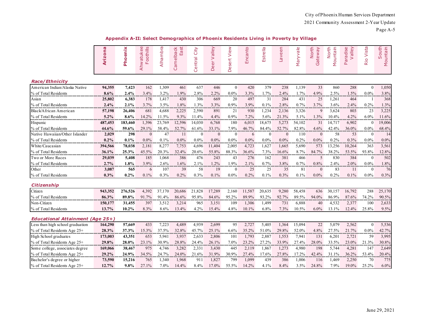Page A-5

|  | Appendix A-II: Select Demographics of Phoenix Residents Living in Poverty by Village |  |
|--|--------------------------------------------------------------------------------------|--|
|  |                                                                                      |  |

|                                         | Arizona     | Phoenix  | $\mathbf{\Omega}$<br>Foothills<br>Ahwatuke | Alhambra | East<br>Camelback | City<br>Central | Deer Valley | Desert View    | nto<br>Enca  | Estrella         | Laveen   | Maryvale | North<br>Gateway | North<br>Mountain | Paradise<br>Valley | Rio Vista      | South<br>Mountain |
|-----------------------------------------|-------------|----------|--------------------------------------------|----------|-------------------|-----------------|-------------|----------------|--------------|------------------|----------|----------|------------------|-------------------|--------------------|----------------|-------------------|
| <b>Race/Ethnicity</b>                   |             |          |                                            |          |                   |                 |             |                |              |                  |          |          |                  |                   |                    |                |                   |
| American Indian/Alaska Native           | 94,355      | 7,423    | 162                                        | 1,309    | 461               | 637             | 446         | $\overline{0}$ | 420          | 379              | 238      | 1,139    | 33               | 860               | 288                | $\theta$       | 1,050             |
| % of Total Residents                    | 8.6%        | 2.4%     | 3.4%                                       | 3.2%     | 1.9%              | 2.8%            | 2.2%        | $0.0\%$        | 3.3%         | 1.7%             | 2.4%     | 1.7%     | 4.9%             | 2.5%              | 1.5%               | $0.0\%$        | 3.8%              |
| Asian                                   | 25,802      | 6,383    | 178                                        | 1,417    | 430               | 306             | 669         | 20             | 497          | 31               | 284      | 431      | 25               | 1,261             | 464                |                | 368               |
| % of Total Residents                    | 2.4%        | 2.1%     | 3.7%                                       | 3.5%     | 1.8%              | 1.3%            | 3.3%        | 0.9%           | 3.9%         | 0.1%             | 2.8%     | 0.7%     | 3.7%             | 3.6%              | 2.4%               | 0.2%           | 1.3%              |
| Black/African American                  | 57,198      | 26,406   | 681                                        | 4,688    | 2,225             | 2,590           | 891         | 21             | 930          | 1,234            | 2,136    | 3,326    | 9                | 3,624             | 803                | 23             | 3,225             |
| % of Total Residents                    | 5.2%        | 8.6%     | 14.2%                                      | 11.5%    | 9.3%              | 11.4%           | 4.4%        | $0.9\%$        | 7.2%         | 5.6%             | 21.3%    | 5.1%     | 1.3%             | 10.4%             | 4.2%               | 6.0%           | 11.6%             |
| Hispanic                                | 487,453     | 183,460  | 1,396                                      | 23,769   | 12,596            | 14,030          | 6,768       | 180            | 6,015        | 18,675           | 5,273    | 54,102   | 31               | 14,717            | 6,902              | $\Omega$       | 19,006            |
| % of Total Residents                    | 44.6%       | 59.6%    | 29.1%                                      | 58.4%    | 52.7%             | 61.6%           | 33.1%       | 7.9%           | 46.7%        | 84.4%            | 52.7%    | 82.8%    | 4.6%             | 42.4%             | 36.0%              | $0.0\%$        | 68.4%             |
| Native Hawaiian/Other Islander          | 2,029       | 298      | $\theta$                                   | 47       | 11                | $\theta$        | $\theta$    | $\overline{0}$ | 6            | $\boldsymbol{0}$ | $\Omega$ | 110      | $\overline{0}$   | 58                | 53                 | $\theta$       | 14                |
| % of Total Residents                    | $0.2\%$<br> | 0.1%     | $0.0\%$                                    | 0.1%     | 0.0%              | $0.0\%$<br>.    | $0.0\%$     | $0.0\%$        | $0.0\%$<br>. | $0.0\%$<br>      | $0.0\%$  | $0.2\%$  | $0.0\%$          | 0.2%              | 0.3%               | $0.0\%$<br>.   | $0.0\%$           |
| White/Caucasian                         | 394,566     | 78,038   | 2,181                                      | 8,277    | 7,753             | 4,696           | 11,404      | 2,005          | 4,723        | 1,627            | 1,665    | 5,690    | 573              | 13,256            | 10,264             | 363            | 3,561             |
| % of Total Residents                    | 36.1%       | 25.3%    | 45.5%                                      | 20.3%    | 32.4%             | 20.6%           | 55.8%       | 88.3%          | 36.6%        | 7.3%             | 16.6%    | 8.7%     | 84.7%            | 38.2%             | 53.5%              | 93.8%          | 12.8%             |
| Two or More Races                       | 29,039      | 5,408    | 185                                        | 1,068    | 386               | 476             | 243         | 43             | 276          | 162              | 381      | 466      | 5                | 830               | 384                | $\Omega$       | 502               |
| % of Total Residents                    | 2.7%        | 1.8%     | 3.9%                                       | 2.6%     | 1.6%              | 2.1%            | 1.2%        | 1.9%           | 2.1%         | 0.7%             | 3.8%     | 0.7%     | 0.8%             | 2.4%              | 2.0%               | $0.0\%$        | 1.8%              |
| Other                                   | 3,087       | 565      | 6                                          | 107      | 39                | 58              | 19          | $\overline{0}$ | 25           | 25               | 35       | 81       | $\overline{0}$   | 83                | 11                 | $\theta$       | 76                |
| % of Total Residents                    | 0.3%        | 0.2%     | $0.1\%$                                    | 0.3%     | 0.2%              | 0.3%            | 0.1%        | $0.0\%$        | 0.2%         | 0.1%             | 0.3%     | 0.1%     | $0.0\%$          | 0.2%              | $0.1\%$            | $0.0\%$        | 0.3%              |
| <b>Citizenship</b>                      |             |          |                                            |          |                   |                 |             |                |              |                  |          |          |                  |                   |                    |                |                   |
| Citizen                                 | 943,352     | 276,526  | 4,392                                      | 37,170   | 20,686            | 21,828          | 17,289      | 2,160          | 11,587       | 20,635           | 9,280    | 58,458   | 636              | 30,157            | 16,792             | 288            | 25,170            |
| % of Total Residents                    | 86.3%       | 89.8%    | 91.7%                                      | 91.4%    | 86.6%             | 95.8%           | 84.6%       | 95.2%          | 89.9%        | $93.2\%$         | 92.7%    | 89.5%    | 94.0%            | 86.9%             | 87.6%              | 74.2%          | 90.5%             |
| Non-Citizen                             | 150,177     | 31,455   | 397                                        | 3,512    | 3,214             | 965             | 3,151       | 109            | 1,306        | 1,499            | 731      | 6,888    | 40               | 4,532             | 2,377              | 100            | 2,633             |
| % of Total Residents                    | 13.7%       | 10.2%    | 8.3%                                       | 8.6%     | 13.4%             | 4.2%            | 15.4%       | 4.8%           | 10.1%        | 6.8%             | 7.3%     | 10.5%    | 6.0%             | 13.1%             | 12.4%              | 25.8%          | 9.5%              |
| <b>Educational Attainment (Age 25+)</b> |             |          |                                            |          |                   |                 |             |                |              |                  |          |          |                  |                   |                    |                |                   |
| Less than high school graduation        | 164,290     | 57,669   | 433                                        | 7,223    | 4,489             | 4,939           | 2,699       | 95             | 2,727        | 5,405            | 1,364    | 15,094   | 22               | 5,079             | 2,562              | $\overline{0}$ | 5,536             |
| % of Total Residents Age 25+            | 28.3%       | 37.3%    | 15.3%                                      | 37.5%    | 32.8%             | 45.7%           | 25.1%       | 6.6%           | 35.2%        | 51.0%            | 29.8%    | 52.0%    | 4.8%             | 27.5%             | 21.7%              | $0.0\%$        | 42.7%             |
| High School graduates                   | 173,003     | 43,351   | 653                                        | 5,941    | 3,937             | 2,633           | 2,806       | 101            | 1,793        | 2,887            | 1,553    | 7,941    | 131              | 6,201             | 2,721              | 59             | 3,995             |
| % of Total Residents Age 25+            | 29.8%       | $28.0\%$ | 23.1%                                      | 30.9%    | $28.8\%$          | 24.4%           | 26.1%       | 7.0%           | 23.2%        | $27.2\%$         | 33.9%    | 27.4%    | 28.0%            | 33.5%             | 23.0%              | 21.3%          | 30.8%             |
| Some college, associates degree         | 169,066     | 38,467   | 975                                        | 4,746    | 3,282             | 2,331           | 3,430       | 445            | 2,119        | 1,867            | 1,273    | 4,980    | 198              | 5,744             | 4,281              | 147            | 2,649             |
| % of Total Residents Age 25+            | 29.2%       | 24.9%    | 34.5%                                      | 24.7%    | 24.0%             | 21.6%           | 31.9%       | 30.9%          | 27.4%        | 17.6%            | 27.8%    | 17.2%    | 42.4%            | 31.1%             | 36.2%              | 53.4%          | 20.4%             |
| Bachelor's degree or higher             | 73,590      | 15,216   | 765                                        | 1,340    | 1,968             | 911             | 1,827       | 799            | 1,099        | 439              | 386      | 1,006    | 116              | 1,469             | 2,250              | 70             | 775               |
| % of Total Residents Age 25+            | 12.7%       | 9.8%     | 27.1%                                      | 7.0%     | 14.4%             | 8.4%            | 17.0%       | 55.5%          | 14.2%        | 4.1%             | 8.4%     | 3.5%     | 24.8%            | 7.9%              | 19.0%              | 25.2%          | 6.0%              |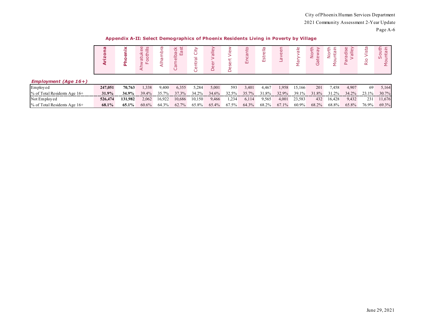**Appendix A-II: Select Demographics of Phoenix Residents Living in Poverty by Village**

|                                |         | Δ.      | <b>∪ თ</b><br>≡<br>$1 - 3$<br>ö<br>ā<br>⋖ |        | Iback<br>East<br>$\omega$<br>ී | City<br>Ф<br>È<br>Φ<br>◡ | ≗<br>ത<br>Ф |       | 屲     | $\frac{1}{9}$<br>Estr | $\omega$<br>Ф | ≗<br>$\sigma$<br>Ф | ť<br>$\circ$ | ÷<br>ş<br>ξ | dise<br>ā<br>∼.<br>ā<br>$\Delta$ | ista<br>⊴.<br>$\propto$ | ጜ<br>Ф<br>$\circ$<br>v E<br>င္ရွ |
|--------------------------------|---------|---------|-------------------------------------------|--------|--------------------------------|--------------------------|-------------|-------|-------|-----------------------|---------------|--------------------|--------------|-------------|----------------------------------|-------------------------|----------------------------------|
| <b>Employment (Age 16+)</b>    |         |         |                                           |        |                                |                          |             |       |       |                       |               |                    |              |             |                                  |                         |                                  |
| Employed                       | 247,051 | 70.763  | 1,338                                     | 9,400  | 6,355                          | 5,284                    | 5,001       | 593   | 3,401 | 4,467                 | 1,958         | 15,166             | 201          | 7,458       | 4,907                            | -69                     | 5,164                            |
| $%$ of Total Residents Age 16+ | 31.9%   | 34.9%   | 39.4%                                     | 35.7%  | 37.3%                          | 34.2%                    | 34.6%       | 32.5% | 35.7% | 31.8%                 | 32.9%         | 39.1%              | 31.8%        | 31.2%       | 34.2%                            | 23.1%                   | 30.7%                            |
| Not Employed                   | 526,474 | 131.982 | 2,062                                     | 16,922 | 10,686                         | 10,150                   | 9,466       | 1,234 | 6,114 | 9,565                 | 4,001         | 23,583             | 432          | 16,428      | 9,432                            | 231                     | 11,676                           |
| $%$ of Total Residents Age 16+ | 68.1%   | 65.1%   | 60.6%                                     | 64.3%  | 62.7%                          | 65.8%                    | 65.4%       | 67.5% | 64.3% | 68.2%                 | 67.1%         | 60.9%              | 68.2%        | 68.8%       | 65.8%                            | 76.9%                   | 69.3%                            |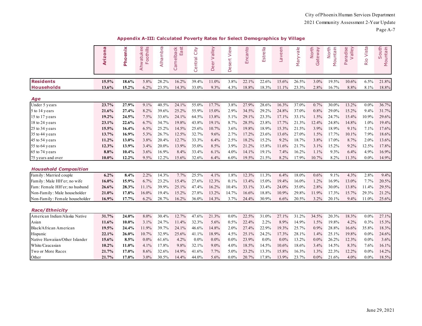Page A-7

| Appendix A-III: Calculated Poverty Rates for Select Demographics by Village |  |  |
|-----------------------------------------------------------------------------|--|--|
|                                                                             |  |  |

|                                | <b>G</b><br><b>Arizon</b> | Phoenix | $\omega$<br>Foothills<br>Ahwatuke | Alhambra | Camelback<br>East | City<br>Central | velley<br>eer V<br>≏ | View<br>Desert | Encanto | Estrella | Laveen  | Maryvale | North<br>Gateway | North<br>Mountain | velley<br>Paradise<br>$\geq$ | Rio Vista | outh<br>Mountain<br>S |
|--------------------------------|---------------------------|---------|-----------------------------------|----------|-------------------|-----------------|----------------------|----------------|---------|----------|---------|----------|------------------|-------------------|------------------------------|-----------|-----------------------|
| <b>Residents</b>               | 15.5%                     | 18.6%   | 5.8%                              | 28.2%    | 16.2%             | 39.4%           | 11.0%                | 3.8%           | 22.1%   | 22.6%    | 15.6%   | 26.5%    | 3.0%             | 19.5%             | 10.6%                        | 6.5%      | 21.8%                 |
| <b>Households</b>              | 13.6%                     | 15.2%   | 6.2%                              | 23.5%    | 14.3%             | 33.0%           | 9.3%                 | 4.3%           | 18.8%   | 18.3%    | 11.1%   | 23.3%    | 2.8%             | 16.7%             | 8.8%                         | 8.1%      | 18.8%                 |
|                                |                           |         |                                   |          |                   |                 |                      |                |         |          |         |          |                  |                   |                              |           |                       |
| Age                            |                           |         |                                   |          |                   |                 |                      |                |         |          |         |          |                  |                   |                              |           |                       |
| Under 5 years                  | 23.7%                     | 27.9%   | 9.1%                              | 40.5%    | 24.1%             | 55.0%           | 17.7%                | 3.8%           | 27.9%   | 28.6%    | 16.3%   | 37.0%    | 0.7%             | 30.0%             | 13.2%                        | $0.0\%$   | 36.7%                 |
| 5 to 14 years                  | 21.6%                     | 27.4%   | 8.2%                              | 39.6%    | 25.2%             | 55.9%           | 15.0%                | 2.9%           | 34.5%   | 29.2%    | 24.8%   | 37.0%    | 0.8%             | 29.0%             | 15.2%                        | 9.4%      | 31.7%                 |
| 15 to 17 years                 | 19.2%                     | 24.5%   | 7.5%                              | 33.6%    | 24.1%             | 64.5%           | 13.8%                | 5.1%           | 29.1%   | 23.3%    | 17.1%   | 33.1%    | 1.5%             | 24.7%             | 15.4%                        | 10.9%     | 29.6%                 |
| 18 to 24 years                 | 23.1%                     | 22.6%   | 6.7%                              | 34.7%    | 19.8%             | 43.8%           | 19.1%                | 8.7%           | 28.5%   | 23.8%    | 17.7%   | 21.3%    | 12.4%            | 24.8%             | 14.8%                        | 1.0%      | 19.4%                 |
| 25 to 34 years                 | 15.5%                     | 16.4%   | 6.5%                              | 25.2%    | 14.5%             | 25.6%           | 10.7%                | 3.6%           | 19.8%   | 18.9%    | 15.3%   | 21.5%    | 3.9%             | 18.9%             | 9.1%                         | 7.1%      | 17.6%                 |
| 35 to 44 years                 | 13.7%                     | 16.9%   | 5.3%                              | 26.7%    | 12.5%             | 32.7%           | 9.6%                 | 2.7%           | 17.2%   | 23.6%    | 13.6%   | 27.0%    | 1.5%             | 17.7%             | 10.1%                        | 7.9%      | 18.6%                 |
| 45 to 54 years                 | 11.2%                     | 13.0%   | 3.8%                              | 20.4%    | 12.7%             | 33.3%           | 6.4%                 | 2.5%           | 18.2%   | 15.2%    | 9.2%    | 18.7%    | 3.8%             | 17.0%             | 8.7%                         | 2.0%      | 13.6%                 |
| 55 to 64 years                 | 12.3%                     | 13.9%   | 3.4%                              | 20.0%    | 13.9%             | 35.0%           | 8.5%                 | 3.9%           | 21.2%   | 15.8%    | 11.6%   | 21.7%    | 3.1%             | 15.2%             | 9.2%                         | 12.5%     | 17.8%                 |
| 65 to 74 years                 | 8.8%                      | 10.4%   | 3.6%                              | 16.9%    | 8.4%              | 33.4%           | 6.1%                 | 4.0%           | 14.1%   | 19.1%    | 7.4%    | 16.2%    | 1.1%             | 9.3%              | 6.4%                         | 4.9%      | 16.9%                 |
| 75 years and over              | 10.0%                     | 12.2%   | 9.5%                              | 12.2%    | 15.6%             | 32.6%           | 6.4%                 | 6.0%           | 19.5%   | 21.5%    | 8.2%    | 17.9%    | 10.7%            | 8.2%              | 11.3%                        | $0.0\%$   | 14.9%                 |
| <b>Household Composition</b>   |                           |         |                                   |          |                   |                 |                      |                |         |          |         |          |                  |                   |                              |           |                       |
| Family: Married couple         | 6.2%                      | 8.4%    | 2.2%                              | 14.3%    | 7.7%              | 25.5%           | 4.1%                 | 1.8%           | 12.3%   | 11.3%    | 6.4%    | 18.0%    | 0.6%             | 9.1%              | 4.3%                         | 2.8%      | 9.4%                  |
| Family: Male HH'er; no wife    | 16.0%                     | 15.9%   | 6.7%                              | 23.2%    | 15.4%             | 27.6%           | 12.3%                | 0.1%           | 13.4%   | 15.0%    | 19.4%   | 16.0%    | 1.2%             | 16.9%             | 13.0%                        | 7.7%      | 20.5%                 |
| Fam: Female HH'er; no husband  | 26.6%                     | 28.3%   | 11.1%                             | 39.9%    | 25.1%             | 47.4%           | 16.2%                | 10.4%          | 33.1%   | 33.4%    | 24.0%   | 35.0%    | 2.8%             | 30.0%             | 13.8%                        | 11.4%     | 29.5%                 |
| Non-Family: Male householder   | 21.0%                     | 17.8%   | 16.0%                             | 19.4%    | 15.2%             | 27.8%           | 13.2%                | 14.7%          | 16.6%   | 18.8%    | 10.9%   | 29.8%    | 11.9%            | 17.3%             | 15.7%                        | 29.3%     | 21.2%                 |
| Non-Family: Female householder | 16.9%                     | 17.7%   | 6.2%                              | 28.7%    | 16.2%             | 36.0%           | 14.3%                | 3.7%           | 24.4%   | 30.9%    | 6.6%    | 20.5%    | 3.2%             | 20.1%             | 9.4%                         | 11.0%     | 25.6%                 |
| <b>Race/Ethnicity</b>          |                           |         |                                   |          |                   |                 |                      |                |         |          |         |          |                  |                   |                              |           |                       |
| American Indian/Alaska Native  | 31.7%                     | 24.0%   | 8.0%                              | 30.4%    | 12.7%             | 47.6%           | 21.3%                | $0.0\%$        | 22.5%   | 31.0%    | 27.1%   | 31.2%    | 34.5%            | 20.3%             | 18.3%                        | $0.0\%$   | 27.1%                 |
| Asian                          | 11.6%                     | 10.0%   | 3.1%                              | 24.7%    | 11.4%             | 32.3%           | 5.6%                 | 0.5%           | 22.4%   | 2.2%     | 8.9%    | 14.9%    | 1.5%             | 19.8%             | 4.2%                         | 0.3%      | 15.3%                 |
| Black/African American         | 19.5%                     | 24.4%   | 11.9%                             | 39.7%    | 24.1%             | 46.6%           | 14.8%                | 2.0%           | 27.4%   | 22.9%    | 19.3%   | 25.7%    | 0.9%             | 28.8%             | 16.6%                        | 35.8%     | 18.3%                 |
| Hispanic                       | 22.1%                     | 26.0%   | 10.7%                             | 32.9%    | 25.6%             | 41.1%           | 18.9%                | 4.5%           | 25.1%   | 24.2%    | 17.3%   | 28.1%    | 1.4%             | 25.1%             | 19.8%                        | $0.0\%$   | 24.6%                 |
| Native Hawaiian/Other Islander | 15.6%                     | 8.5%    | $0.0\%$                           | 61.6%    | 4.2%              | $0.0\%$         | $0.0\%$              | $0.0\%$        | 23.9%   | $0.0\%$  | $0.0\%$ | 13.2%    | $0.0\%$          | 26.2%             | 12.3%                        | $0.0\%$   | 3.6%                  |
| White/Caucasian                | 10.2%                     | 11.0%   | 4.1%                              | 17.8%    | 9.8%              | 32.1%           | 9.0%                 | 4.0%           | 18.5%   | 14.5%    | 10.6%   | 18.6%    | 3.4%             | 14.5%             | 8.3%                         | 7.6%      | 16.1%                 |
| Two or More Races              | 21.7%                     | 17.0%   | 8.6%                              | 32.6%    | 14.9%             | 41.6%           | 7.7%                 | 5.0%           | 23.2%   | 13.3%    | 15.8%   | 16.3%    | 1.3%             | 22.3%             | 12.2%                        | $0.0\%$   | 14.2%                 |
| Other                          | 21.7%                     | 17.0%   | 3.0%                              | 30.5%    | 14.4%             | 44.0%           | 5.6%                 | $0.0\%$        | 20.7%   | 17.8%    | 13.9%   | 23.7%    | $0.0\%$          | 21.6%             | 4.0%                         | $0.0\%$   | 18.5%                 |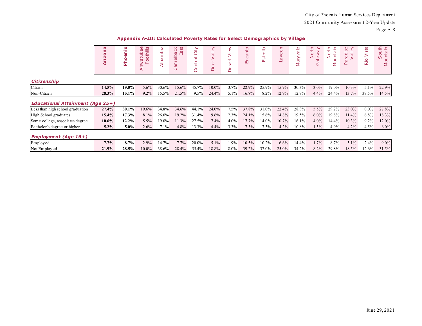| U<br>c<br>н |  |
|-------------|--|
|-------------|--|

|  | Appendix A-III: Calculated Poverty Rates for Select Demographics by Village |  |  |  |  |  |
|--|-----------------------------------------------------------------------------|--|--|--|--|--|
|--|-----------------------------------------------------------------------------|--|--|--|--|--|

|                                         | <b>ID</b><br>o | œ<br>ᄒ   | ൕ<br>ທ<br>≡<br>Φ<br>tuk<br>oth<br>Б<br>$\overline{\mathsf{S}}$<br>₹ | mbra<br><b>G</b><br>ے<br>ح | amelback<br>East<br>ပ | City<br>-<br>ntral<br>Φ<br>$\cup$ | alley<br>eer<br>≏ | $\sum_{i=1}^{\infty}$<br>£<br>Se<br>Ó. | nto<br>Enca | Estrella | ΘÜ<br>$\omega$<br>ŇΡ | $\frac{1}{\sigma}$<br>ā<br>Σ | North<br>λé<br>tew<br>(5) | North<br>untain<br>δp | alley<br>dise<br>Γō<br>$\geq$<br>Ρā | Vista<br>Rio | outh<br>르.<br>unta<br>$\Omega$<br>ŞΘ |
|-----------------------------------------|----------------|----------|---------------------------------------------------------------------|----------------------------|-----------------------|-----------------------------------|-------------------|----------------------------------------|-------------|----------|----------------------|------------------------------|---------------------------|-----------------------|-------------------------------------|--------------|--------------------------------------|
| <b>Citizenship</b>                      |                |          |                                                                     |                            |                       |                                   |                   |                                        |             |          |                      |                              |                           |                       |                                     |              |                                      |
| Citizen                                 | 14.5%          | 19.0%    | 5.6%                                                                | 30.6%                      | 15.6%                 | 45.7%                             | $10.0\%$          | 3.7%                                   | 22.9%       | 25.9%    | 15.9%                | 30.3%                        | $3.0\%$                   | 19.0%                 | 10.3%                               | 5.1%         | 22.9%                                |
| Non-Citizen                             | 28.3%          | 15.1%    | $9.2\%$                                                             | 15.5%                      | 21.5%                 | $9.5\%$                           | 24.4%             | 5.1%                                   | 16.8%       | 8.2%     | 12.9%                | 12.9%                        | $4.4\%$                   | 24.4%                 | 13.7%                               | 39.5%        | 14.5%                                |
| <b>Educational Attainment (Age 25+)</b> |                |          |                                                                     |                            |                       |                                   |                   |                                        |             |          |                      |                              |                           |                       |                                     |              |                                      |
| Less than high school graduation        | 27.4%          | $30.1\%$ | 19.6%                                                               | 34.8%                      | 34.6%                 | 44.1%                             | 24.0%             | 7.5%                                   | 37.8%       | 31.0%    | 22.4%                | 28.8%                        | 5.5%                      | 29.2%                 | 23.0%                               | $0.0\%$      | 27.8%                                |
| High School graduates                   | $15.4\%$       | 17.3%    | 8.1%                                                                | 26.0%                      | 19.2%                 | 31.4%                             | $9.6\%$           | 2.3%                                   | 24.1%       | 15.6%    | 14.8%                | 19.5%                        | $6.0\%$                   | 19.8%                 | 11.4%                               | 6.8%         | 18.3%                                |
| Some college, associates degree         | $10.6\%$       | $12.2\%$ | 5.5%                                                                | 19.0%                      | 11.3%                 | 27.5%                             | 7.4%              | $4.0\%$                                | 17.7%       | 14.0%    | 10.7%                | 16.1%                        | 4.0%                      | 14.4%                 | 10.3%                               | 9.2%         | 12.0%                                |
| Bachelor's degree or higher             | $5.2\%$        | $5.0\%$  | 2.6%                                                                | 7.1%                       | $4.8\%$               | 13.3%                             | $4.4\%$           | 3.3%                                   | 7.3%        | 7.3%     | 4.2%                 | 10.8%                        | 1.5%                      | 4.9%                  | 4.2%                                | 4.5%         | $6.0\%$                              |
| <b>Employment (Age 16+)</b>             |                |          |                                                                     |                            |                       |                                   |                   |                                        |             |          |                      |                              |                           |                       |                                     |              |                                      |
| Employed                                | $7.7\%$        | 8.7%     | 2.9%                                                                | 14.7%                      | 7.7%                  | 20.0%                             | 5.1%              | 1.9%                                   | 10.5%       | 10.2%    | 6.6%                 | 14.4%                        | 1.7%                      | 8.7%                  | 5.1%                                | 2.4%         | $9.0\%$                              |
| Not Employed                            | 21.9%          | 28.5%    | $10.0\%$                                                            | 38.6%                      | 28.4%                 | 55.4%                             | 18.8%             | $8.0\%$                                | 39.2%       | 37.0%    | 25.0%                | 34.2%                        | 8.2%                      | 29.8%                 | 18.5%                               | 12.6%        | 31.5%                                |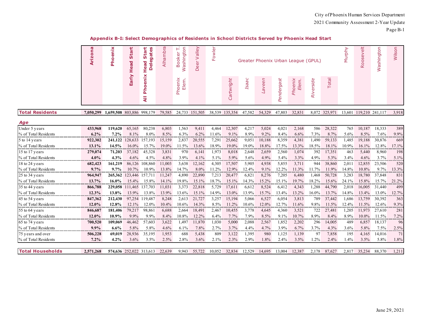#### **Appendix B-I: Select Demographics of Residents in School Districts Served by Phoenix Head Start**

|                         | Arizona   | Phoenix                   | Start<br>Head           | Start<br>gates<br>ω<br>lead<br>$\overline{\bullet}$<br>۵<br>I | Alhambra | Washington<br>⊢<br>ooker<br>D | alley<br>><br>eer<br>≏ | Fowler   |            |              |               |            | Greater Phoenix Urban League (GPUL) |           |               | Murphy | $\frac{11}{9}$<br>Roosev | Washington | Wilson   |
|-------------------------|-----------|---------------------------|-------------------------|---------------------------------------------------------------|----------|-------------------------------|------------------------|----------|------------|--------------|---------------|------------|-------------------------------------|-----------|---------------|--------|--------------------------|------------|----------|
|                         |           |                           | Early                   | enix<br>$\bullet$<br>웁<br>$\overline{a}$                      |          | Phoenix<br>Elem.              |                        |          | Cartwright | <b>Isaac</b> | <b>Laveen</b> | Pendergast | Phoenix<br>Elem.                    | Riverside | Total         |        |                          |            |          |
| <b>Total Residents</b>  | 7,050,299 | 1,659,508 803,886 998,179 |                         |                                                               | 79,585   |                               | 24,733 151,505         | 38,539   | 135,354    | 47,582       | 54,329        | 47,803     | 32,831                              |           | 8,072 325,971 | 13,601 | 119,210 241,117          |            | 3,918    |
| Age                     |           |                           |                         |                                                               |          |                               |                        |          |            |              |               |            |                                     |           |               |        |                          |            |          |
| Under 5 years           | 433,968   | 119,620                   | 65,165                  | 80,238                                                        | 6,803    | 1,563                         | 9,411                  | 4,464    | 12,307     | 4,217        | 5,024         | 4,021      | 2,168                               | 586       | 28,322        | 765    | 10.187                   | 18,333     | 389      |
| % of Total Residents    | $6.2\%$   | 7.2%                      | 8.1%                    | 8.0%                                                          | 8.5%     | 6.3%                          | $6.2\%$                | 11.6%    | 9.1%       | 8.9%         | 9.2%          | 8.4%       | $6.6\%$                             | 7.3%      | 8.7%          | 5.6%   | 8.5%                     | 7.6%       | 9.9%     |
| 5 to 14 years           | 922,302   | 241,122                   | 128,633                 | 157,193                                                       | 15,159   | 2,837                         | 20,555                 | 7,291    | 25,662     | 9,051        | 10,188        | 8,359      | 4,381                               | 1,490     | 59,133        | 1,485  | 19,188                   | 30,876     | 669      |
| % of Total Residents    | $13.1\%$  | 14.5%                     | 16.0%                   | 15.7%                                                         | 19.0%    | 11.5%                         | 13.6%                  | 18.9%    | 19.0%      | $19.0\%$     | 18.8%         | 17.5%      | 13.3%                               | 18.5%     | $18.1\%$      | 10.9%  | 16.1%                    | 12.8%      | 17.1%    |
| 15 to 17 years          | 279,074   | 71,203                    | 37,182                  | 45,328                                                        | 3,831    | 970                           | 6,14                   | 1,973    | 8,018      | 2,648        | 2,659         | 2,560      | 1,074                               | 392       | 17,351        | 463    | 5,440                    | 8,960      | 198      |
| % of Total Residents    | 4.0%      | 4.3%                      | 4.6%                    | 4.5%                                                          | 4.8%     | 3.9%                          | 4.1%                   | 5.1%     | 5.9%       | 5.6%         | 4.9%          | 5.4%       | 3.3%                                | 4.9%      | 5.3%          | 3.4%   | 4.6%                     | 3.7%       | 5.1%     |
| 18 to 24 years          | 682,423   | 161,219                   | 86,126                  | 108,860                                                       | 11,003   | 3,638                         | 12,162                 | 4,305    | 17,507     | 5,905        | 4,938         | 5,855      | 3,711                               | 944       | 38,860        | 2,011  | 12,855                   | 23,506     | 520      |
| % of Total Residents    | 9.7%      | 9.7%                      | 10.7%                   | 10.9%                                                         | 13.8%    | 14.7%                         | 8.0%                   | 11.2%    | 12.9%      | 12.4%        | 9.1%          | 12.2%      | 11.3%                               | 11.7%     | 11.9%         | 14.8%  | 10.8%                    | 9.7%       | 13.3%    |
| 25 to 34 years          | 964,947   | 265,362                   | 123,446                 | 157.711                                                       | 11,247   | 4,890                         | 22,890                 | 7,213    | 20,477     | 6,821        | 8,276         | 7,205      | 6,480                               | 1,468     | 50,728        | 3,283  | 18,780                   | 37,848     | 831      |
| % of Total Residents    | 13.7%     | $16.0\%$                  | 15.4%                   | 15.8%                                                         | 14.1%    | 19.8%                         | 15.1%                  | 18.7%    | 15.1%      | 14.3%        | 15.2%         | 15.1%      | 19.7%                               | 18.2%     | 15.6%         | 24.1%  | 15.8%                    | 15.7%      | 21.2%    |
| 35 to 44 years          | 866,788   |                           | 229,058 111,465         | 137,703                                                       | 11,031   | 3,373                         | 22,818                 | 5,729    | 17,611     | 6,612        | 8,524         | 6,412      | 4,343                               | 1,288     | 44,790        | 2,018  | 16,005                   | 31,440     | 499      |
| % of Total Residents    | 12.3%<br> | 13.8%                     | 13.9%                   | 13.8%                                                         | 13.9%    | 13.6%                         | 15.1%                  | 14.9%    | 13.0%      | 13.9%        | 15.7%         | 13.4%      | 13.2%                               | 16.0%     | 13.7%         | 14.8%  | 13.4%                    | 13.0%      | 12.7%    |
| 45 to 54 years          | 847,362   | 212,430                   | 97,254                  | 119,487                                                       | 8,248    | 2,613                         | 21,727                 | 3,257    | 15,194     | 5,066        | 6,527         | 6,054      | 3,813                               | 789       | 37,442        | 1,686  | 13,759                   | 30,392     | 363      |
| % of Total Residents    | 12.0%     | 12.8%                     | 12.1%                   | 12.0%                                                         | 10.4%    | 10.6%                         | 14.3%                  | 8.5%     | 11.2%      | 10.6%        | 12.0%         | 12.7%      | 11.6%                               | 9.8%      | 11.5%         | 12.4%  | 11.5%                    | 12.6%      | $9.3\%$  |
| 55 to 64 years          | 846,687   | 181,406                   | 79,217                  | 98,861                                                        | 6,688    | 2,664                         | 18,491                 | 2,467    | 10,455     | 3,778        | 4,645         | 4,360      | 3,521                               | 722       | 27,481        | 1,205  | 11,973                   | 27,610     | 281      |
| % of Total Residents    | 12.0%     | 10.9%                     | 9.9%                    | 9.9%                                                          | 8.4%     | 10.8%                         | 12.2%                  | 6.4%     | 7.7%       | 7.9%         | 8.5%          | 9.1%       | 10.7%                               | 8.9%      | 8.4%          | 8.9%   | 10.0%                    | 11.5%      | 7.2%     |
| 65 to 74 years          | 700,520   | 109,069                   | 46,462                  | 57,603                                                        | 3,622    | 1,497                         | 11,870                 | 1,030    | 5,000      | 2,088        | 2,567         | 1,852      | 2,202                               | 296       | 14,005        | 489    | 6,857                    | 18,137     | 96       |
| % of Total Residents    | 9.9%      | 6.6%                      | 5.8%                    | 5.8%                                                          | 4.6%     | 6.1%                          | 7.8%                   | 2.7%<br> | 3.7%       | 4.4%         | 4.7%          | 3.9%       | 6.7%<br>.                           | 3.7%      | $4.3\%$       | 3.6%   | 5.8%                     | 7.5%       | 2.5%<br> |
| 75 years and over       | 506,228   | 69,019                    | 28,936                  | 35,195                                                        | 1,953    | 688                           | 5,438                  | 809      | 3,122      | 1,395        | 980           | 1,125      | 1,139                               | 97        | 7,858         | 195    | 4,165                    | 14,016     | 71       |
| % of Total Residents    | 7.2%      | 4.2%                      | 3.6%                    | 3.5%                                                          | 2.5%     | 2.8%                          | 3.6%                   | 2.1%     | 2.3%       | 2.9%         | 1.8%          | 2.4%       | 3.5%                                | 1.2%      | 2.4%          | 1.4%   | 3.5%                     | 5.8%       | 1.8%     |
| <b>Total Households</b> | 2.571.268 |                           | 574,636 252,022 313,613 |                                                               | 22.639   | 9.943                         | 55,722                 | 10.052   | 32,834     | 12.529       | 14.695        | 13,004     | 12.387                              | 2.178     | 87,627        | 2.817  | 35,234                   | 88,370     | 1,211    |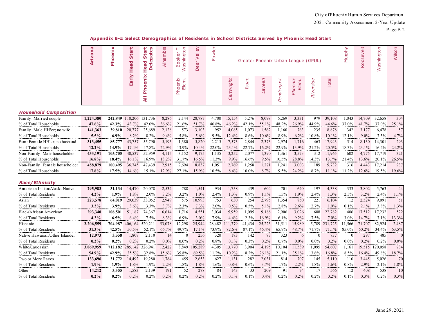#### **Appendix B-I: Select Demographics of Residents in School Districts Served by Phoenix Head Start**

| ο<br>$\overline{\mathbf{N}}$ | ທ | 꾱<br>70 | Alhan | ज<br>$\sigma$ | ≐<br>$\sigma$<br>Φ |  |             |                     |        | Greater Phoenix Urban League (GPUL) |      |  | ወ<br>ğ<br>$\circ$ | ট্য<br>ω |  |
|------------------------------|---|---------|-------|---------------|--------------------|--|-------------|---------------------|--------|-------------------------------------|------|--|-------------------|----------|--|
|                              |   | ⌒       |       | Φ<br>n.       |                    |  | <b>Isaa</b> | ς<br>ee<br>$\omega$ | ergast | oer                                 | side |  |                   |          |  |

#### *Household Composition*

| Family: Married couple         | 1.224.380 |               | 242,849 110,206 131,736 |         | 8,286   | 2.144 | 28,787   | 4,700   | 15,154  | 5,276    | 8,098   | 6,269         | 3,331   | 979   | 39,108   | .043    | 14.709   | 32,658 | 304      |
|--------------------------------|-----------|---------------|-------------------------|---------|---------|-------|----------|---------|---------|----------|---------|---------------|---------|-------|----------|---------|----------|--------|----------|
| % of Total Households          | $47.6\%$  | 42.3%         |                         | 42.0%   | 36.6%   | 21.6% | $51.7\%$ | 46.8%   | 46.2%   | 42.1%    | 55.1%   | 48.2%         | 26.9%   | 44.9% | 44.6%    | 37.0%   |          | 37.0%  | $25.1\%$ |
| Family: Male HH'er; no wife    | 141,363   | <b>39.810</b> | 20,777                  | 25.689  | 2.128   | 573   | 3,103    | 952     | 4,085   | 1.073    | 1,562   | 1,160         | 763     | 235   | 8.878    | 342     |          | 6.478  | 57       |
| % of Total Households          | 5.5%      | $6.9\%$       | $8.2\%$                 | $8.2\%$ | $9.4\%$ | 5.8%  | $5.6\%$  | $9.5\%$ | 12.4%   | $8.6\%$  | 10.6%   | 8.9%          | $6.2\%$ | 10.8% | $10.1\%$ | 12.1%   | $9.0\%$  | 7.3%   | $4.7\%$  |
| Fam: Female HH'er; no husband  | 313,455   | 85,777        | 43.757                  | 55,790  | 5.195   | .380  | 5,820    | 2,215   | 7,573   | 2.844    | 2,373   | 2.974         | 1.716   | 463   | 17.943   | 514     | 8.130    | 14.301 | 293      |
| % of Total Households          | $12.2\%$  | 14.9%         | $7.4\%$                 |         | 22.9%   | 13.9% | 10.4%    | 22.0%   |         | $22.7\%$ | 16.2%   | 22.9%         | 13.9%   |       | 20.5%    | 18.3%   | 23.1%    | 16.2%  | 24.2%    |
| Non-Family: Male householder   | 433.191   | 105,705       | 40,537                  | 52,959  | 4.115   | 3.152 | 9,175    | .135    | 3,252   | 2.077    | .390    | 1.361         | 3,573   | 312   | 1.965    | 602     | 4.775    | 17.719 | 321      |
| % of Total Households          | $16.8\%$  | 18.4%         |                         | 16.9%   | 18.2%   |       | 16.5%    | 1.3%    | $9.9\%$ | $16.6\%$ | $9.5\%$ | 10.5%         | 28.8%   | 14.3% | 13.7%    | 21.4%   | $13.6\%$ | 20.1%  | 26.5%    |
| Non-Family: Female householder | 458,879   | 100.495       | 36,745                  | 47.439  | 2.915   | 2.694 | 8,837    | 1.051   | 2.769   | .258     | 1.271   | $.24^{\circ}$ | 3.003   | 189   | 9.732    | 316     | 4.443    | 7.214  | 237      |
| % of Total Households          | $17.8\%$  | 17.5%         | 14.6%                   | 15.1%   | 12.9%   | 27.1% | 15.9%    | 10.5%   | $8.4\%$ | $10.0\%$ | $8.7\%$ | 9.5%          | 24.2%   | 8.7%  | $11.1\%$ | $1.2\%$ | 12.6%    | 19.5%  | 19.6%    |

#### *Race/Ethnicity*

| American Indian/Alaska Native  | 295,983   | 31.134  | 14.470      | 20.078  | 2,534   | 788     | 1.541    | 934     | 1.758   | 439     | 604      | 701     | 640     | 197     | 4,338       | 333     | 3.802   | 5,763   | 44       |
|--------------------------------|-----------|---------|-------------|---------|---------|---------|----------|---------|---------|---------|----------|---------|---------|---------|-------------|---------|---------|---------|----------|
| % of Total Residents           | $4.2\%$   | 1.9%    | 1.8%        | $2.0\%$ | 3.2%    | $3.2\%$ | .0%      | $2.4\%$ | 1.3%    | $0.9\%$ | $.1\%$   | $.5\%$  | 1.9%    | 2.4%    | .3%         | 2.5%    | $3.2\%$ | 2.4%    | $1.1\%$  |
| Asian                          | 223,578   | 64.019  | 29,039      | 33.052  | 2,949   | 575     | 10,993   | 753     | 630     | 254     | 2,795    | 1,354   | 850     | 221     | 6,104       | 12      | 2,524   | 9,091   | 51       |
| % of Total Residents           | $3.2\%$   | 3.9%    | 3.6%        | 3.3%    | 3.7%    | 2.3%    | 7.3%     | $2.0\%$ | 0.5%    | 0.5%    | $5.1\%$  | 2.8%    | 2.6%    | 2.7%    | 1.9%        | 0.1%    | $1\%$   | 3.8%    | 1.3%     |
| Black/African American         | 293,340   | 108.501 | 51.187      | 74.367  | 6,614   | 1.716   | 4,551    | 3,034   | 5,959   | 1,095   | 9,188    | 2.906   | 3,026   | 608     | 22,782      | 406     | 17.512  | 17.232  | 522      |
| % of Total Residents           | $4.2\%$   | $6.5\%$ | $6.4\%$     | 7.5%    | 8.3%    | $6.9\%$ | $3.0\%$  | 7.9%    | 4.4%    | $2.3\%$ | 16.9%    | $6.1\%$ | $9.2\%$ | 7.5%    | $7.0\%$     | $3.0\%$ | 14.7%   | 7.1%    | 13.3%    |
| Hispanic                       | 2.206.559 | 704.987 | 406.<br>164 | 520.21  | 53,078  | 12.298  | 25,944   | 28,482  | .779    | 41.434  | 25,223   | 31.51   | 15.989  | 5.789   | .725<br>231 | 1.566   | .707    | 82,924  | 2,487    |
| % of Total Residents           | 31.3%     | 42.5%   | 50.5%       | 52.1%   | 66.7%   | 49.7%   | $17.1\%$ | 73.9%   | 82.6%   | 87.1%   | 46.4%    | 65.9%   | 48.7%   | $.7\%$  |             | 85.0%   | 60.2%   | 34.4%   | 63.5%    |
| Native Hawaiian/Other Islander | 12.973    | 3.558   | 1,807       | 2,110   | 14      |         | 256      | 320     | 183     | 142     | 83       | 323     | h       |         | 737         | -0      | 297     | 485     | $\Omega$ |
| % of Total Residents           | $0.2\%$   | $0.2\%$ | $0.2\%$     | $0.2\%$ | $0.0\%$ | $0.0\%$ | $0.2\%$  | $0.8\%$ | $0.1\%$ | 0.3%    | $0.2\%$  | $0.7\%$ | $0.0\%$ | $0.0\%$ | $0.2\%$     | $0.0\%$ | $0.2\%$ | $0.2\%$ | $0.0\%$  |
| White/Caucasian                | 3,869,959 | 712.182 | 285,142     | 326.941 | 12,422  | 8,849   | 105,289  | 4,305   | 13,770  | 3,904   | 14,195   | 10.104  | 11,539  | 1,095   | 54,607      | 1.161   | 19.515  | 120,058 | 734      |
| % of Total Residents           | 54.9%     | 42.9%   | 35.5%       | 32.8%   | 15.6%   | 35.8%   | 69.5%    | 1.2%    | 10.2%   | 8.2%    | $26.1\%$ | 21.1%   | 35.1%   | 13.6%   | 16.8%       | 8.5%    | 16.4%   | 49.8%   | 18.7%    |
| Two or More Races              | 133.696   | 31,772  | 14.492      | 19.280  | 1.784   | 455     | 2,653    | 627     | 1.131   | 282     | 2,031    | 814     | 707     | 145     | 5.110       | 110     | 3.445   | 5,026   | 70       |
| % of Total Residents           | $1.9\%$   | $1.9\%$ | 1.8%        | 1.9%    | $2.2\%$ | $.8\%$  | .8%      | 1.6%    | 0.8%    | $0.6\%$ | 3.7%     | $.7\%$  | $2.2\%$ | 1.8%    | .6%         | $0.8\%$ | 2.9%    | $2.1\%$ | $1.8\%$  |
| Other                          | 14,212    | 3.355   | 1,583       | 2,139   | 191     | 52      | 278      | 84      | 143     | 33      | 209      | 91      | 74      |         | 566         | 12      | 408     | 538     | 10       |
| % of Total Residents           | $0.2\%$   | $0.2\%$ | $0.2\%$     | $0.2\%$ | $0.2\%$ | $0.2\%$ | $0.2\%$  | $0.2\%$ | $0.1\%$ | $0.1\%$ | $0.4\%$  | $0.2\%$ | $0.2\%$ | $0.2\%$ | $0.2\%$     | $0.1\%$ | $0.3\%$ | $0.2\%$ | $0.3\%$  |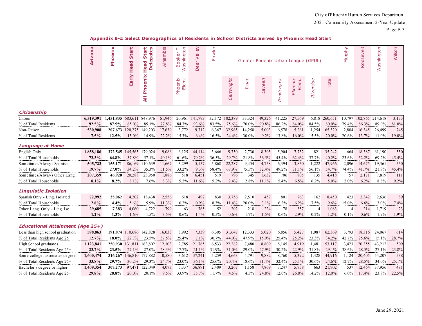|                                         | Arizona   | Phoenix   | <b>Start</b><br>Head    | Start<br>gates<br>Φ<br>Head<br>Ō<br>۵ | Alhambra | Washington<br>F<br>ooker<br>هَ | velley<br>$\geq$<br>Deer | Fowler  |            |              | Greater Phoenix Urban League (GPUL) |            |                  |                |               | Murphy  | Roosevelt | Washington | Wilson |
|-----------------------------------------|-----------|-----------|-------------------------|---------------------------------------|----------|--------------------------------|--------------------------|---------|------------|--------------|-------------------------------------|------------|------------------|----------------|---------------|---------|-----------|------------|--------|
|                                         |           |           | Early                   | oenix<br>운<br>₹                       |          | Phoenix<br>Elem.               |                          |         | Cartwright | <b>Isaac</b> | <b>Laveen</b>                       | Pendergast | Phoenix<br>Elem. | Riverside      | Total         |         |           |            |        |
| <b>Citizenship</b>                      |           |           |                         |                                       |          |                                |                          |         |            |              |                                     |            |                  |                |               |         |           |            |        |
| Citizen                                 | 6,519,391 | 1,451,835 | 683,611                 | 848,976                               | 61,946   | 20,961                         | 141,793                  | 32,172  | 102,389    | 33,324       | 49,326                              | 41,225     | 27,569           |                | 6,818 260,651 | 10,797  | 102,865   | 214,618    | 3,173  |
| % of Total Residents                    | 92.5%     | 87.5%     | 85.0%                   | 85.1%                                 | 77.8%    | 84.7%                          | 93.6%                    | 83.5%   | 75.6%      | 70.0%        | 90.8%                               | 86.2%      | 84.0%            | 84.5%          | 80.0%         | 79.4%   | 86.3%     | 89.0%      | 81.0%  |
| Non-Citizen                             | 530,908   | 207,673   | 120,275                 | 149,203                               | 17,639   | 3,772                          | 9,712                    | 6,367   | 32,965     | 14,258       | 5,003                               | 6,578      | 5,261            | 1,254          | 65,320        | 2,804   | 16,345    | 26,499     | 745    |
| % of Total Residents                    | 7.5%      | 12.5%     | 15.0%                   | 14.9%                                 | 22.2%    | 15.3%                          | $6.4\%$                  | 16.5%   | 24.4%      | 30.0%        | 9.2%                                | 13.8%      | 16.0%            | 15.5%          | 20.0%         | 20.6%   | 13.7%     | 11.0%      | 19.0%  |
| <b>Language at Home</b>                 |           |           |                         |                                       |          |                                |                          |         |            |              |                                     |            |                  |                |               |         |           |            |        |
| English Only                            | 1,858,186 |           | 372,545 145,565 179,024 |                                       | 9,086    | 6,125                          | 44,114                   | 3,666   | 9,750      | 2,730        | 8,305                               | 5,904      | 7,732            | 821            | 35,242        | 664     | 18,387    | 61,190     | 550    |
| % of Total Households                   | $72.3\%$  | 64.8%     | 57.8%                   | 57.1%                                 | 40.1%    | 61.6%                          | 79.2%                    | 36.5%   | 29.7%      | 21.8%        | 56.5%                               | 45.4%      | 62.4%            | 37.7%          | 40.2%         | 23.6%   | 52.2%     | 69.2%      | 45.4%  |
| Sometimes/Always Spanish                | 505,723   | 155,171   |                         | 86,169 110,639                        | 11,667   | 3,299                          | 5,157                    | 5,868   | 22,287     | 9,454        | 4,758                               | 6,394      | 3,850            | 1,222          | 47,966        | 2,096   | 14,675    | 19,361     | 550    |
| % of Total Households                   | 19.7%     | 27.0%     | 34.2%                   | 35.3%                                 | 51.5%    | 33.2%                          | 9.3%                     | 58.4%   | 67.9%      | 75.5%        | 32.4%                               | 49.2%      | 31.1%            | 56.1%          | 54.7%         | 74.4%   | 41.7%     | 21.9%      | 45.4%  |
| Sometimes/Always Other Lang.            | 207,359   | 46,920    | 20,288                  | 23,950                                | 1,886    | 518                            | 6,451                    | 519     | 796        | 345          | 1,632                               | 706        | 805              | 135            | 4,418         | 57      | 2,171     | 7,819      | 111    |
| % of Total Households                   | 8.1%      | 8.2%      | 8.1%                    | 7.6%                                  | 8.3%     | 5.2%                           | 11.6%                    | 5.2%    | 2.4%       | 2.8%         | 11.1%                               | 5.4%       | 6.5%             | 6.2%           | 5.0%          | 2.0%    | 6.2%      | 8.8%       | 9.2%   |
| <b>Linguistic Isolation</b>             |           |           |                         |                                       |          |                                |                          |         |            |              |                                     |            |                  |                |               |         |           |            |        |
| Spanish Only - Ling. Isolated           | 72,992    | 25,062    | 14,202                  | 18,438                                | 2,556    | 618                            | 492                      | 830     | 3,756      | 2,510        | 457                                 | 801        | 763              | 162            | 8,450         | 423     | 2,342     | 2,636      | 89     |
| % of Total Households                   | 2.8%      | 4.4%      | 5.6%                    | 5.9%                                  | 11.3%    | 6.2%                           | $0.9\%$                  | $8.3\%$ | 11.4%      | $20.0\%$     | $3.1\%$                             | 6.2%       | 6.2%             | 7.5%           | 9.6%          | 15.0%   | 6.6%      | 3.0%       | 7.4%   |
| Other Lang. Only - Ling. Iso.           | 29,685    | 7,383     | 4,060                   | 4,722                                 | 799      | 63                             | 765                      | 52      | 202        | 218          | 224                                 | 78         | 357              | $\overline{4}$ | 1,083         | 4       | 214       | 1,719      | 23     |
| % of Total Households                   | 1.2%      | 1.3%      | 1.6%                    | 1.5%                                  | 3.5%     | 0.6%                           | 1.4%                     | 0.5%    | 0.6%       | 1.7%         | 1.5%                                | 0.6%       | 2.9%             | 0.2%           | 1.2%          | 0.1%    | 0.6%      | 1.9%       | 1.9%   |
| <b>Educational Attainment (Age 25+)</b> |           |           |                         |                                       |          |                                |                          |         |            |              |                                     |            |                  |                |               |         |           |            |        |
| Less than high school graduation        | 598,863   |           |                         | 191,874 110,686 142,828               | 16,033   | 3,992                          | 7,339                    | 6,305   | 31,647     | 12,333       | 5,020                               | 6,856      | 5,427            | 1,087          | 62,369        | 3,793   | 18,316    | 24,067     | 614    |
| % of Total Residents Age 25+            | 12.7%     | 18.0%     | 22.7%                   | 23.5%                                 | 37.5%    | 25.4%                          | 7.1%                     | 30.7%   | 44.0%      | 47.9%        | 15.9%                               | 25.4%      | 25.2%            | 23.3%          | 34.2%         | 42.7%   | 25.6%     | 15.1%      | 28.7%  |
| High School graduates                   | 1,123,841 |           | 250,930 131,811 163,802 |                                       | 12,103   | 2,785                          | 21,765                   | 6,533   | 22,282     | 7,480        | 8,809                               | 8,145      | 4,919            | 1,481          | 53,117        | 3,423   | 20,355    | 43,212     | 509    |
| % of Total Residents Age 25+            | 23.7%     | 23.5%     | 27.1%                   | 27.0%                                 | 28.3%    | 17.7%                          | 21.1%                    | 31.9%   | 31.0%      | 29.0%        | 27.9%                               | 30.2%      | 22.9%            | 31.8%          | 29.1%         | 38.6%   | 28.5%     | 27.1%      | 23.8%  |
| Some college, associates degree         | 1,600,474 |           | 316,267 146,810 177,882 |                                       | 10,580   | 3,612                          | 37,241                   | 5,259   | 14,663     | 4,791        | 9,882                               | 8,760      | 5,392            | 1,428          | 44,916        | 1,124   | 20,405    | 54,207     | 538    |
| % of Total Residents Age 25+            | 33.8%     | 29.7%     | 30.2%                   | 29.3%                                 | 24.7%    | $23.0\%$                       | 36.1%                    | 25.6%   | 20.4%      | 18.6%        | 31.4%                               | 32.4%      | 25.1%            | 30.6%          | 24.6%         | 12.7%   | 28.5%     | 34.0%      | 25.1%  |
| Bachelor's degree or higher             | 1,409,354 | 307,273   | 97,471                  | 122,049                               | 4,073    | 5,337                          | 36,89                    | 2,409   | 3,267      | 1,158        | 7,809                               | 3,247      | 5,758            | 663            | 21,902        | 537     | 12,464    | 37,956     | 481    |
| % of Total Residents Age 25+            | 29.8%     | 28.8%     | 20.0%                   | 20.1%                                 | 9.5%     | 33.9%                          | 35.7%                    | 11.7%   | 4.5%       | 4.5%         | 24.8%                               | 12.0%      | 26.8%            | 14.2%          | 12.0%         | $6.0\%$ | 17.4%     | 23.8%      | 22.5%  |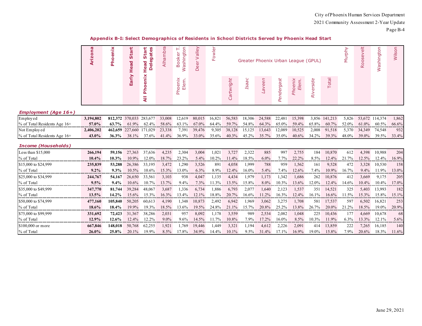#### **Appendix B-I: Select Demographics of Residents in School Districts Served by Phoenix Head Start**

| œ<br><u>א.</u> | Δ. | <b>IQ</b><br><b>in</b><br>ъ<br><b>ro</b> | τ<br>70<br>ro. | Б<br>$rac{1}{4}$ | O<br>ঁত<br>D<br>ā                  | ≝<br>$\sigma$<br>Φ<br>$\omega$<br>≏ | щ |      |       |         | Greater Phoenix Urban League (GPUL) |                |       | d) | ខ<br>ֹפַ<br>∕≡<br>ঁত<br>ā | $\overline{\omega}$ |
|----------------|----|------------------------------------------|----------------|------------------|------------------------------------|-------------------------------------|---|------|-------|---------|-------------------------------------|----------------|-------|----|---------------------------|---------------------|
|                |    | a<br>Lii                                 | ≏              |                  | ⌒<br><u>യ</u><br>Ш<br>$\circ$<br>௳ |                                     |   | Isaa | aveen | lergast | oer<br>옮                            | side<br>õ<br>∝ | Total |    |                           |                     |

#### *Employment (Age 16+)*

| Employed                         |          |       |          | 812.372 370.033 283.677        | 33,008 | 12.619 | 80,015 16,821 56,583 18,306 24,588 22,481 15,398      |       |                   |       |       |             | 3.856 141.213 5.826                |       |       | 53.672 114.374 | 1.862 |
|----------------------------------|----------|-------|----------|--------------------------------|--------|--------|-------------------------------------------------------|-------|-------------------|-------|-------|-------------|------------------------------------|-------|-------|----------------|-------|
| $%$ of Total Residents Age $16+$ | 57.0%    | 63.7% | $61.9\%$ | 62.4%                          | 58.6%  | 63.1%  | $67.0\%$ $64.4\%$ $59.7\%$ $54.8\%$ $64.3\%$          |       |                   |       |       |             | 65.0\% 59.4\% 65.8\% 60.7\% 52.0\% |       | 61.0% | 60.5%          | 66.6% |
| Not Employed                     |          |       |          | 462,659 227,660 171,029 23,338 |        |        | 7,391 39,476 9,305 38,128 15,125 13,643 12,089 10,525 |       |                   |       |       |             | 2,008 91,518 5,370 34,349 74,548   |       |       |                | 932   |
| % of Total Residents Age 16+     | $13.0\%$ |       | $381\%$  | 37.6%                          | 41.4%  | 36.9%  | 33.0%                                                 | 35.6% | $40.3\%$ $45.2\%$ | 35.7% | 35.0% | 40.6% 34.2% | 39.3%                              | 48.0% | 39.0% | 39.5%          | 33.4% |

#### *Income (Households)*

| Less than $$15,000$  | 266,194  | 59,156   | 27,363   | 37,636   | 4,235    | 2,304   | 3,004    | 1,021   | 3,727    | 2,322   | 885     | 997     | 2,755    | 184      | 10,870 | 612      | 4,398    | 10,988   | 204       |
|----------------------|----------|----------|----------|----------|----------|---------|----------|---------|----------|---------|---------|---------|----------|----------|--------|----------|----------|----------|-----------|
| % of Total           | $10.4\%$ | $10.3\%$ | $10.9\%$ | $12.0\%$ | 18.7%    | 23.2%   | 5.4%     | $0.2\%$ | $11.4\%$ | 18.5%   | $6.0\%$ | $7.7\%$ | 22.2%    | 8.5%     | 12.4%  | 21.7%    | 12.5%    | 12.4%    | 16.9%     |
| \$15,000 to \$24,999 | 235,839  | 53,288   | 26.386   | 33.195   | 3.472    | .290    | 3.526    | 891     | 4.058    | 1.999   | 788     | 959     | .562     | 161      | 9.528  | 472      | 3.328    | 10.530   | 158       |
| % of Total           | $9.2\%$  | $9.3\%$  | $10.5\%$ | $10.6\%$ | 15.3%    | 13.0%   | $6.3\%$  | 8.9%    | $12.4\%$ | 16.0%   | $5.4\%$ | $1.4\%$ | 12.6%    | 7.4%     | 10.9%  | $16.7\%$ | $9.4\%$  | 11.9%    | 13.0%     |
| \$25,000 to \$34,999 | 244,767  | 54,167   | 26,650   | 33.561   | 3.103    | 938     | 4,047    | .135    | 4,434    | 1.979   | 1.173   | 1.342   | 1,686    | 262      | 10.876 | 412      | 3.669    | 9,175    | 205       |
| % of Total           | $9.5\%$  | $9.4\%$  | $10.6\%$ | $10.7\%$ | 13.7%    | 9.4%    | $7.3\%$  | $1.3\%$ | 13.5%    | 15.8%   | $8.0\%$ | 10.3%   | 13.6%    | $12.0\%$ | 12.4%  | 14.6%    | $10.4\%$ | $10.4\%$ | 17.0%     |
| \$35,000 to \$49,999 | 347,770  | 81,744   | 39.284   | 48,067   | 3,687    | 1.336   | 6.734    | .886    | 6,793    | 2,077   | 1.640   | 2.123   | 1,537    | 351      | 14,521 | 325      | 5.403    | 13.993   | 182       |
| % of Total           | 13.5%    | $14.2\%$ | $15.6\%$ | $15.3\%$ | $16.3\%$ | 13.4%   | 12.1%    | 18.8%   | 20.7%    | 16.6%   | $1.2\%$ | 16.3%   | $12.4\%$ | 16.1%    | 16.6%  | 1.5%     | 15.3%    | 15.8%    | 15.1%     |
| \$50,000 to \$74,999 | 477,160  | 105.840  | 50,205   | 60.613   | 4.190    | 1.348   | 10.873   | 2.492   | 6,942    | 1.969   | 3,062   | 3.275   | .708     | 581      | 17.537 | 597      | 6.502    | 16.821   | 253       |
| % of Total           | 18.6%    | 18.4%    | $19.9\%$ | 19.3%    | 18.5%    | 13.6%   | 19.5%    | 24.8%   | $21.1\%$ | 15.7%   | 20.8%   | 25.2%   | 13.8%    | 26.7%    | 20.0%  | 21.2%    | 18.5%    | 19.0%    | 20.9%     |
| \$75,000 to \$99,999 | 331.692  | 72,423   | 31,367   | 38,286   | 2.031    | 957     | 8.092    | 1.178   | 3,559    | 989     | 2,534   | 2.082   | 0.048    | 225      | 10.436 | 177      | 4.669    | 10.678   | <b>68</b> |
| % of Total           | $12.9\%$ | $12.6\%$ | $12.4\%$ | $12.2\%$ | $9.0\%$  | $9.6\%$ | $14.5\%$ | $1.7\%$ | 10.8%    | 7.9%    | 17.2%   | 16.0%   | $8.5\%$  | $10.3\%$ | 11.9%  | $6.3\%$  | 13.3%    | 12.1%    | $5.6\%$   |
| $$100,000$ or more   | 667,846  | 148.018  | 50,768   | 62.255   | 1.921    | 1.769   | 19.446   | 1.449   | 3,321    | 1.194   | 4,612   | 2,226   | 2,091    | 414      | 13,859 | 222      | 7.265    | 16,185   | 140       |
| % of Total           | $26.0\%$ | 25.8%    | 20.1%    | 19.9%    | $8.5\%$  | 17.8%   | 34.9%    | 14.4%   | $10.1\%$ | $9.5\%$ | 31.4%   | 7.1%    | 16.9%    | 19.0%    | 15.8%  | 7.9%     | 20.6%    | 18.3%    | 11.6%     |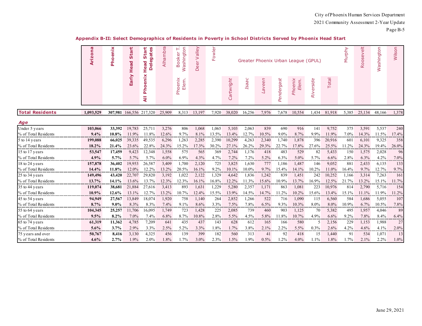|                        | Arizona   | Phoenix   | tart<br>$\ddot{\mathbf{v}}$<br>ead<br>I | ārt<br>gates<br>5<br><u>aj</u><br>Head<br>ó | Alhambra | Washington<br>Ĥ.<br>ooker<br>m. | Deer Valley | owler<br>τĒ. |            |              |           |            | Greater Phoenix Urban League (GPUL) |               |        | Murphy    | $\frac{1}{\Phi}$<br>oosev<br>$\alpha$ | Washington | Wilson |
|------------------------|-----------|-----------|-----------------------------------------|---------------------------------------------|----------|---------------------------------|-------------|--------------|------------|--------------|-----------|------------|-------------------------------------|---------------|--------|-----------|---------------------------------------|------------|--------|
|                        |           |           | Early                                   | enix<br>۰<br>훕<br>₹                         |          | Phoenix<br>Elem.                |             |              | Cartwright | <b>Isaac</b> | Laveen    | Pendergast | Phoenix<br>Elem.                    | Riverside     | Total  |           |                                       |            |        |
| <b>Total Residents</b> | 1.093.529 |           |                                         | 307,981 166,556 217,320                     | 25,909   | 8,313                           | 13,197      | 7,920        | 38,020     | 16,256       | 7,976     | 7,678      | 10,554                              | 1.434         | 81,918 | 5,385     | 25,134                                | 48,166     | 1,378  |
| Age                    |           |           |                                         |                                             |          |                                 |             |              |            |              |           |            |                                     |               |        |           |                                       |            |        |
| Under 5 years          | 103,066   | 33.392    | 19,783                                  | 25,711                                      | 3,276    | 806                             | 1,068       | 1,065        | 5,103      | 2,063        | 839       | 690        | 916                                 | 141           | 9,752  | 375       | 3,591                                 | 5,537      | 240    |
| % of Total Residents   | 9.4%      | 10.8%     | 11.9%                                   | 11.8%                                       | 12.6%    | 9.7%                            | 8.1%        | 13.5%        | 13.4%      | 12.7%        | 10.5%     | 9.0%       | 8.7%                                | 9.9%          | 11.9%  | $7.0\%$   | 14.3%                                 | 11.5%      | 17.4%  |
| 5 to 14 years          | 199,088   | 66,025    | 39,335                                  | 49,535                                      | 6,296    | 1,263                           | 2,285       | 2,390        | 10,299     | 4,263        | 2,340     | 1,740      | 1,878                               | 396           | 20,916 | 601       | 6,101                                 | 9,325      | 358    |
| % of Total Residents   | 18.2%     | 21.4%     | 23.6%                                   | 22.8%                                       | 24.3%    | 15.2%                           | 17.3%       | 30.2%        | 27.1%      | 26.2%        | 29.3%     | 22.7%      | 17.8%                               | 27.6%         | 25.5%  | 11.2%     | 24.3%                                 | 19.4%      | 26.0%  |
| 15 to 17 years         | 53,547    | 17,459    | 9,423                                   | 12,348                                      | 1,558    | 575                             | 565         | 369          | 2,744      | 1,176        | 418       | 483        | 529                                 | 82            | 5,433  | 150       | 1,575                                 | 2,028      | 96     |
|                        | $4.9\%$   | 5.7%      | 5.7%                                    | 5.7%                                        | $6.0\%$  | 6.9%<br>                        | 4.3%<br>.   | 4.7%<br>     | 7.2%<br>.  | 7.2%<br>.    | 5.2%<br>. | 6.3%       | 5.0%                                | 5.7%<br>.     | 6.6%   | 2.8%<br>. | 6.3%                                  | 4.2%<br>   | 7.0%   |
| 18 to 24 years         | 157,878   | 36,402    | 19,953                                  | 26,587                                      | 3,409    | 1,700                           | 2,120       | 725          | 3,825      | 1,630        | 777       | 1,186      | 1,487                               | 146           | 9,052  | 881       | 2,433                                 | 6,135      | 133    |
| % of Total Residents   | 14.4%     | 11.8%     | 12.0%                                   | 12.2%                                       | 13.2%    | 20.5%                           | 16.1%       | $9.2\%$      | 10.1%      | 10.0%        | 9.7%      | 15.4%      | 14.1%                               | 10.2%         | 11.0%  | 16.4%     | 9.7%                                  | 12.7%      | 9.7%   |
| 25 to 34 years         | 149,496   | 43,420    | 22,707                                  | 29,820                                      | 3,192    | 1,022                           | 2,122       | 1,329        | 4,642      | 1,836        | 1,242     | 839        | 1,451                               | 242           | 10,252 | 1,166     | 3,314                                 | 7,263      | 161    |
| % of Total Residents   | 13.7%     | 14.1%     | 13.6%                                   | 13.7%                                       | 12.3%    | 12.3%                           | 16.1%       | 16.8%        | 12.2%      | 11.3%        | 15.6%     | 10.9%      | 13.7%                               | 16.9%         | 12.5%  | 21.7%     | 13.2%                                 | 15.1%      | 11.7%  |
| 35 to 44 years         | 119,074   | 38,681    | 21,884                                  | 27,616                                      | 3,413    | 893                             | 1,631       | 1,229        | 5,280      | 2,357        | 1,171     | 863        | 1,081                               | 223           | 10,976 | 814       | 2,790                                 | 5,716      | 154    |
| % of Total Residents   | 10.9%     | 12.6%     | 13.1%                                   | 12.7%                                       | 13.2%    | 10.7%                           | 12.4%       | 15.5%        | 13.9%      | 14.5%        | 14.7%     | 11.2%      | 10.2%                               | 15.6%         | 13.4%  | 15.1%     | 11.1%                                 | 11.9%      | 11.2%  |
| 45 to 54 years         | 94,949    | 27,567    | 13,849                                  | 18,074                                      | 1,920    | 758                             | 1,140       | 264          | 2,852      | 1,266        | 522       | 716        | 1,090                               | 115           | 6,560  | 584       | 1,686                                 | 5,055      | 107    |
| % of Total Residents   | 8.7%      | $9.0\%$   | 8.3%                                    | 8.3%                                        | 7.4%     | 9.1%<br>                        | 8.6%        | 3.3%         | 7.5%       | 7.8%<br>.    | 6.5%<br>  | 9.3%       | 10.3%                               | 8.0%          | 8.0%   | 10.9%     | 6.7%                                  | 10.5%      | 7.8%   |
| 55 to 64 years         | 104,345   | 25,257    | 11,706                                  | 16,095                                      | 1,749    | 723                             | 1,428       | 225          | 2,085      | 739          | 460       | 903        | 1,125                               | 70            | 5,382  | 495       | 1,957                                 | 4,046      | 89     |
| % of Total Residents   | 9.5%      | 8.2%      | 7.0%                                    | 7.4%                                        | 6.8%     | 8.7%                            | 10.8%       | 2.8%         | 5.5%       | 4.5%         | 5.8%      | 11.8%      | 10.7%                               | 4.9%          | 6.6%   | 9.2%      | 7.8%                                  | 8.4%       | 6.4%   |
| 65 to 74 years         | 61,319    | 11,362    | 4,785                                   | 7,209                                       | 641      | 435                             | 437         | 143          | 628        | 612          | 165       | 166        | 580                                 | $\mathcal{F}$ | 2,156  | 229       | 1,153                                 | 1,988      | 27     |
| % of Total Residents   | 5.6%      | 3.7%<br>. | 2.9%                                    | 3.3%<br>                                    | 2.5%     | 5.2%<br>.                       | 3.3%<br>.   | 1.8%<br>.    | 1.7%       | 3.8%<br>.    | 2.1%      | 2.2%       | 5.5%<br>.                           | 0.3%<br>.     | 2.6%   | 4.2%<br>. | 4.6%                                  | 4.1%       | 2.0%   |
| 75 years and over      | 50,767    | 8,416     | 3,130                                   | 4,325                                       | 456      | 139                             | 399         | 182          | 560        | 313          | 41        | 92         | 418                                 | 15            | 1,440  | 91        | 534                                   | 1,071      | 13     |
| % of Total Residents   | 4.6%      | 2.7%      | 1.9%                                    | 2.0%                                        | 1.8%     | 1.7%                            | $3.0\%$     | 2.3%         | 1.5%       | 1.9%         | $0.5\%$   | 1.2%       | 4.0%                                | $1.1\%$       | 1.8%   | 1.7%      | $2.1\%$                               | 2.2%       | 1.0%   |

#### **Appendix B-II: Select Demographics of Residents in Poverty in School Districts Served by Phoenix Head Start**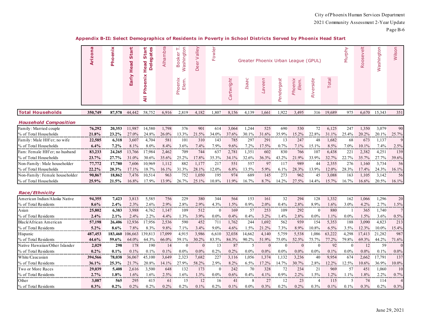| Appendix B-II: Select Demographics of Residents in Poverty in School Districts Served by Phoenix Head Start |  |  |  |  |  |
|-------------------------------------------------------------------------------------------------------------|--|--|--|--|--|
|-------------------------------------------------------------------------------------------------------------|--|--|--|--|--|

|                                | <b>Arizona</b> | Phoenix    | Start<br>Head | Start<br>gates<br>Head<br>$\overline{\bullet}$<br>۵ | Alhambra | Washington<br>F<br><b>Booker</b> | Deer Valley | Fowler   |            |              | Greater Phoenix Urban League (GPUL) |            |                  |                |          | Murphy            | $\frac{1}{\Phi}$<br>Roosev | Washington | Wilson         |
|--------------------------------|----------------|------------|---------------|-----------------------------------------------------|----------|----------------------------------|-------------|----------|------------|--------------|-------------------------------------|------------|------------------|----------------|----------|-------------------|----------------------------|------------|----------------|
|                                |                |            | Early         | Phoenix<br>$\overline{a}$                           |          | Phoenix<br>Elem.                 |             |          | Cartwright | <b>Isaac</b> | Laveen                              | Pendergast | Phoenix<br>Elem. | Riverside      | Total    |                   |                            |            |                |
| <b>Total Households</b>        | 350,749        | 87,578     | 44,442        | 58,752                                              | 6,916    | 2,819                            | 4,182       | 1,807    | 8,156      | 4,139        | 1,661                               | 1,922      | 3,495            | 316            | 19,689   | 975               | 6,670                      | 15,343     | 351            |
| <b>Household Composition</b>   |                |            |               |                                                     |          |                                  |             |          |            |              |                                     |            |                  |                |          |                   |                            |            |                |
| Family: Married couple         | 76,292         | 20,353     | 11,987        | 14,580                                              | 1,798    | 376                              | 901         | 614      | 3,064      | 1,244        | 525                                 | 690        | 530              | 72             | 6,125    | 247               | 1,350                      | 3,079      | 90             |
| % of Total Households          | 21.8%          | 23.2%      | 27.0%         | 24.8%                                               | 26.0%    | 13.3%                            | 21.5%       | 34.0%    | 37.6%      | 30.1%        | 31.6%                               | 35.9%      | 15.2%            | 22.8%          | $31.1\%$ | 25.4%             | 20.2%                      | 20.1%      | 25.7%          |
| Family: Male HH'er; no wife    | 22,585         | 6,318      | 3,607         | 4,704                                               | 581      | 101                              | 310         | 143      | 785        | 297          | 291                                 | 13         | 247              | 48             | 1,682    | 68                | 673                        | 1,137      | 9              |
| % of Total Households          | 6.4%           | 7.2%       | 8.1%          | 8.0%                                                | 8.4%     | 3.6%                             | 7.4%        | 7.9%     | 9.6%       | 7.2%         | 17.5%                               | 0.7%       | 7.1%             | 15.1%          | 8.5%     | 7.0%              | 10.1%                      | 7.4%       | 2.5%           |
| Fam: Female HH'er; no husband  | 83,233         | 24,265     | 13,766        | 17,984                                              | 2,462    | 709                              | 744         | 637      | 2,781      | 1,351        | 602                                 | 830        | 766              | 107            | 6,438    | 221               | 2,382                      | 4,251      | 139            |
| % of Total Households          | 23.7%          | 27.7%      | 31.0%         | 30.6%                                               | 35.6%    | 25.2%                            | 17.8%       | 35.3%    | 34.1%      | 32.6%        | 36.3%                               | 43.2%      | 21.9%            | 33.9%          | 32.7%    | 22.7%             | 35.7%                      | 27.7%      | 39.6%          |
| Non-Family: Male householder   | 77,772         | 17,780     | 7,606         | 10,969                                              | 1,112    | 882                              | 1,177       | 217      | 551        | 557          | 97                                  | 117        | 989              | 44             | 2,355    | 276               | 1,160                      | 3,734      | 56             |
| % of Total Households          | 22.2%          | 20.3%      | 17.1%         | 18.7%                                               | $16.1\%$ | 31.3%                            | 28.1%       | 12.0%    | $6.8\%$    | 13.5%        | 5.9%                                | 6.1%       | 28.3%            | 13.9%          | $12.0\%$ | 28.3%             | 17.4%                      | 24.3%      | 16.1%          |
| Non-Family: Female householder | 90,867         | 18,862     | 7,476         | 10,514                                              | 963      | 752                              | 1,050       | 195      | 974        | 689          | 145                                 | 273        | 962              | 45             | 3,088    | 163               | 1,105                      | 3,142      | 56             |
| % of Total Households          | 25.9%          | 21.5%      | 16.8%         | 17.9%                                               | 13.9%    | 26.7%                            | 25.1%       | 10.8%    | 11.9%      | 16.7%        | 8.7%                                | 14.2%      | 27.5%            | 14.4%          | 15.7%    | 16.7%             | 16.6%                      | 20.5%      | 16.1%          |
| Race/Ethnicity                 |                |            |               |                                                     |          |                                  |             |          |            |              |                                     |            |                  |                |          |                   |                            |            |                |
| American Indian/Alaska Native  | 94,355         | 7,423      | 3,813         | 5,585                                               | 756      | 229                              | 380         | 344      | 564        | 153          | 161                                 | 32         | 294              | 128            | 1,332    | 162               | 1,066                      | 1,296      | 20             |
| % of Total Residents           | $8.6\%$        | 2.4%       | 2.3%          | 2.6%                                                | 2.9%     | 2.8%                             | 2.9%        | 4.3%     | 1.5%       | 0.9%         | $2.0\%$                             | 0.4%       | $2.8\%$          | 8.9%           | $1.6\%$  | 3.0%              | $4.2\%$                    | 2.7%       | 1.5%           |
| Asian                          | 25,802         | 6,383      | 3,988         | 4,762                                               | 1,147    | 109                              | 512         | $\Omega$ | 169        | 57           | 253                                 | 109        | 292              | $\Omega$       | 880      | - 1               | 365                        | 1,740      | 7              |
| % of Total Residents           | 2.4%           | 2.1%       | 2.4%          | 2.2%                                                | 4.4%     | 1.3%                             | 3.9%        | $0.0\%$  | 0.4%       | 0.4%         | 3.2%                                | 1.4%       | 2.8%             | $0.0\%$        | 1.1%     | $0.0\%$           | 1.5%                       | 3.6%       | 0.5%           |
| Black/African American         | 57,198         | 26,406     | 12,936        | 17,956                                              | 2,536    | 590                              | 452         | 711      | 1,762      | 244          | 1,692                               | 562        | 939              | 154            | 5,353    | 188               | 3,090                      | 4,823      | 213            |
| % of Total Residents           | $5.2\%$        | 8.6%       | 7.8%          | 8.3%                                                | 9.8%     | 7.1%                             | 3.4%        | $9.0\%$  | 4.6%       | 1.5%         | 21.2%                               | 7.3%       | 8.9%             | 10.8%          | 6.5%     | 3.5%              | 12.3%                      | 10.0%      | 15.4%          |
| Hispanic                       | 487,453        | 183,460    | 106,663       | 139,813                                             | 17,099   | 4,915                            | 3,986       | 6,610    | 32,038     | 14,662       | 4,140                               | 5,759      | 5,538            | 1,086          | 63,222   | 4,298             | 17,413                     | 21,282     | 987            |
| % of Total Residents           | 44.6%          | 59.6%      | 64.0%         | 64.3%                                               | 66.0%    | 59.1%                            | 30.2%       | 83.5%    | 84.3%      | 90.2%        | 51.9%                               | 75.0%      | 52.5%            | 75.7%          | 77.2%    | 79.8%             | 69.3%                      | 44.2%      | 71.6%          |
| Native Hawaiian/Other Islander | 2,029          | 298        | 178           | 190                                                 | 14       | $\Omega$                         | $\Omega$    | 13       | 87         | 5            | $\mathbf{0}$                        | $\Omega$   | $\theta$         | $\Omega$       | 92       | $\theta$          | 12                         | 59         | $\Omega$       |
| % of Total Residents           | $0.2\%$        | 0.1%       | 0.1%          | 0.1%                                                | 0.1%     | $0.0\%$                          | $0.0\%$     | 0.2%     | 0.2%       | $0.0\%$      | $0.0\%$                             | $0.0\%$    | $0.0\%$          | $0.0\%$        | 0.1%     | $0.0\%$           | $0.0\%$                    | 0.1%       | $0.0\%$        |
| White/Caucasian                | 394,566        | 78,038     | 36,067        | 45,100                                              | 3,649    | 2,323                            | 7,682       | 227      | 3,116      | 1,056        | 1,374                               | 1,132      | 3,236            | 40             | 9,954    | 674               | 2,662                      | 17,791     | 137            |
| % of Total Residents           | 36.1%          | 25.3%<br>. | 21.7%         | 20.8%<br>.                                          | 14.1%    | 27.9%<br>.                       | 58.2%<br>.  | 2.9%     | 8.2%       | 6.5%<br>.    | 17.2%<br>.                          | 14.7%      | 30.7%<br>.       | 2.8%<br>.      | 12.2%    | 12.5%<br>a in com | $10.6\%$                   | 36.9%<br>. | 10.0%          |
| Two or More Races              | 29,039         | 5,408      | 2,616         | 3,500                                               | 648      | 132                              | 173         | $\Omega$ | 242        | 70           | 328                                 | 72         | 234              | 21             | 969      | 57                | 451                        | 1,060      | 10             |
| % of Total Residents           | 2.7%           | 1.8%       | 1.6%          | 1.6%                                                | 2.5%     | 1.6%                             | 1.3%        | $0.0\%$  | 0.6%       | 0.4%         | 4.1%                                | 0.9%       | 2.2%             | 1.5%           | 1.2%     | $1.1\%$           | 1.8%                       | 2.2%       | 0.7%           |
| Other                          | 3,087          | 565        | 295           | 415                                                 | 61       | 15                               | 12          | 16       | 41         | 8            | 27                                  | 12         | 23               | $\overline{4}$ | 115      | .5                | 74                         | 114        | $\overline{4}$ |
| % of Total Residents           | 0.3%           | 0.2%       | 0.2%          | 0.2%                                                | 0.2%     | 0.2%                             | 0.1%        | 0.2%     | $0.1\%$    | $0.0\%$      | 0.3%                                | 0.2%       | 0.2%             | 0.3%           | $0.1\%$  | 0.1%              | $0.3\%$                    | 0.2%       | $0.3\%$        |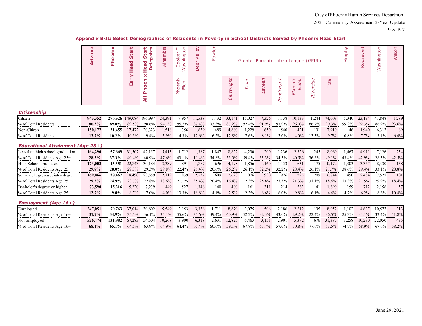|                                         | Arizona | Phoenix | Start<br>Head | tart<br>gates<br>ທ<br>Ō<br>Head<br>$\overline{\bullet}$<br>Δ | Alhambra | Ĥ<br>Washington<br>oke<br>$\circ$ | alley<br>><br>$\overleftarrow{\mathbb{G}}$<br>Ă | owler<br>Щ |            |                  |        |            | Greater Phoenix Urban League (GPUL) |           |        | Murphy | $\frac{1}{\omega}$<br>Roosev | Washington | Wilson |
|-----------------------------------------|---------|---------|---------------|--------------------------------------------------------------|----------|-----------------------------------|-------------------------------------------------|------------|------------|------------------|--------|------------|-------------------------------------|-----------|--------|--------|------------------------------|------------|--------|
|                                         |         |         | Early         | enix<br>$\bullet$<br>훕<br>₹                                  |          | Elem.<br>Phoenix                  |                                                 |            | Cartwright | O<br><b>Isaa</b> | Laveen | Pendergast | Phoenix<br>Elem.                    | Riverside | Total  |        |                              |            |        |
| <b>Citizenship</b>                      |         |         |               |                                                              |          |                                   |                                                 |            |            |                  |        |            |                                     |           |        |        |                              |            |        |
| Citizen                                 | 943,352 | 276,526 | 149,084       | 196.997                                                      | 24,391   | 7,957                             | 11,538                                          | 7,432      | 33,141     | 15,027           | 7,326  | 7,138      | 10,133                              | 1,244     | 74,008 | 5,340  | 23.194                       | 41,848     | 1,289  |
| % of Total Residents                    | 86.3%   | 89.8%   | 89.5%         | 90.6%                                                        | 94.1%    | 95.7%                             | 87.4%                                           | 93.8%      | 87.2%      | 92.4%            | 91.9%  | 93.0%      | 96.0%                               | 86.7%     | 90.3%  | 99.2%  | 92.3%                        | 86.9%      | 93.6%  |
| Non-Citizen                             | 150,177 | 31,455  | 17,472        | 20,323                                                       | 1,518    | 356                               | 1,659                                           | 489        | 4,880      | 1,229            | 650    | 540        | 421                                 | 191       | 7,910  | 46     | 1,940                        | 6,317      | 89     |
| % of Total Residents                    | 13.7%   | 10.2%   | 10.5%         | 9.4%                                                         | 5.9%     | 4.3%                              | 12.6%                                           | 6.2%       | 12.8%      | 7.6%             | 8.1%   | 7.0%       | 4.0%                                | 13.3%     | 9.7%   | 0.8%   | 7.7%                         | 13.1%      | 6.4%   |
| <b>Educational Attainment (Age 25+)</b> |         |         |               |                                                              |          |                                   |                                                 |            |            |                  |        |            |                                     |           |        |        |                              |            |        |
| Less than high school graduation        | 164,290 | 57,669  | 31,507        | 42,157                                                       | 5,413    | 1,712                             | 1,387                                           | 1,847      | 8,822      | 4,230            | 1,200  | 1,236      | 2,326                               | 245       | 18,060 | 1,467  | 4,911                        | 7,126      | 234    |
| % of Total Residents Age 25+            | 28.3%   | 37.3%   | 40.4%         | 40.9%                                                        | 47.6%    | 43.1%                             | 19.4%                                           | 54.8%      | 55.0%      | 59.4%            | 33.3%  | 34.5%      | 40.5%                               | 36.6%     | 49.1%  | 43.4%  | 42.9%                        | 28.3%      | 42.5%  |
| High School graduates                   | 173,003 | 43,351  | 22,843        | 30,184                                                       | 3,389    | 891                               | 1,887                                           | 696        | 4,198      | 1,856            | 1,160  | 1,153      | 1,631                               | 175       | 10,172 | 1,303  | 3,357                        | 8,330      | 158    |
| % of Total Residents Age 25+            | 29.8%   | 28.0%   | 29.3%         | 29.3%                                                        | 29.8%    | 22.4%                             | 26.4%                                           | 20.6%      | 26.2%      | 26.1%            | 32.2%  | 32.2%      | 28.4%                               | 26.1%     | 27.7%  | 38.6%  | 29.4%                        | 33.1%      | 28.8%  |
| Some college, associates degree         | 169,066 | 38,467  | 18,490        | 23,559                                                       | 2,119    | 839                               | 2,537                                           | 689        | 2,628      | 876              | 930    | 976        | 1,225                               | 209       | 6,844  | 450    | 2,454                        | 7,527      | 101    |
| % of Total Residents Age 25+            | 29.2%   | 24.9%   | 23.7%         | 22.8%                                                        | 18.6%    | 21.1%                             | 35.4%                                           | 20.4%      | 16.4%      | 12.3%            | 25.8%  | 27.3%      | 21.3%                               | 31.1%     | 18.6%  | 13.3%  | 21.5%                        | 29.9%      | 18.4%  |
| Bachelor's degree or higher             | 73,590  | 15,216  | 5,220         | 7,239                                                        | 449      | 527                               | 1,348                                           | 140        | 400        | 161              | 311    | 214        | 563                                 | 41        | 1,690  | 159    | 712                          | 2,156      | 57     |
| % of Total Residents Age 25+            | 12.7%   | 9.8%    | 6.7%          | 7.0%                                                         | $4.0\%$  | 13.3%                             | 18.8%                                           | 4.1%       | 2.5%       | 2.3%             | 8.6%   | $6.0\%$    | 9.8%                                | 6.1%      | 4.6%   | 4.7%   | 6.2%                         | 8.6%       | 10.4%  |
| Employment (Age 16+)                    |         |         |               |                                                              |          |                                   |                                                 |            |            |                  |        |            |                                     |           |        |        |                              |            |        |
| Employed                                | 247,051 | 70,763  | 37,014        | 30,802                                                       | 5,549    | 2,153                             | 3,338                                           | 1,71       | 8,879      | 3,075            | 1,506  | 2,186      | 2,212                               | 195       | 18,052 | 1,102  | 4,637                        | 10,577     | 313    |
| % of Total Residents Age 16+            | 31.9%   | 34.9%   | 35.5%         | 36.1%                                                        | 35.1%    | 35.6%                             | 34.6%                                           | 39.4%      | 40.9%      | 32.2%            | 32.3%  | 43.0%      | 29.2%                               | 22.4%     | 36.5%  | 25.3%  | 31.1%                        | 32.4%      | 41.8%  |
| Not Employed                            | 526,474 | 131,982 | 67,283        | 54,504                                                       | 10,268   | 3,900                             | 6,318                                           | 2,631      | 12,825     | 6,463            | 3,151  | 2,901      | 5,372                               | 676       | 31,387 | 3,258  | 10,280                       | 22,050     | 435    |
| % of Total Residents Age 16+            | 68.1%   | 65.1%   | 64.5%         | 63.9%                                                        | 64.9%    | 64.4%                             | 65.4%                                           | 60.6%      | 59.1%      | 67.8%            | 67.7%  | 57.0%      | 70.8%                               | 77.6%     | 63.5%  | 74.7%  | 68.9%                        | 67.6%      | 58.2%  |

#### **Appendix B-II: Select Demographics of Residents in Poverty in School Districts Served by Phoenix Head Start**